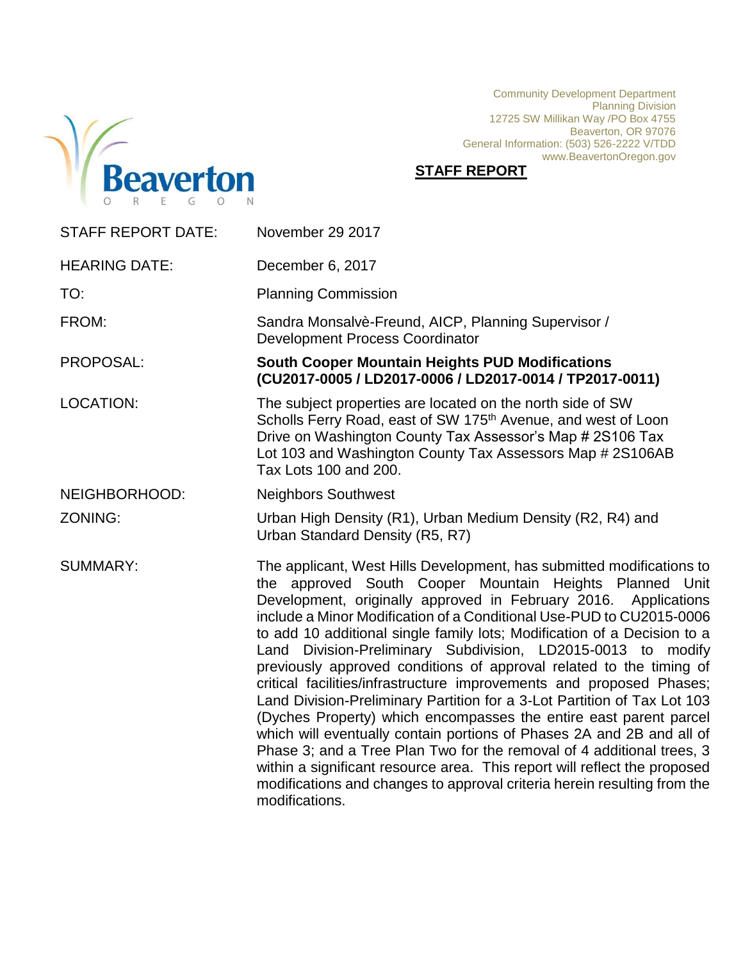

Community Development Department Planning Division 12725 SW Millikan Way /PO Box 4755 Beaverton, OR 97076 General Information: (503) 526-2222 V/TDD www.BeavertonOregon.gov

# **STAFF REPORT**

| <b>STAFF REPORT DATE:</b> | November 29 2017                                                                                                                                                                                                                                                                                                                                                                                                                                                                                                                                                                                                                                                                                                                                                                                                                                                                                                                                                                                                                                     |
|---------------------------|------------------------------------------------------------------------------------------------------------------------------------------------------------------------------------------------------------------------------------------------------------------------------------------------------------------------------------------------------------------------------------------------------------------------------------------------------------------------------------------------------------------------------------------------------------------------------------------------------------------------------------------------------------------------------------------------------------------------------------------------------------------------------------------------------------------------------------------------------------------------------------------------------------------------------------------------------------------------------------------------------------------------------------------------------|
| <b>HEARING DATE:</b>      | December 6, 2017                                                                                                                                                                                                                                                                                                                                                                                                                                                                                                                                                                                                                                                                                                                                                                                                                                                                                                                                                                                                                                     |
| TO:                       | <b>Planning Commission</b>                                                                                                                                                                                                                                                                                                                                                                                                                                                                                                                                                                                                                                                                                                                                                                                                                                                                                                                                                                                                                           |
| FROM:                     | Sandra Monsalvè-Freund, AICP, Planning Supervisor /<br><b>Development Process Coordinator</b>                                                                                                                                                                                                                                                                                                                                                                                                                                                                                                                                                                                                                                                                                                                                                                                                                                                                                                                                                        |
| PROPOSAL:                 | <b>South Cooper Mountain Heights PUD Modifications</b><br>(CU2017-0005 / LD2017-0006 / LD2017-0014 / TP2017-0011)                                                                                                                                                                                                                                                                                                                                                                                                                                                                                                                                                                                                                                                                                                                                                                                                                                                                                                                                    |
| <b>LOCATION:</b>          | The subject properties are located on the north side of SW<br>Scholls Ferry Road, east of SW 175 <sup>th</sup> Avenue, and west of Loon<br>Drive on Washington County Tax Assessor's Map # 2S106 Tax<br>Lot 103 and Washington County Tax Assessors Map # 2S106AB<br>Tax Lots 100 and 200.                                                                                                                                                                                                                                                                                                                                                                                                                                                                                                                                                                                                                                                                                                                                                           |
| NEIGHBORHOOD:             | <b>Neighbors Southwest</b>                                                                                                                                                                                                                                                                                                                                                                                                                                                                                                                                                                                                                                                                                                                                                                                                                                                                                                                                                                                                                           |
| ZONING:                   | Urban High Density (R1), Urban Medium Density (R2, R4) and<br>Urban Standard Density (R5, R7)                                                                                                                                                                                                                                                                                                                                                                                                                                                                                                                                                                                                                                                                                                                                                                                                                                                                                                                                                        |
| <b>SUMMARY:</b>           | The applicant, West Hills Development, has submitted modifications to<br>the approved South Cooper Mountain Heights Planned Unit<br>Development, originally approved in February 2016. Applications<br>include a Minor Modification of a Conditional Use-PUD to CU2015-0006<br>to add 10 additional single family lots; Modification of a Decision to a<br>Land Division-Preliminary Subdivision, LD2015-0013 to modify<br>previously approved conditions of approval related to the timing of<br>critical facilities/infrastructure improvements and proposed Phases;<br>Land Division-Preliminary Partition for a 3-Lot Partition of Tax Lot 103<br>(Dyches Property) which encompasses the entire east parent parcel<br>which will eventually contain portions of Phases 2A and 2B and all of<br>Phase 3; and a Tree Plan Two for the removal of 4 additional trees, 3<br>within a significant resource area. This report will reflect the proposed<br>modifications and changes to approval criteria herein resulting from the<br>modifications. |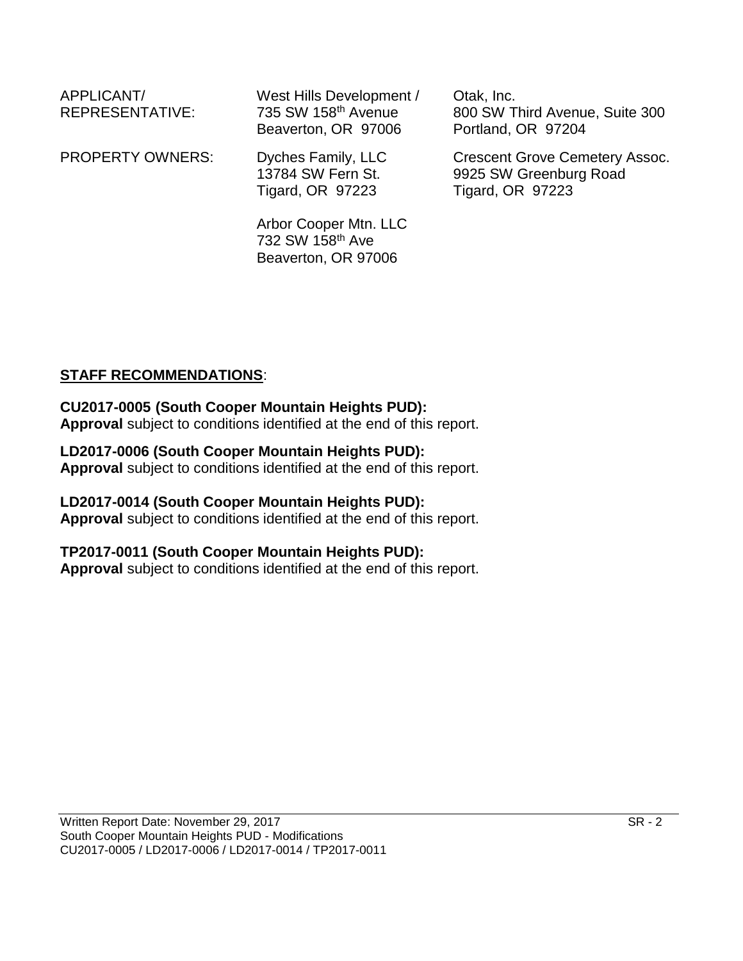| APPLICANT/<br>REPRESENTATIVE: | West Hills Development /<br>735 SW 158th Avenue<br>Beaverton, OR 97006 | Otak, Inc.<br>800 SW Third Avenue, Suite 300<br>Portland, OR 97204                         |
|-------------------------------|------------------------------------------------------------------------|--------------------------------------------------------------------------------------------|
| <b>PROPERTY OWNERS:</b>       | Dyches Family, LLC<br>13784 SW Fern St.<br><b>Tigard, OR 97223</b>     | <b>Crescent Grove Cemetery Assoc.</b><br>9925 SW Greenburg Road<br><b>Tigard, OR 97223</b> |
|                               | Arbor Cooper Mtn. LLC                                                  |                                                                                            |

732 SW 158th Ave Beaverton, OR 97006

# **STAFF RECOMMENDATIONS**:

#### **CU2017-0005 (South Cooper Mountain Heights PUD): Approval** subject to conditions identified at the end of this report.

# **LD2017-0006 (South Cooper Mountain Heights PUD):**

**Approval** subject to conditions identified at the end of this report.

#### **LD2017-0014 (South Cooper Mountain Heights PUD):**

**Approval** subject to conditions identified at the end of this report.

# **TP2017-0011 (South Cooper Mountain Heights PUD):**

**Approval** subject to conditions identified at the end of this report.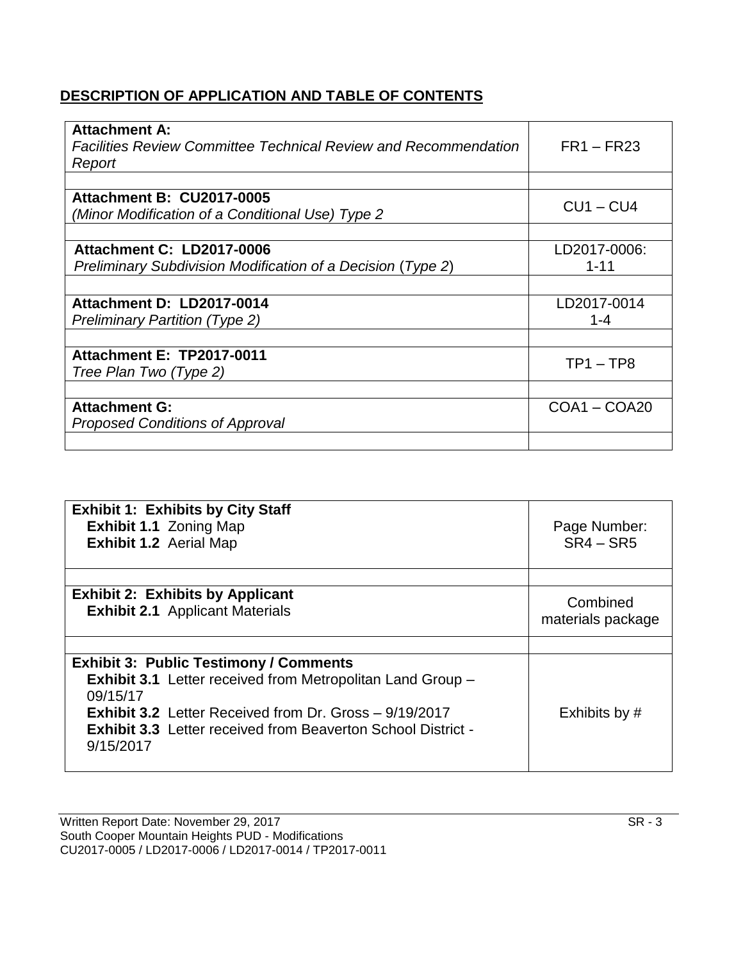# **DESCRIPTION OF APPLICATION AND TABLE OF CONTENTS**

| <b>Attachment A:</b>                                                   |                |
|------------------------------------------------------------------------|----------------|
| <b>Facilities Review Committee Technical Review and Recommendation</b> | $FR1 - FR23$   |
| Report                                                                 |                |
|                                                                        |                |
| <b>Attachment B: CU2017-0005</b>                                       | $CU1 - CU4$    |
| (Minor Modification of a Conditional Use) Type 2                       |                |
|                                                                        |                |
| Attachment C: LD2017-0006                                              | LD2017-0006:   |
| Preliminary Subdivision Modification of a Decision (Type 2)            | $1 - 11$       |
|                                                                        |                |
| Attachment D: LD2017-0014                                              | LD2017-0014    |
| <b>Preliminary Partition (Type 2)</b>                                  | 1-4            |
|                                                                        |                |
| <b>Attachment E: TP2017-0011</b>                                       | $TP1 - TP8$    |
| Tree Plan Two (Type 2)                                                 |                |
|                                                                        |                |
| <b>Attachment G:</b>                                                   | $COA1 - COA20$ |
| Proposed Conditions of Approval                                        |                |
|                                                                        |                |

| <b>Exhibit 1: Exhibits by City Staff</b><br><b>Exhibit 1.1 Zoning Map</b><br><b>Exhibit 1.2 Aerial Map</b>                                                                                                                         | Page Number:<br>$SR4 - SR5$   |
|------------------------------------------------------------------------------------------------------------------------------------------------------------------------------------------------------------------------------------|-------------------------------|
| <b>Exhibit 2: Exhibits by Applicant</b><br><b>Exhibit 2.1</b> Applicant Materials                                                                                                                                                  | Combined<br>materials package |
|                                                                                                                                                                                                                                    |                               |
| <b>Exhibit 3: Public Testimony / Comments</b>                                                                                                                                                                                      |                               |
| <b>Exhibit 3.1</b> Letter received from Metropolitan Land Group -<br>09/15/17<br><b>Exhibit 3.2</b> Letter Received from Dr. Gross - 9/19/2017<br><b>Exhibit 3.3</b> Letter received from Beaverton School District -<br>9/15/2017 | Exhibits by #                 |

Written Report Date: November 29, 2017 SR - 3 South Cooper Mountain Heights PUD - Modifications CU2017-0005 / LD2017-0006 / LD2017-0014 / TP2017-0011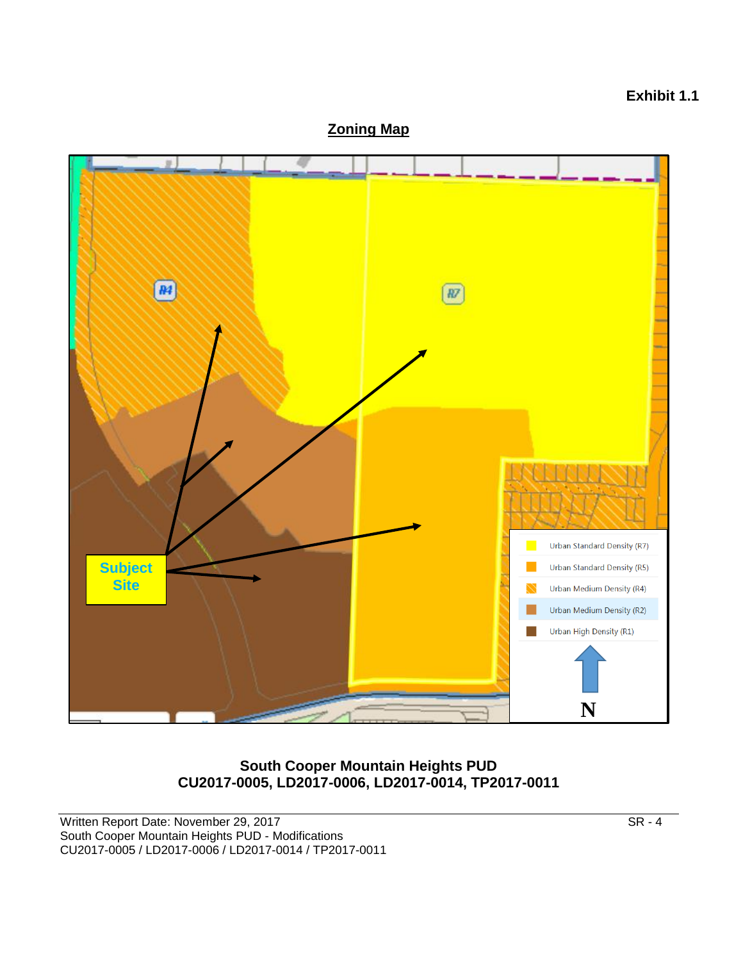

# **South Cooper Mountain Heights PUD CU2017-0005, LD2017-0006, LD2017-0014, TP2017-0011**

**Exhibit 1.1**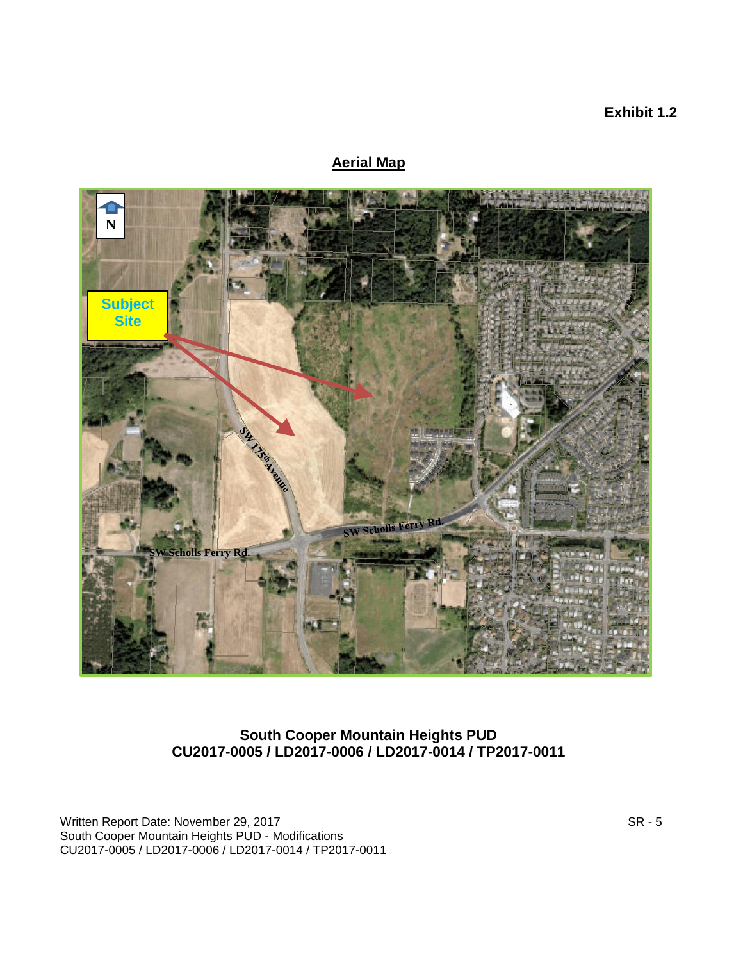# **Exhibit 1.2**

# **Aerial Map**



#### **South Cooper Mountain Heights PUD CU2017-0005 / LD2017-0006 / LD2017-0014 / TP2017-0011**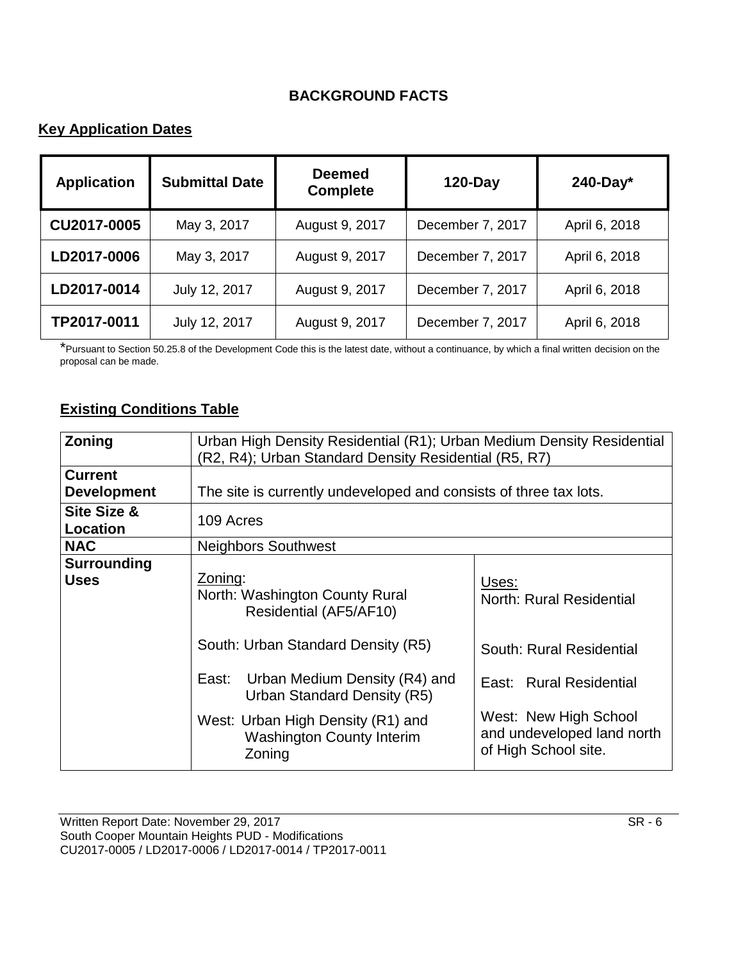# **BACKGROUND FACTS**

# **Key Application Dates**

| <b>Application</b> | <b>Submittal Date</b> | <b>Deemed</b><br><b>Complete</b> | <b>120-Day</b>   | $240$ -Day*   |
|--------------------|-----------------------|----------------------------------|------------------|---------------|
| CU2017-0005        | May 3, 2017           | August 9, 2017                   | December 7, 2017 | April 6, 2018 |
| LD2017-0006        | May 3, 2017           | August 9, 2017                   | December 7, 2017 | April 6, 2018 |
| LD2017-0014        | July 12, 2017         | August 9, 2017                   | December 7, 2017 | April 6, 2018 |
| TP2017-0011        | July 12, 2017         | August 9, 2017                   | December 7, 2017 | April 6, 2018 |

\*Pursuant to Section 50.25.8 of the Development Code this is the latest date, without a continuance, by which a final written decision on the proposal can be made.

# **Existing Conditions Table**

| Zoning                               | Urban High Density Residential (R1); Urban Medium Density Residential<br>(R2, R4); Urban Standard Density Residential (R5, R7) |                                                                             |  |  |
|--------------------------------------|--------------------------------------------------------------------------------------------------------------------------------|-----------------------------------------------------------------------------|--|--|
| <b>Current</b><br><b>Development</b> | The site is currently undeveloped and consists of three tax lots.                                                              |                                                                             |  |  |
| Site Size &<br>Location              | 109 Acres                                                                                                                      |                                                                             |  |  |
| <b>NAC</b>                           | <b>Neighbors Southwest</b>                                                                                                     |                                                                             |  |  |
| Surrounding<br><b>Uses</b>           | Zoning:<br>North: Washington County Rural<br>Residential (AF5/AF10)                                                            | Uses:<br>North: Rural Residential                                           |  |  |
|                                      | South: Urban Standard Density (R5)<br>South: Rural Residential                                                                 |                                                                             |  |  |
|                                      | Urban Medium Density (R4) and<br>East:<br>East: Rural Residential<br>Urban Standard Density (R5)                               |                                                                             |  |  |
|                                      | West: Urban High Density (R1) and<br><b>Washington County Interim</b><br>Zoning                                                | West: New High School<br>and undeveloped land north<br>of High School site. |  |  |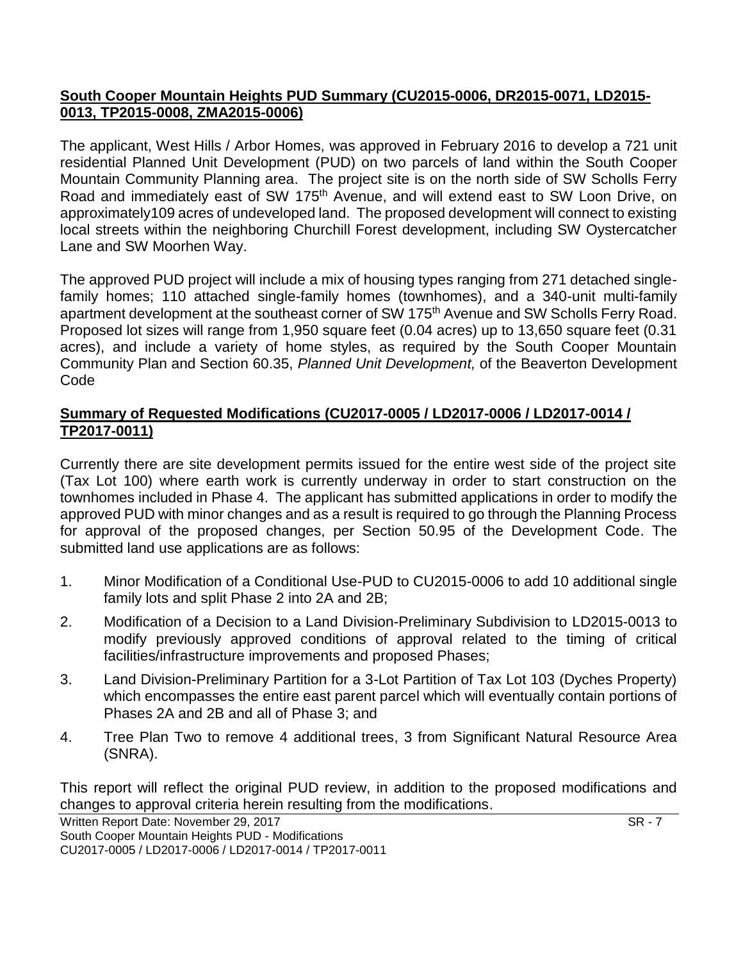# **South Cooper Mountain Heights PUD Summary (CU2015-0006, DR2015-0071, LD2015- 0013, TP2015-0008, ZMA2015-0006)**

The applicant, West Hills / Arbor Homes, was approved in February 2016 to develop a 721 unit residential Planned Unit Development (PUD) on two parcels of land within the South Cooper Mountain Community Planning area. The project site is on the north side of SW Scholls Ferry Road and immediately east of SW 175<sup>th</sup> Avenue, and will extend east to SW Loon Drive, on approximately109 acres of undeveloped land. The proposed development will connect to existing local streets within the neighboring Churchill Forest development, including SW Oystercatcher Lane and SW Moorhen Way.

The approved PUD project will include a mix of housing types ranging from 271 detached singlefamily homes; 110 attached single-family homes (townhomes), and a 340-unit multi-family apartment development at the southeast corner of SW 175th Avenue and SW Scholls Ferry Road. Proposed lot sizes will range from 1,950 square feet (0.04 acres) up to 13,650 square feet (0.31 acres), and include a variety of home styles, as required by the South Cooper Mountain Community Plan and Section 60.35, *Planned Unit Development,* of the Beaverton Development Code

# **Summary of Requested Modifications (CU2017-0005 / LD2017-0006 / LD2017-0014 / TP2017-0011)**

Currently there are site development permits issued for the entire west side of the project site (Tax Lot 100) where earth work is currently underway in order to start construction on the townhomes included in Phase 4. The applicant has submitted applications in order to modify the approved PUD with minor changes and as a result is required to go through the Planning Process for approval of the proposed changes, per Section 50.95 of the Development Code. The submitted land use applications are as follows:

- 1. Minor Modification of a Conditional Use-PUD to CU2015-0006 to add 10 additional single family lots and split Phase 2 into 2A and 2B;
- 2. Modification of a Decision to a Land Division-Preliminary Subdivision to LD2015-0013 to modify previously approved conditions of approval related to the timing of critical facilities/infrastructure improvements and proposed Phases;
- 3. Land Division-Preliminary Partition for a 3-Lot Partition of Tax Lot 103 (Dyches Property) which encompasses the entire east parent parcel which will eventually contain portions of Phases 2A and 2B and all of Phase 3; and
- 4. Tree Plan Two to remove 4 additional trees, 3 from Significant Natural Resource Area (SNRA).

This report will reflect the original PUD review, in addition to the proposed modifications and changes to approval criteria herein resulting from the modifications.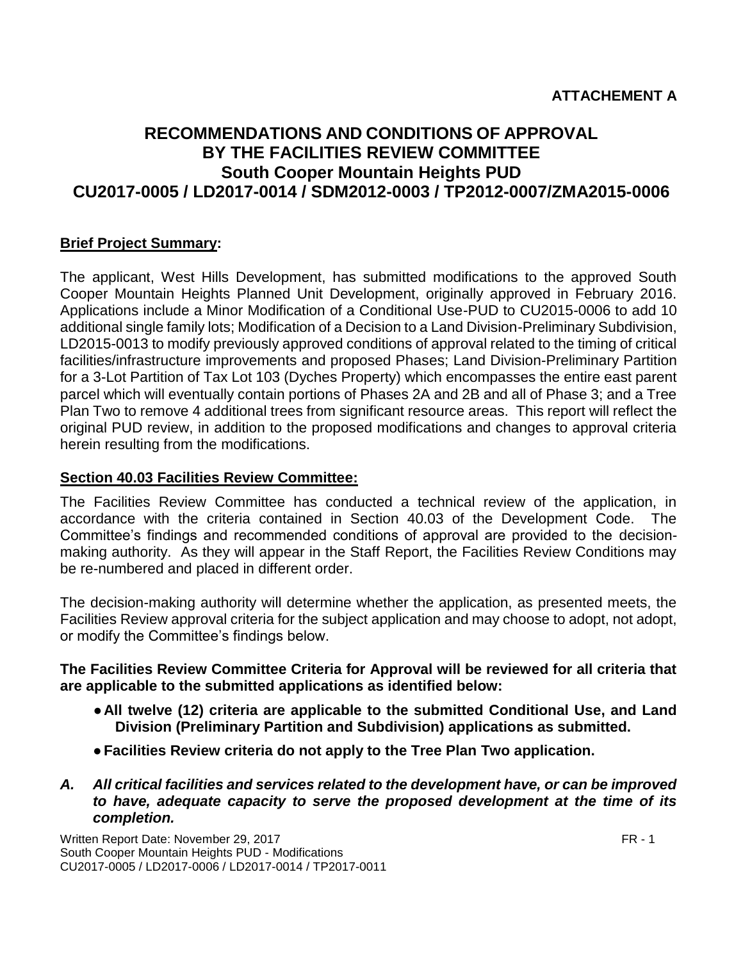# **RECOMMENDATIONS AND CONDITIONS OF APPROVAL BY THE FACILITIES REVIEW COMMITTEE South Cooper Mountain Heights PUD CU2017-0005 / LD2017-0014 / SDM2012-0003 / TP2012-0007/ZMA2015-0006**

# **Brief Project Summary:**

The applicant, West Hills Development, has submitted modifications to the approved South Cooper Mountain Heights Planned Unit Development, originally approved in February 2016. Applications include a Minor Modification of a Conditional Use-PUD to CU2015-0006 to add 10 additional single family lots; Modification of a Decision to a Land Division-Preliminary Subdivision, LD2015-0013 to modify previously approved conditions of approval related to the timing of critical facilities/infrastructure improvements and proposed Phases; Land Division-Preliminary Partition for a 3-Lot Partition of Tax Lot 103 (Dyches Property) which encompasses the entire east parent parcel which will eventually contain portions of Phases 2A and 2B and all of Phase 3; and a Tree Plan Two to remove 4 additional trees from significant resource areas. This report will reflect the original PUD review, in addition to the proposed modifications and changes to approval criteria herein resulting from the modifications.

#### **Section 40.03 Facilities Review Committee:**

The Facilities Review Committee has conducted a technical review of the application, in accordance with the criteria contained in Section 40.03 of the Development Code. The Committee's findings and recommended conditions of approval are provided to the decisionmaking authority. As they will appear in the Staff Report, the Facilities Review Conditions may be re-numbered and placed in different order.

The decision-making authority will determine whether the application, as presented meets, the Facilities Review approval criteria for the subject application and may choose to adopt, not adopt, or modify the Committee's findings below.

**The Facilities Review Committee Criteria for Approval will be reviewed for all criteria that are applicable to the submitted applications as identified below:**

- ●**All twelve (12) criteria are applicable to the submitted Conditional Use, and Land Division (Preliminary Partition and Subdivision) applications as submitted.**
- ●**Facilities Review criteria do not apply to the Tree Plan Two application.**
- *A. All critical facilities and services related to the development have, or can be improved to have, adequate capacity to serve the proposed development at the time of its completion.*

Written Report Date: November 29, 2017 FR - 1 South Cooper Mountain Heights PUD - Modifications CU2017-0005 / LD2017-0006 / LD2017-0014 / TP2017-0011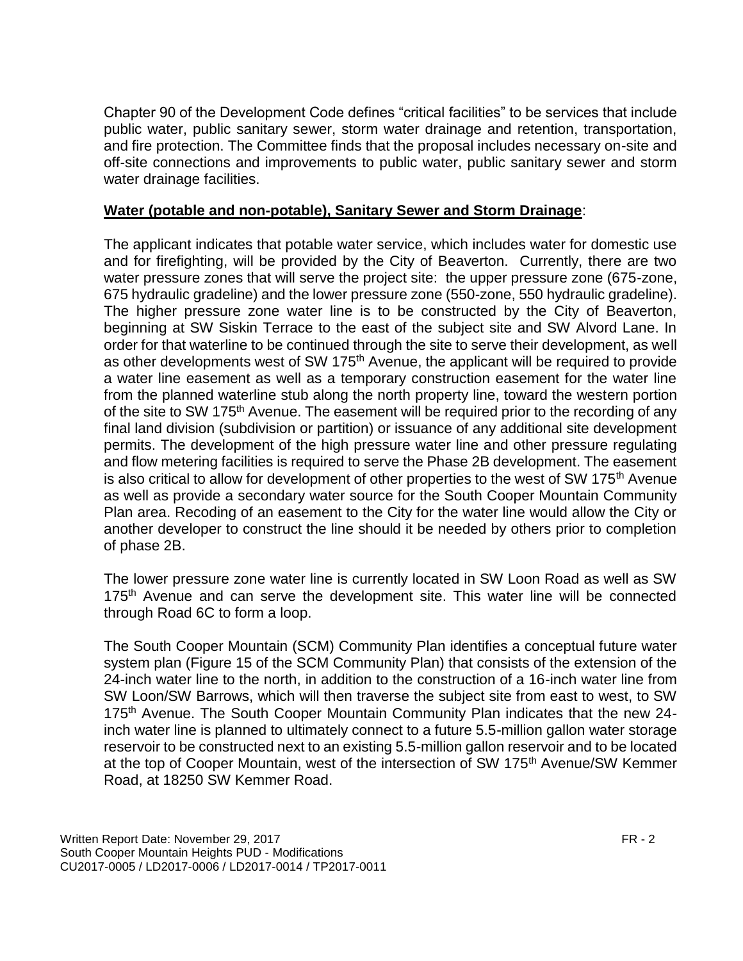Chapter 90 of the Development Code defines "critical facilities" to be services that include public water, public sanitary sewer, storm water drainage and retention, transportation, and fire protection. The Committee finds that the proposal includes necessary on-site and off-site connections and improvements to public water, public sanitary sewer and storm water drainage facilities.

#### **Water (potable and non-potable), Sanitary Sewer and Storm Drainage**:

The applicant indicates that potable water service, which includes water for domestic use and for firefighting, will be provided by the City of Beaverton. Currently, there are two water pressure zones that will serve the project site: the upper pressure zone (675-zone, 675 hydraulic gradeline) and the lower pressure zone (550-zone, 550 hydraulic gradeline). The higher pressure zone water line is to be constructed by the City of Beaverton, beginning at SW Siskin Terrace to the east of the subject site and SW Alvord Lane. In order for that waterline to be continued through the site to serve their development, as well as other developments west of SW 175<sup>th</sup> Avenue, the applicant will be required to provide a water line easement as well as a temporary construction easement for the water line from the planned waterline stub along the north property line, toward the western portion of the site to SW 175<sup>th</sup> Avenue. The easement will be required prior to the recording of any final land division (subdivision or partition) or issuance of any additional site development permits. The development of the high pressure water line and other pressure regulating and flow metering facilities is required to serve the Phase 2B development. The easement is also critical to allow for development of other properties to the west of SW 175<sup>th</sup> Avenue as well as provide a secondary water source for the South Cooper Mountain Community Plan area. Recoding of an easement to the City for the water line would allow the City or another developer to construct the line should it be needed by others prior to completion of phase 2B.

The lower pressure zone water line is currently located in SW Loon Road as well as SW 175<sup>th</sup> Avenue and can serve the development site. This water line will be connected through Road 6C to form a loop.

The South Cooper Mountain (SCM) Community Plan identifies a conceptual future water system plan (Figure 15 of the SCM Community Plan) that consists of the extension of the 24-inch water line to the north, in addition to the construction of a 16-inch water line from SW Loon/SW Barrows, which will then traverse the subject site from east to west, to SW 175<sup>th</sup> Avenue. The South Cooper Mountain Community Plan indicates that the new 24inch water line is planned to ultimately connect to a future 5.5-million gallon water storage reservoir to be constructed next to an existing 5.5-million gallon reservoir and to be located at the top of Cooper Mountain, west of the intersection of SW 175<sup>th</sup> Avenue/SW Kemmer Road, at 18250 SW Kemmer Road.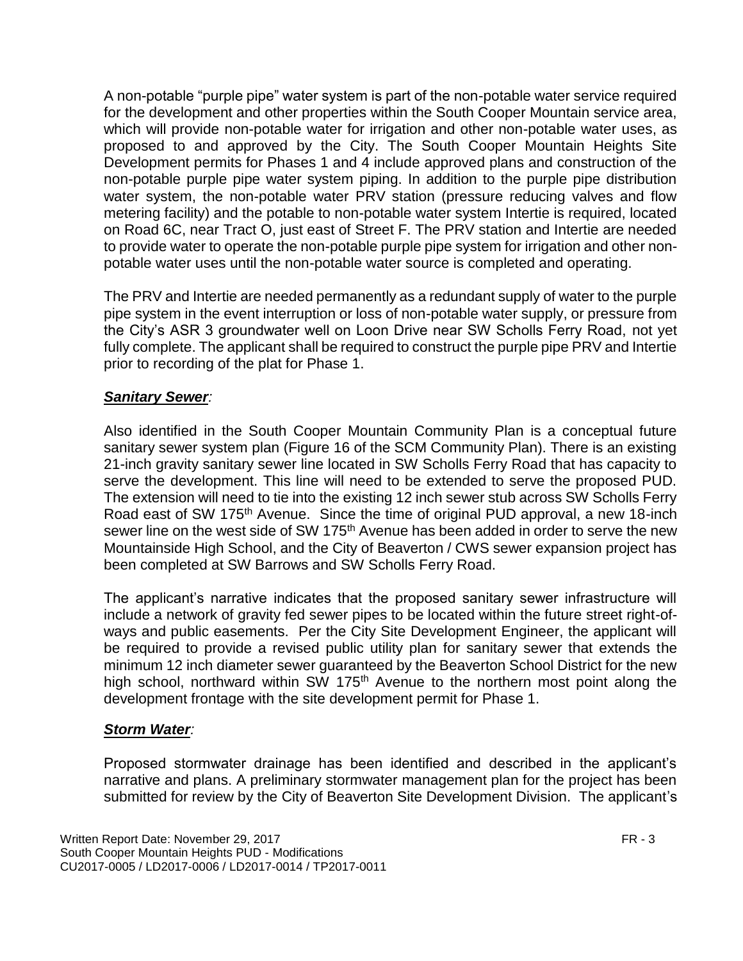A non-potable "purple pipe" water system is part of the non-potable water service required for the development and other properties within the South Cooper Mountain service area, which will provide non-potable water for irrigation and other non-potable water uses, as proposed to and approved by the City. The South Cooper Mountain Heights Site Development permits for Phases 1 and 4 include approved plans and construction of the non-potable purple pipe water system piping. In addition to the purple pipe distribution water system, the non-potable water PRV station (pressure reducing valves and flow metering facility) and the potable to non-potable water system Intertie is required, located on Road 6C, near Tract O, just east of Street F. The PRV station and Intertie are needed to provide water to operate the non-potable purple pipe system for irrigation and other nonpotable water uses until the non-potable water source is completed and operating.

The PRV and Intertie are needed permanently as a redundant supply of water to the purple pipe system in the event interruption or loss of non-potable water supply, or pressure from the City's ASR 3 groundwater well on Loon Drive near SW Scholls Ferry Road, not yet fully complete. The applicant shall be required to construct the purple pipe PRV and Intertie prior to recording of the plat for Phase 1.

# *Sanitary Sewer:*

Also identified in the South Cooper Mountain Community Plan is a conceptual future sanitary sewer system plan (Figure 16 of the SCM Community Plan). There is an existing 21-inch gravity sanitary sewer line located in SW Scholls Ferry Road that has capacity to serve the development. This line will need to be extended to serve the proposed PUD. The extension will need to tie into the existing 12 inch sewer stub across SW Scholls Ferry Road east of SW 175<sup>th</sup> Avenue. Since the time of original PUD approval, a new 18-inch sewer line on the west side of SW 175<sup>th</sup> Avenue has been added in order to serve the new Mountainside High School, and the City of Beaverton / CWS sewer expansion project has been completed at SW Barrows and SW Scholls Ferry Road.

The applicant's narrative indicates that the proposed sanitary sewer infrastructure will include a network of gravity fed sewer pipes to be located within the future street right-ofways and public easements. Per the City Site Development Engineer, the applicant will be required to provide a revised public utility plan for sanitary sewer that extends the minimum 12 inch diameter sewer guaranteed by the Beaverton School District for the new high school, northward within SW 175<sup>th</sup> Avenue to the northern most point along the development frontage with the site development permit for Phase 1.

#### *Storm Water:*

Proposed stormwater drainage has been identified and described in the applicant's narrative and plans. A preliminary stormwater management plan for the project has been submitted for review by the City of Beaverton Site Development Division. The applicant's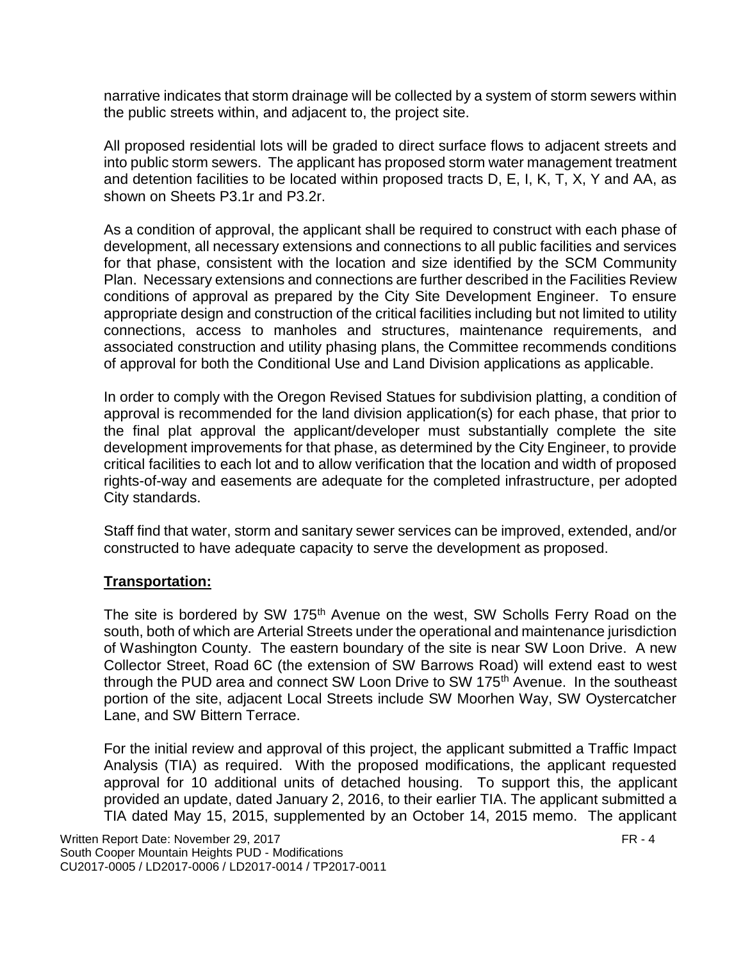narrative indicates that storm drainage will be collected by a system of storm sewers within the public streets within, and adjacent to, the project site.

All proposed residential lots will be graded to direct surface flows to adjacent streets and into public storm sewers. The applicant has proposed storm water management treatment and detention facilities to be located within proposed tracts D, E, I, K, T, X, Y and AA, as shown on Sheets P3.1r and P3.2r.

As a condition of approval, the applicant shall be required to construct with each phase of development, all necessary extensions and connections to all public facilities and services for that phase, consistent with the location and size identified by the SCM Community Plan. Necessary extensions and connections are further described in the Facilities Review conditions of approval as prepared by the City Site Development Engineer. To ensure appropriate design and construction of the critical facilities including but not limited to utility connections, access to manholes and structures, maintenance requirements, and associated construction and utility phasing plans, the Committee recommends conditions of approval for both the Conditional Use and Land Division applications as applicable.

In order to comply with the Oregon Revised Statues for subdivision platting, a condition of approval is recommended for the land division application(s) for each phase, that prior to the final plat approval the applicant/developer must substantially complete the site development improvements for that phase, as determined by the City Engineer, to provide critical facilities to each lot and to allow verification that the location and width of proposed rights-of-way and easements are adequate for the completed infrastructure, per adopted City standards.

Staff find that water, storm and sanitary sewer services can be improved, extended, and/or constructed to have adequate capacity to serve the development as proposed.

#### **Transportation:**

The site is bordered by SW 175<sup>th</sup> Avenue on the west, SW Scholls Ferry Road on the south, both of which are Arterial Streets under the operational and maintenance jurisdiction of Washington County. The eastern boundary of the site is near SW Loon Drive. A new Collector Street, Road 6C (the extension of SW Barrows Road) will extend east to west through the PUD area and connect SW Loon Drive to SW 175<sup>th</sup> Avenue. In the southeast portion of the site, adjacent Local Streets include SW Moorhen Way, SW Oystercatcher Lane, and SW Bittern Terrace.

For the initial review and approval of this project, the applicant submitted a Traffic Impact Analysis (TIA) as required. With the proposed modifications, the applicant requested approval for 10 additional units of detached housing. To support this, the applicant provided an update, dated January 2, 2016, to their earlier TIA. The applicant submitted a TIA dated May 15, 2015, supplemented by an October 14, 2015 memo. The applicant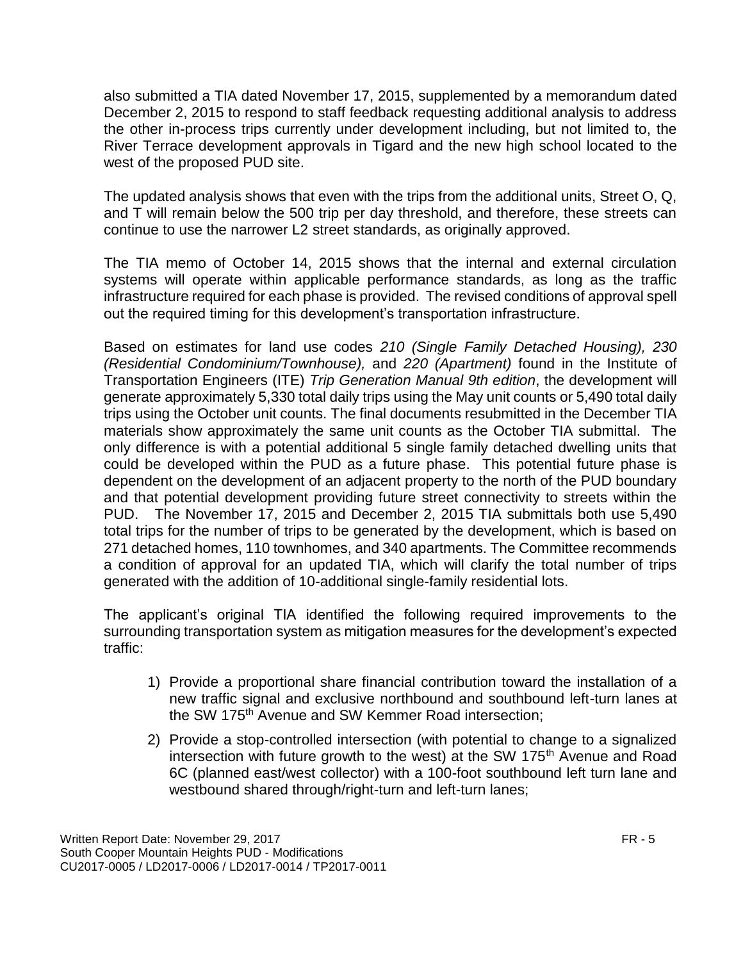also submitted a TIA dated November 17, 2015, supplemented by a memorandum dated December 2, 2015 to respond to staff feedback requesting additional analysis to address the other in-process trips currently under development including, but not limited to, the River Terrace development approvals in Tigard and the new high school located to the west of the proposed PUD site.

The updated analysis shows that even with the trips from the additional units, Street O, Q, and T will remain below the 500 trip per day threshold, and therefore, these streets can continue to use the narrower L2 street standards, as originally approved.

The TIA memo of October 14, 2015 shows that the internal and external circulation systems will operate within applicable performance standards, as long as the traffic infrastructure required for each phase is provided. The revised conditions of approval spell out the required timing for this development's transportation infrastructure.

Based on estimates for land use codes *210 (Single Family Detached Housing), 230 (Residential Condominium/Townhouse),* and *220 (Apartment)* found in the Institute of Transportation Engineers (ITE) *Trip Generation Manual 9th edition*, the development will generate approximately 5,330 total daily trips using the May unit counts or 5,490 total daily trips using the October unit counts. The final documents resubmitted in the December TIA materials show approximately the same unit counts as the October TIA submittal. The only difference is with a potential additional 5 single family detached dwelling units that could be developed within the PUD as a future phase. This potential future phase is dependent on the development of an adjacent property to the north of the PUD boundary and that potential development providing future street connectivity to streets within the PUD. The November 17, 2015 and December 2, 2015 TIA submittals both use 5,490 total trips for the number of trips to be generated by the development, which is based on 271 detached homes, 110 townhomes, and 340 apartments. The Committee recommends a condition of approval for an updated TIA, which will clarify the total number of trips generated with the addition of 10-additional single-family residential lots.

The applicant's original TIA identified the following required improvements to the surrounding transportation system as mitigation measures for the development's expected traffic:

- 1) Provide a proportional share financial contribution toward the installation of a new traffic signal and exclusive northbound and southbound left-turn lanes at the SW 175<sup>th</sup> Avenue and SW Kemmer Road intersection;
- 2) Provide a stop-controlled intersection (with potential to change to a signalized intersection with future growth to the west) at the SW 175<sup>th</sup> Avenue and Road 6C (planned east/west collector) with a 100-foot southbound left turn lane and westbound shared through/right-turn and left-turn lanes;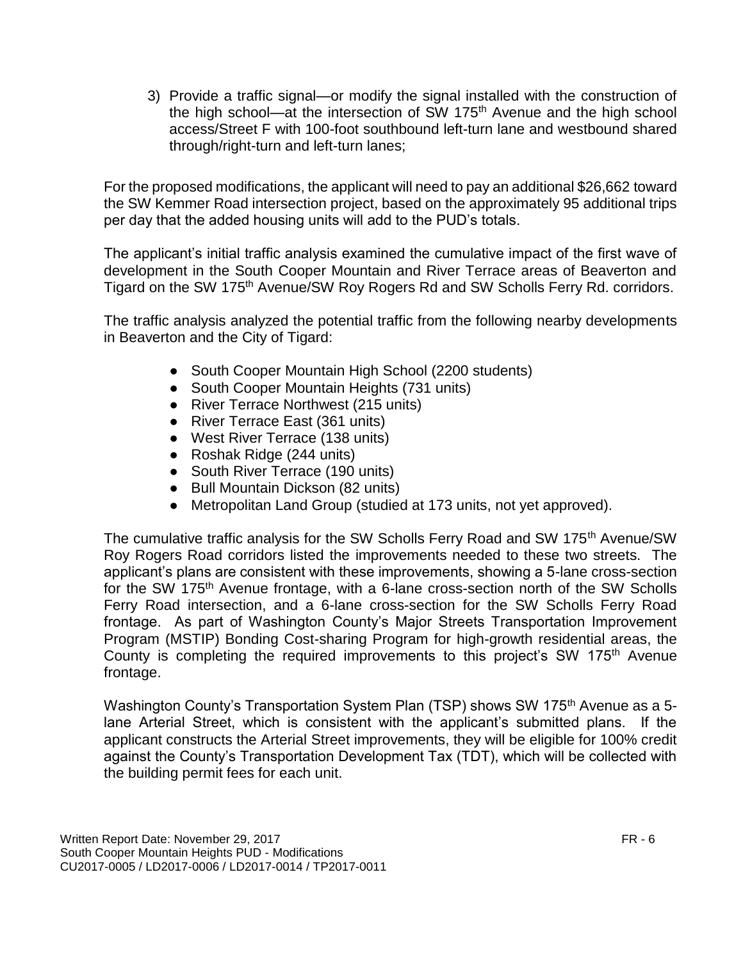3) Provide a traffic signal—or modify the signal installed with the construction of the high school—at the intersection of SW 175<sup>th</sup> Avenue and the high school access/Street F with 100-foot southbound left-turn lane and westbound shared through/right-turn and left-turn lanes;

For the proposed modifications, the applicant will need to pay an additional \$26,662 toward the SW Kemmer Road intersection project, based on the approximately 95 additional trips per day that the added housing units will add to the PUD's totals.

The applicant's initial traffic analysis examined the cumulative impact of the first wave of development in the South Cooper Mountain and River Terrace areas of Beaverton and Tigard on the SW 175<sup>th</sup> Avenue/SW Roy Rogers Rd and SW Scholls Ferry Rd. corridors.

The traffic analysis analyzed the potential traffic from the following nearby developments in Beaverton and the City of Tigard:

- South Cooper Mountain High School (2200 students)
- South Cooper Mountain Heights (731 units)
- River Terrace Northwest (215 units)
- River Terrace East (361 units)
- West River Terrace (138 units)
- Roshak Ridge (244 units)
- South River Terrace (190 units)
- Bull Mountain Dickson (82 units)
- Metropolitan Land Group (studied at 173 units, not yet approved).

The cumulative traffic analysis for the SW Scholls Ferry Road and SW 175<sup>th</sup> Avenue/SW Roy Rogers Road corridors listed the improvements needed to these two streets. The applicant's plans are consistent with these improvements, showing a 5-lane cross-section for the SW 175<sup>th</sup> Avenue frontage, with a 6-lane cross-section north of the SW Scholls Ferry Road intersection, and a 6-lane cross-section for the SW Scholls Ferry Road frontage. As part of Washington County's Major Streets Transportation Improvement Program (MSTIP) Bonding Cost-sharing Program for high-growth residential areas, the County is completing the required improvements to this project's SW 175<sup>th</sup> Avenue frontage.

Washington County's Transportation System Plan (TSP) shows SW 175<sup>th</sup> Avenue as a 5lane Arterial Street, which is consistent with the applicant's submitted plans. If the applicant constructs the Arterial Street improvements, they will be eligible for 100% credit against the County's Transportation Development Tax (TDT), which will be collected with the building permit fees for each unit.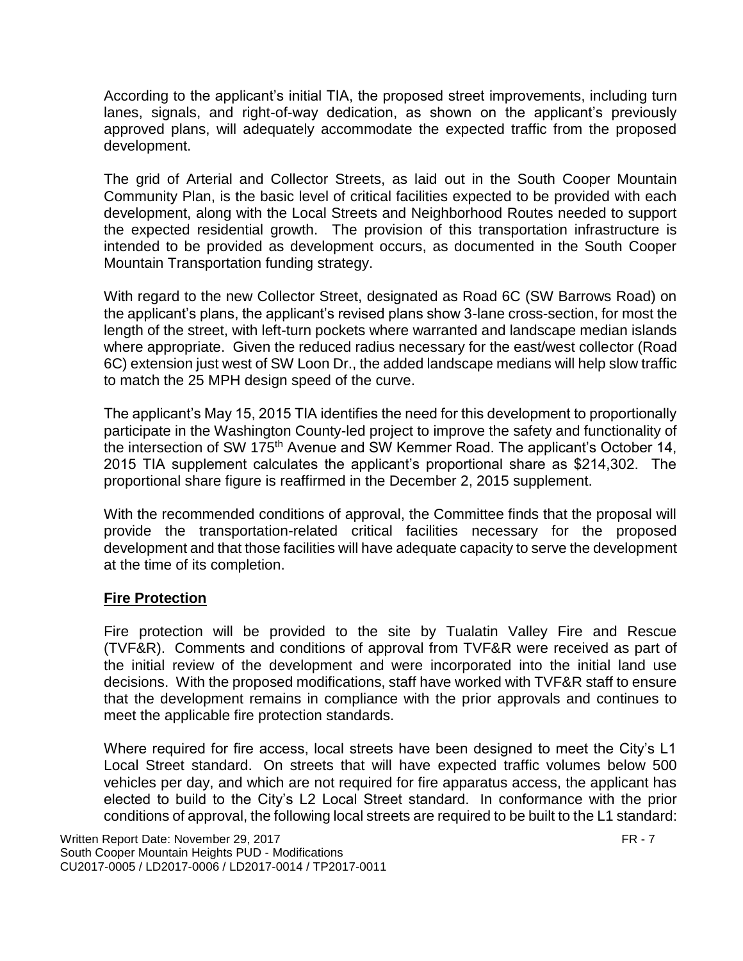According to the applicant's initial TIA, the proposed street improvements, including turn lanes, signals, and right-of-way dedication, as shown on the applicant's previously approved plans, will adequately accommodate the expected traffic from the proposed development.

The grid of Arterial and Collector Streets, as laid out in the South Cooper Mountain Community Plan, is the basic level of critical facilities expected to be provided with each development, along with the Local Streets and Neighborhood Routes needed to support the expected residential growth. The provision of this transportation infrastructure is intended to be provided as development occurs, as documented in the South Cooper Mountain Transportation funding strategy.

With regard to the new Collector Street, designated as Road 6C (SW Barrows Road) on the applicant's plans, the applicant's revised plans show 3-lane cross-section, for most the length of the street, with left-turn pockets where warranted and landscape median islands where appropriate. Given the reduced radius necessary for the east/west collector (Road 6C) extension just west of SW Loon Dr., the added landscape medians will help slow traffic to match the 25 MPH design speed of the curve.

The applicant's May 15, 2015 TIA identifies the need for this development to proportionally participate in the Washington County-led project to improve the safety and functionality of the intersection of SW 175<sup>th</sup> Avenue and SW Kemmer Road. The applicant's October 14, 2015 TIA supplement calculates the applicant's proportional share as \$214,302. The proportional share figure is reaffirmed in the December 2, 2015 supplement.

With the recommended conditions of approval, the Committee finds that the proposal will provide the transportation-related critical facilities necessary for the proposed development and that those facilities will have adequate capacity to serve the development at the time of its completion.

#### **Fire Protection**

Fire protection will be provided to the site by Tualatin Valley Fire and Rescue (TVF&R). Comments and conditions of approval from TVF&R were received as part of the initial review of the development and were incorporated into the initial land use decisions. With the proposed modifications, staff have worked with TVF&R staff to ensure that the development remains in compliance with the prior approvals and continues to meet the applicable fire protection standards.

Where required for fire access, local streets have been designed to meet the City's L1 Local Street standard. On streets that will have expected traffic volumes below 500 vehicles per day, and which are not required for fire apparatus access, the applicant has elected to build to the City's L2 Local Street standard. In conformance with the prior conditions of approval, the following local streets are required to be built to the L1 standard: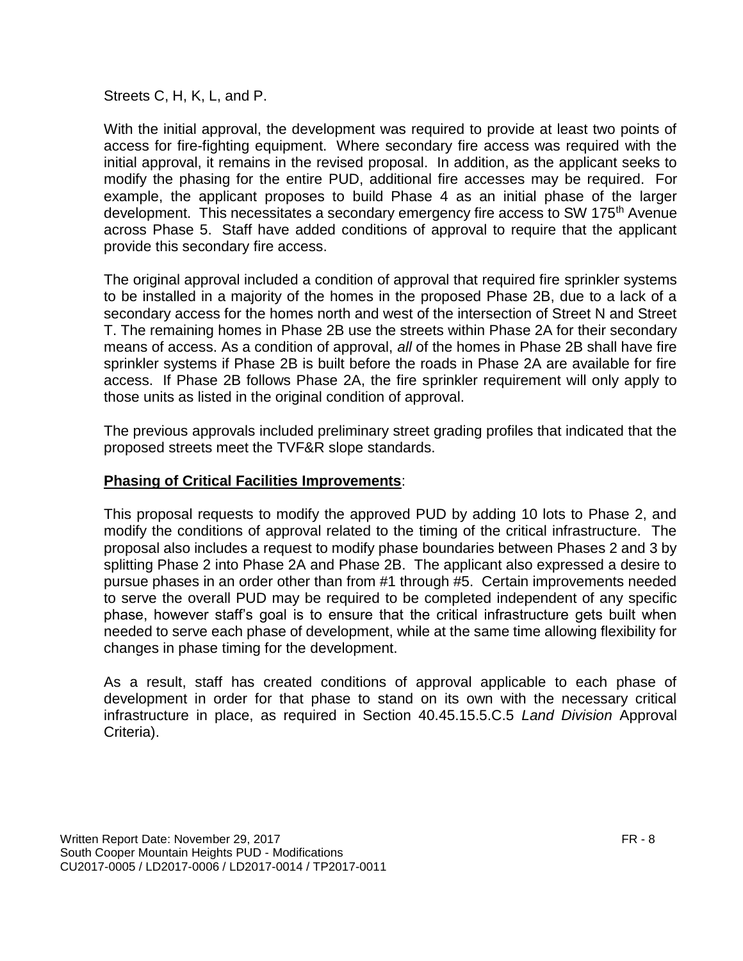Streets C, H, K, L, and P.

With the initial approval, the development was required to provide at least two points of access for fire-fighting equipment. Where secondary fire access was required with the initial approval, it remains in the revised proposal. In addition, as the applicant seeks to modify the phasing for the entire PUD, additional fire accesses may be required. For example, the applicant proposes to build Phase 4 as an initial phase of the larger development. This necessitates a secondary emergency fire access to SW 175<sup>th</sup> Avenue across Phase 5. Staff have added conditions of approval to require that the applicant provide this secondary fire access.

The original approval included a condition of approval that required fire sprinkler systems to be installed in a majority of the homes in the proposed Phase 2B, due to a lack of a secondary access for the homes north and west of the intersection of Street N and Street T. The remaining homes in Phase 2B use the streets within Phase 2A for their secondary means of access. As a condition of approval, *all* of the homes in Phase 2B shall have fire sprinkler systems if Phase 2B is built before the roads in Phase 2A are available for fire access. If Phase 2B follows Phase 2A, the fire sprinkler requirement will only apply to those units as listed in the original condition of approval.

The previous approvals included preliminary street grading profiles that indicated that the proposed streets meet the TVF&R slope standards.

# **Phasing of Critical Facilities Improvements**:

This proposal requests to modify the approved PUD by adding 10 lots to Phase 2, and modify the conditions of approval related to the timing of the critical infrastructure. The proposal also includes a request to modify phase boundaries between Phases 2 and 3 by splitting Phase 2 into Phase 2A and Phase 2B. The applicant also expressed a desire to pursue phases in an order other than from #1 through #5. Certain improvements needed to serve the overall PUD may be required to be completed independent of any specific phase, however staff's goal is to ensure that the critical infrastructure gets built when needed to serve each phase of development, while at the same time allowing flexibility for changes in phase timing for the development.

As a result, staff has created conditions of approval applicable to each phase of development in order for that phase to stand on its own with the necessary critical infrastructure in place, as required in Section 40.45.15.5.C.5 *Land Division* Approval Criteria).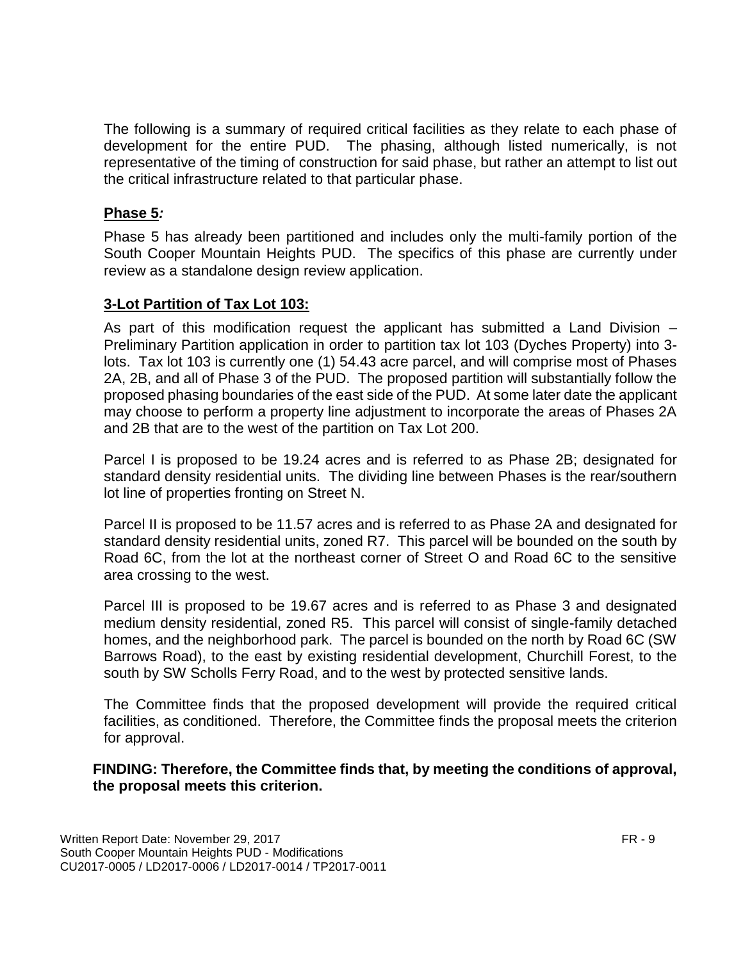The following is a summary of required critical facilities as they relate to each phase of development for the entire PUD. The phasing, although listed numerically, is not representative of the timing of construction for said phase, but rather an attempt to list out the critical infrastructure related to that particular phase.

# **Phase 5***:*

Phase 5 has already been partitioned and includes only the multi-family portion of the South Cooper Mountain Heights PUD. The specifics of this phase are currently under review as a standalone design review application.

# **3-Lot Partition of Tax Lot 103:**

As part of this modification request the applicant has submitted a Land Division – Preliminary Partition application in order to partition tax lot 103 (Dyches Property) into 3 lots. Tax lot 103 is currently one (1) 54.43 acre parcel, and will comprise most of Phases 2A, 2B, and all of Phase 3 of the PUD. The proposed partition will substantially follow the proposed phasing boundaries of the east side of the PUD. At some later date the applicant may choose to perform a property line adjustment to incorporate the areas of Phases 2A and 2B that are to the west of the partition on Tax Lot 200.

Parcel I is proposed to be 19.24 acres and is referred to as Phase 2B; designated for standard density residential units. The dividing line between Phases is the rear/southern lot line of properties fronting on Street N.

Parcel II is proposed to be 11.57 acres and is referred to as Phase 2A and designated for standard density residential units, zoned R7. This parcel will be bounded on the south by Road 6C, from the lot at the northeast corner of Street O and Road 6C to the sensitive area crossing to the west.

Parcel III is proposed to be 19.67 acres and is referred to as Phase 3 and designated medium density residential, zoned R5. This parcel will consist of single-family detached homes, and the neighborhood park. The parcel is bounded on the north by Road 6C (SW Barrows Road), to the east by existing residential development, Churchill Forest, to the south by SW Scholls Ferry Road, and to the west by protected sensitive lands.

The Committee finds that the proposed development will provide the required critical facilities, as conditioned. Therefore, the Committee finds the proposal meets the criterion for approval.

**FINDING: Therefore, the Committee finds that, by meeting the conditions of approval, the proposal meets this criterion.**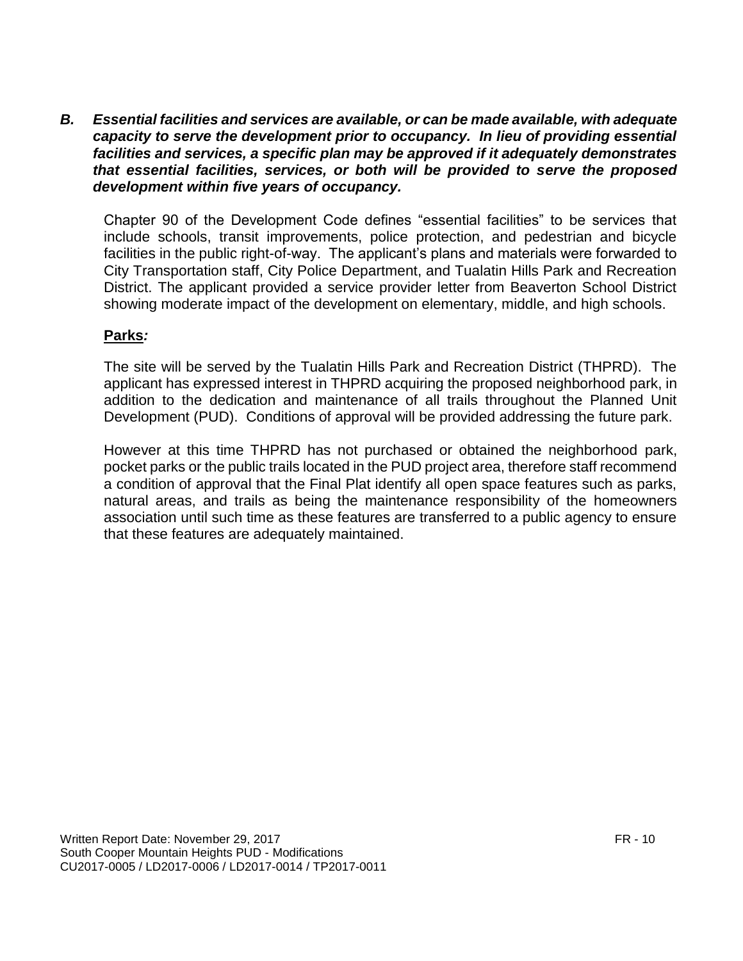*B. Essential facilities and services are available, or can be made available, with adequate capacity to serve the development prior to occupancy. In lieu of providing essential facilities and services, a specific plan may be approved if it adequately demonstrates that essential facilities, services, or both will be provided to serve the proposed development within five years of occupancy.*

Chapter 90 of the Development Code defines "essential facilities" to be services that include schools, transit improvements, police protection, and pedestrian and bicycle facilities in the public right-of-way. The applicant's plans and materials were forwarded to City Transportation staff, City Police Department, and Tualatin Hills Park and Recreation District. The applicant provided a service provider letter from Beaverton School District showing moderate impact of the development on elementary, middle, and high schools.

# **Parks***:*

The site will be served by the Tualatin Hills Park and Recreation District (THPRD). The applicant has expressed interest in THPRD acquiring the proposed neighborhood park, in addition to the dedication and maintenance of all trails throughout the Planned Unit Development (PUD). Conditions of approval will be provided addressing the future park.

However at this time THPRD has not purchased or obtained the neighborhood park, pocket parks or the public trails located in the PUD project area, therefore staff recommend a condition of approval that the Final Plat identify all open space features such as parks, natural areas, and trails as being the maintenance responsibility of the homeowners association until such time as these features are transferred to a public agency to ensure that these features are adequately maintained.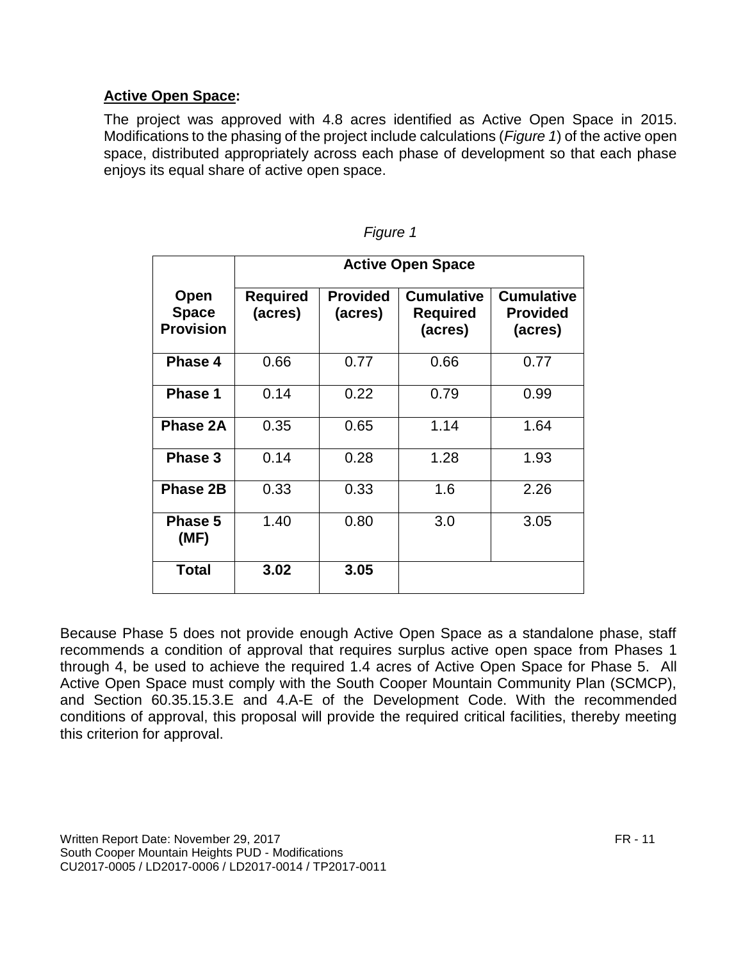# **Active Open Space:**

The project was approved with 4.8 acres identified as Active Open Space in 2015. Modifications to the phasing of the project include calculations (*Figure 1*) of the active open space, distributed appropriately across each phase of development so that each phase enjoys its equal share of active open space.

|                                                 | <b>Active Open Space</b>   |                            |                                                 |                                                 |
|-------------------------------------------------|----------------------------|----------------------------|-------------------------------------------------|-------------------------------------------------|
| <b>Open</b><br><b>Space</b><br><b>Provision</b> | <b>Required</b><br>(acres) | <b>Provided</b><br>(acres) | <b>Cumulative</b><br><b>Required</b><br>(acres) | <b>Cumulative</b><br><b>Provided</b><br>(acres) |
| Phase 4                                         | 0.66                       | 0.77                       | 0.66                                            | 0.77                                            |
| <b>Phase 1</b>                                  | 0.14                       | 0.22                       | 0.79                                            | 0.99                                            |
| Phase 2A                                        | 0.35                       | 0.65                       | 1.14                                            | 1.64                                            |
| Phase 3                                         | 0.14                       | 0.28                       | 1.28                                            | 1.93                                            |
| Phase 2B                                        | 0.33                       | 0.33                       | 1.6                                             | 2.26                                            |
| Phase 5<br>(MF)                                 | 1.40                       | 0.80                       | 3.0                                             | 3.05                                            |
| <b>Total</b>                                    | 3.02                       | 3.05                       |                                                 |                                                 |

| ıqure |  |
|-------|--|

Because Phase 5 does not provide enough Active Open Space as a standalone phase, staff recommends a condition of approval that requires surplus active open space from Phases 1 through 4, be used to achieve the required 1.4 acres of Active Open Space for Phase 5. All Active Open Space must comply with the South Cooper Mountain Community Plan (SCMCP), and Section 60.35.15.3.E and 4.A-E of the Development Code. With the recommended conditions of approval, this proposal will provide the required critical facilities, thereby meeting this criterion for approval.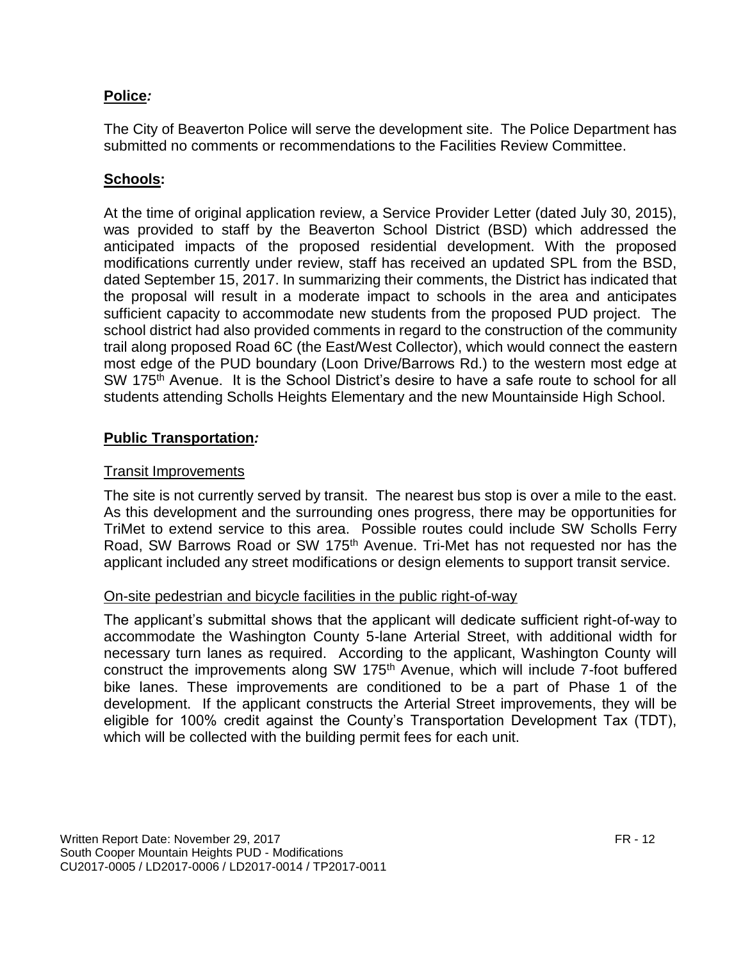# **Police***:*

The City of Beaverton Police will serve the development site. The Police Department has submitted no comments or recommendations to the Facilities Review Committee.

# **Schools:**

At the time of original application review, a Service Provider Letter (dated July 30, 2015), was provided to staff by the Beaverton School District (BSD) which addressed the anticipated impacts of the proposed residential development. With the proposed modifications currently under review, staff has received an updated SPL from the BSD, dated September 15, 2017. In summarizing their comments, the District has indicated that the proposal will result in a moderate impact to schools in the area and anticipates sufficient capacity to accommodate new students from the proposed PUD project. The school district had also provided comments in regard to the construction of the community trail along proposed Road 6C (the East/West Collector), which would connect the eastern most edge of the PUD boundary (Loon Drive/Barrows Rd.) to the western most edge at SW 175<sup>th</sup> Avenue. It is the School District's desire to have a safe route to school for all students attending Scholls Heights Elementary and the new Mountainside High School.

# **Public Transportation***:*

# Transit Improvements

The site is not currently served by transit. The nearest bus stop is over a mile to the east. As this development and the surrounding ones progress, there may be opportunities for TriMet to extend service to this area. Possible routes could include SW Scholls Ferry Road, SW Barrows Road or SW 175th Avenue. Tri-Met has not requested nor has the applicant included any street modifications or design elements to support transit service.

#### On-site pedestrian and bicycle facilities in the public right-of-way

The applicant's submittal shows that the applicant will dedicate sufficient right-of-way to accommodate the Washington County 5-lane Arterial Street, with additional width for necessary turn lanes as required. According to the applicant, Washington County will construct the improvements along SW 175<sup>th</sup> Avenue, which will include 7-foot buffered bike lanes. These improvements are conditioned to be a part of Phase 1 of the development. If the applicant constructs the Arterial Street improvements, they will be eligible for 100% credit against the County's Transportation Development Tax (TDT), which will be collected with the building permit fees for each unit.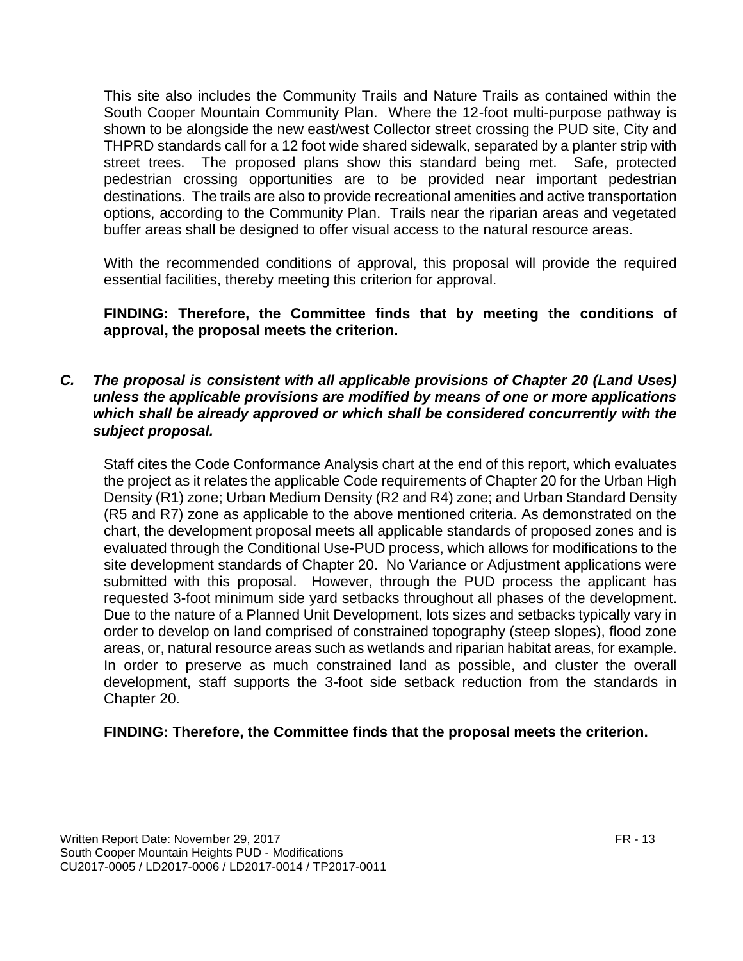This site also includes the Community Trails and Nature Trails as contained within the South Cooper Mountain Community Plan. Where the 12-foot multi-purpose pathway is shown to be alongside the new east/west Collector street crossing the PUD site, City and THPRD standards call for a 12 foot wide shared sidewalk, separated by a planter strip with street trees. The proposed plans show this standard being met. Safe, protected pedestrian crossing opportunities are to be provided near important pedestrian destinations. The trails are also to provide recreational amenities and active transportation options, according to the Community Plan. Trails near the riparian areas and vegetated buffer areas shall be designed to offer visual access to the natural resource areas.

With the recommended conditions of approval, this proposal will provide the required essential facilities, thereby meeting this criterion for approval.

# **FINDING: Therefore, the Committee finds that by meeting the conditions of approval, the proposal meets the criterion.**

#### *C. The proposal is consistent with all applicable provisions of Chapter 20 (Land Uses) unless the applicable provisions are modified by means of one or more applications which shall be already approved or which shall be considered concurrently with the subject proposal.*

Staff cites the Code Conformance Analysis chart at the end of this report, which evaluates the project as it relates the applicable Code requirements of Chapter 20 for the Urban High Density (R1) zone; Urban Medium Density (R2 and R4) zone; and Urban Standard Density (R5 and R7) zone as applicable to the above mentioned criteria. As demonstrated on the chart, the development proposal meets all applicable standards of proposed zones and is evaluated through the Conditional Use-PUD process, which allows for modifications to the site development standards of Chapter 20. No Variance or Adjustment applications were submitted with this proposal. However, through the PUD process the applicant has requested 3-foot minimum side yard setbacks throughout all phases of the development. Due to the nature of a Planned Unit Development, lots sizes and setbacks typically vary in order to develop on land comprised of constrained topography (steep slopes), flood zone areas, or, natural resource areas such as wetlands and riparian habitat areas, for example. In order to preserve as much constrained land as possible, and cluster the overall development, staff supports the 3-foot side setback reduction from the standards in Chapter 20.

#### **FINDING: Therefore, the Committee finds that the proposal meets the criterion.**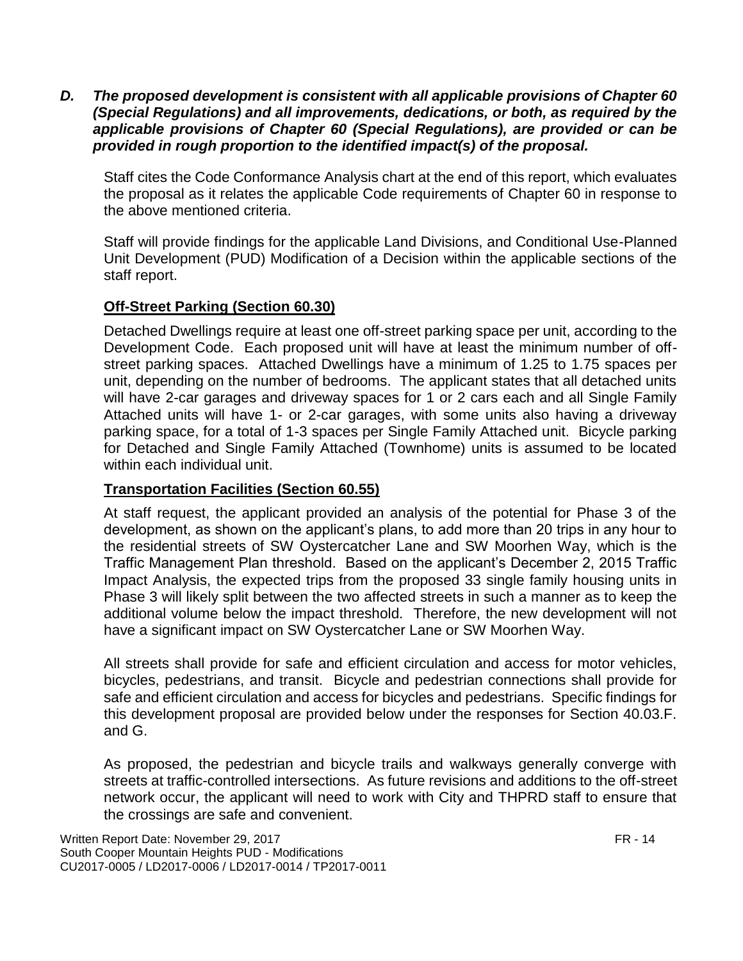*D. The proposed development is consistent with all applicable provisions of Chapter 60 (Special Regulations) and all improvements, dedications, or both, as required by the applicable provisions of Chapter 60 (Special Regulations), are provided or can be provided in rough proportion to the identified impact(s) of the proposal.*

Staff cites the Code Conformance Analysis chart at the end of this report, which evaluates the proposal as it relates the applicable Code requirements of Chapter 60 in response to the above mentioned criteria.

Staff will provide findings for the applicable Land Divisions, and Conditional Use-Planned Unit Development (PUD) Modification of a Decision within the applicable sections of the staff report.

# **Off-Street Parking (Section 60.30)**

Detached Dwellings require at least one off-street parking space per unit, according to the Development Code. Each proposed unit will have at least the minimum number of offstreet parking spaces. Attached Dwellings have a minimum of 1.25 to 1.75 spaces per unit, depending on the number of bedrooms. The applicant states that all detached units will have 2-car garages and driveway spaces for 1 or 2 cars each and all Single Family Attached units will have 1- or 2-car garages, with some units also having a driveway parking space, for a total of 1-3 spaces per Single Family Attached unit. Bicycle parking for Detached and Single Family Attached (Townhome) units is assumed to be located within each individual unit.

#### **Transportation Facilities (Section 60.55)**

At staff request, the applicant provided an analysis of the potential for Phase 3 of the development, as shown on the applicant's plans, to add more than 20 trips in any hour to the residential streets of SW Oystercatcher Lane and SW Moorhen Way, which is the Traffic Management Plan threshold. Based on the applicant's December 2, 2015 Traffic Impact Analysis, the expected trips from the proposed 33 single family housing units in Phase 3 will likely split between the two affected streets in such a manner as to keep the additional volume below the impact threshold. Therefore, the new development will not have a significant impact on SW Oystercatcher Lane or SW Moorhen Way.

All streets shall provide for safe and efficient circulation and access for motor vehicles, bicycles, pedestrians, and transit. Bicycle and pedestrian connections shall provide for safe and efficient circulation and access for bicycles and pedestrians. Specific findings for this development proposal are provided below under the responses for Section 40.03.F. and G.

As proposed, the pedestrian and bicycle trails and walkways generally converge with streets at traffic-controlled intersections. As future revisions and additions to the off-street network occur, the applicant will need to work with City and THPRD staff to ensure that the crossings are safe and convenient.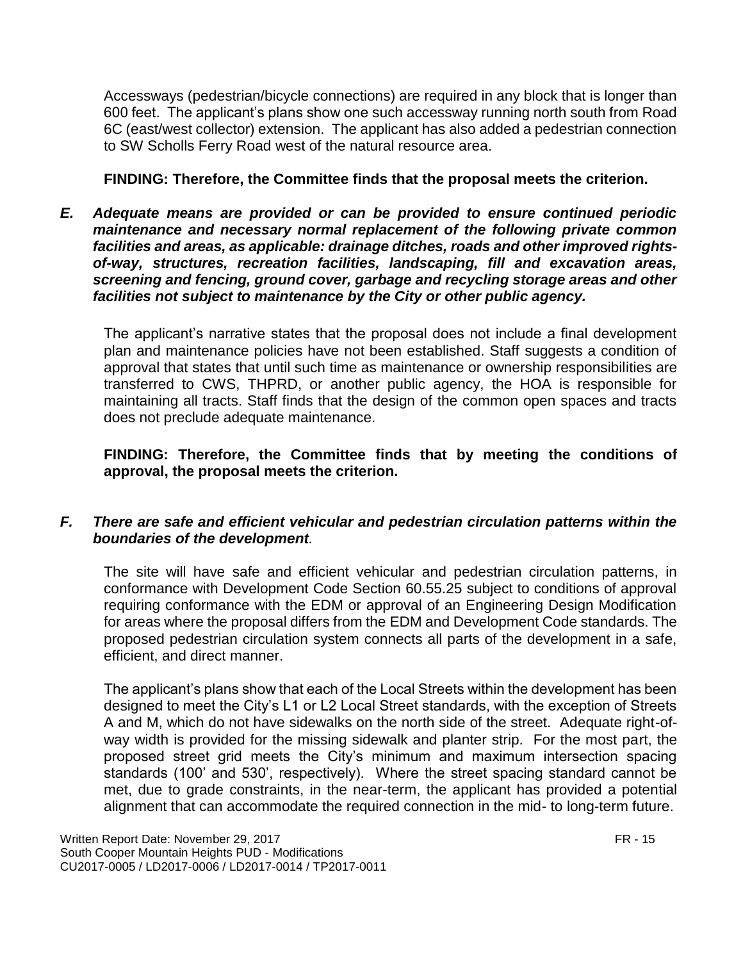Accessways (pedestrian/bicycle connections) are required in any block that is longer than 600 feet. The applicant's plans show one such accessway running north south from Road 6C (east/west collector) extension. The applicant has also added a pedestrian connection to SW Scholls Ferry Road west of the natural resource area.

#### **FINDING: Therefore, the Committee finds that the proposal meets the criterion.**

*E. Adequate means are provided or can be provided to ensure continued periodic maintenance and necessary normal replacement of the following private common facilities and areas, as applicable: drainage ditches, roads and other improved rightsof-way, structures, recreation facilities, landscaping, fill and excavation areas, screening and fencing, ground cover, garbage and recycling storage areas and other facilities not subject to maintenance by the City or other public agency.*

The applicant's narrative states that the proposal does not include a final development plan and maintenance policies have not been established. Staff suggests a condition of approval that states that until such time as maintenance or ownership responsibilities are transferred to CWS, THPRD, or another public agency, the HOA is responsible for maintaining all tracts. Staff finds that the design of the common open spaces and tracts does not preclude adequate maintenance.

**FINDING: Therefore, the Committee finds that by meeting the conditions of approval, the proposal meets the criterion.** 

# *F. There are safe and efficient vehicular and pedestrian circulation patterns within the boundaries of the development.*

The site will have safe and efficient vehicular and pedestrian circulation patterns, in conformance with Development Code Section 60.55.25 subject to conditions of approval requiring conformance with the EDM or approval of an Engineering Design Modification for areas where the proposal differs from the EDM and Development Code standards. The proposed pedestrian circulation system connects all parts of the development in a safe, efficient, and direct manner.

The applicant's plans show that each of the Local Streets within the development has been designed to meet the City's L1 or L2 Local Street standards, with the exception of Streets A and M, which do not have sidewalks on the north side of the street. Adequate right-ofway width is provided for the missing sidewalk and planter strip. For the most part, the proposed street grid meets the City's minimum and maximum intersection spacing standards (100' and 530', respectively). Where the street spacing standard cannot be met, due to grade constraints, in the near-term, the applicant has provided a potential alignment that can accommodate the required connection in the mid- to long-term future.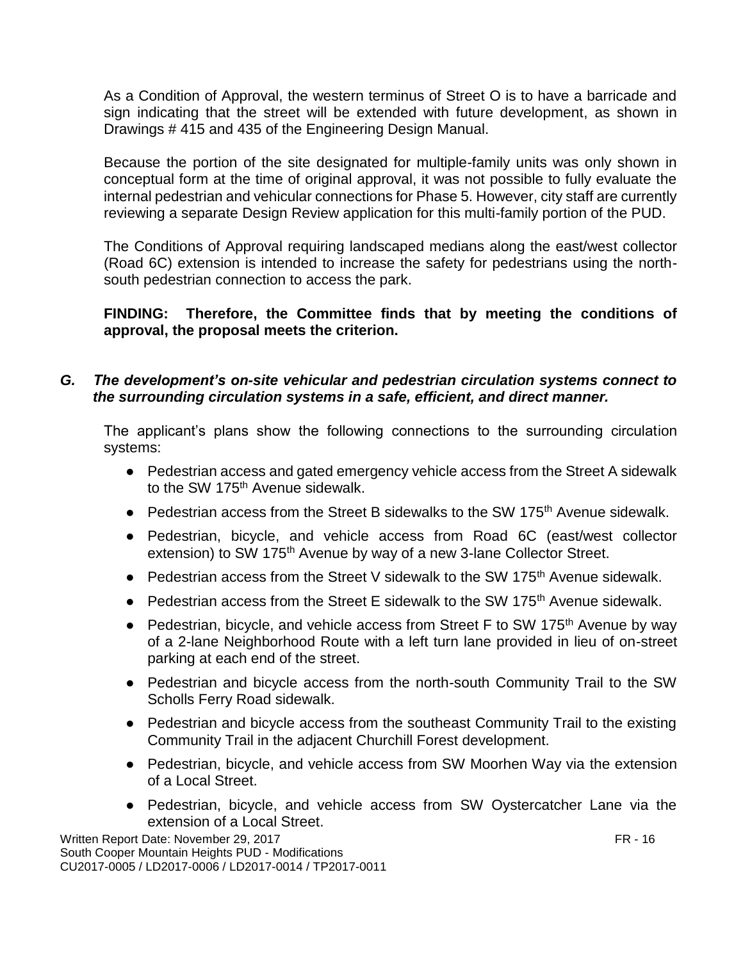As a Condition of Approval, the western terminus of Street O is to have a barricade and sign indicating that the street will be extended with future development, as shown in Drawings # 415 and 435 of the Engineering Design Manual.

Because the portion of the site designated for multiple-family units was only shown in conceptual form at the time of original approval, it was not possible to fully evaluate the internal pedestrian and vehicular connections for Phase 5. However, city staff are currently reviewing a separate Design Review application for this multi-family portion of the PUD.

The Conditions of Approval requiring landscaped medians along the east/west collector (Road 6C) extension is intended to increase the safety for pedestrians using the northsouth pedestrian connection to access the park.

# **FINDING: Therefore, the Committee finds that by meeting the conditions of approval, the proposal meets the criterion.**

#### *G. The development's on-site vehicular and pedestrian circulation systems connect to the surrounding circulation systems in a safe, efficient, and direct manner.*

The applicant's plans show the following connections to the surrounding circulation systems:

- Pedestrian access and gated emergency vehicle access from the Street A sidewalk to the SW 175<sup>th</sup> Avenue sidewalk.
- Pedestrian access from the Street B sidewalks to the SW 175<sup>th</sup> Avenue sidewalk.
- Pedestrian, bicycle, and vehicle access from Road 6C (east/west collector extension) to SW 175<sup>th</sup> Avenue by way of a new 3-lane Collector Street.
- Pedestrian access from the Street V sidewalk to the SW 175<sup>th</sup> Avenue sidewalk.
- Pedestrian access from the Street E sidewalk to the SW 175<sup>th</sup> Avenue sidewalk.
- Pedestrian, bicycle, and vehicle access from Street F to SW 175<sup>th</sup> Avenue by way of a 2-lane Neighborhood Route with a left turn lane provided in lieu of on-street parking at each end of the street.
- Pedestrian and bicycle access from the north-south Community Trail to the SW Scholls Ferry Road sidewalk.
- Pedestrian and bicycle access from the southeast Community Trail to the existing Community Trail in the adjacent Churchill Forest development.
- Pedestrian, bicycle, and vehicle access from SW Moorhen Way via the extension of a Local Street.
- Pedestrian, bicycle, and vehicle access from SW Oystercatcher Lane via the extension of a Local Street.

Written Report Date: November 29, 2017 **FR** - 16 South Cooper Mountain Heights PUD - Modifications CU2017-0005 / LD2017-0006 / LD2017-0014 / TP2017-0011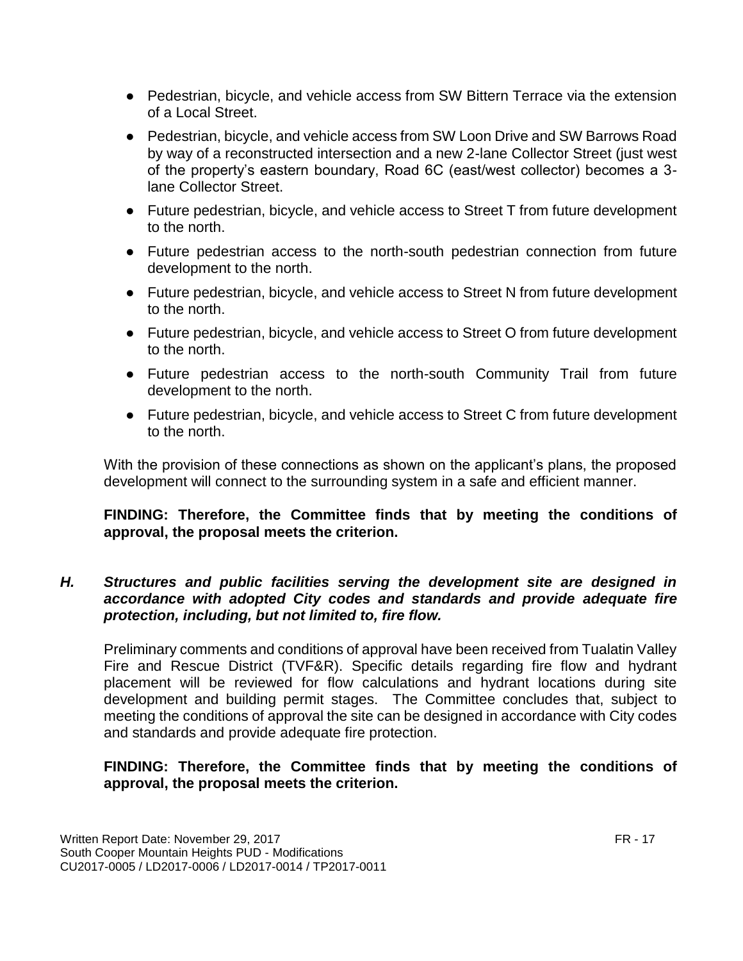- Pedestrian, bicycle, and vehicle access from SW Bittern Terrace via the extension of a Local Street.
- Pedestrian, bicycle, and vehicle access from SW Loon Drive and SW Barrows Road by way of a reconstructed intersection and a new 2-lane Collector Street (just west of the property's eastern boundary, Road 6C (east/west collector) becomes a 3 lane Collector Street.
- Future pedestrian, bicycle, and vehicle access to Street T from future development to the north.
- Future pedestrian access to the north-south pedestrian connection from future development to the north.
- Future pedestrian, bicycle, and vehicle access to Street N from future development to the north.
- Future pedestrian, bicycle, and vehicle access to Street O from future development to the north.
- Future pedestrian access to the north-south Community Trail from future development to the north.
- Future pedestrian, bicycle, and vehicle access to Street C from future development to the north.

With the provision of these connections as shown on the applicant's plans, the proposed development will connect to the surrounding system in a safe and efficient manner.

# **FINDING: Therefore, the Committee finds that by meeting the conditions of approval, the proposal meets the criterion.**

#### *H. Structures and public facilities serving the development site are designed in accordance with adopted City codes and standards and provide adequate fire protection, including, but not limited to, fire flow.*

Preliminary comments and conditions of approval have been received from Tualatin Valley Fire and Rescue District (TVF&R). Specific details regarding fire flow and hydrant placement will be reviewed for flow calculations and hydrant locations during site development and building permit stages. The Committee concludes that, subject to meeting the conditions of approval the site can be designed in accordance with City codes and standards and provide adequate fire protection.

# **FINDING: Therefore, the Committee finds that by meeting the conditions of approval, the proposal meets the criterion.**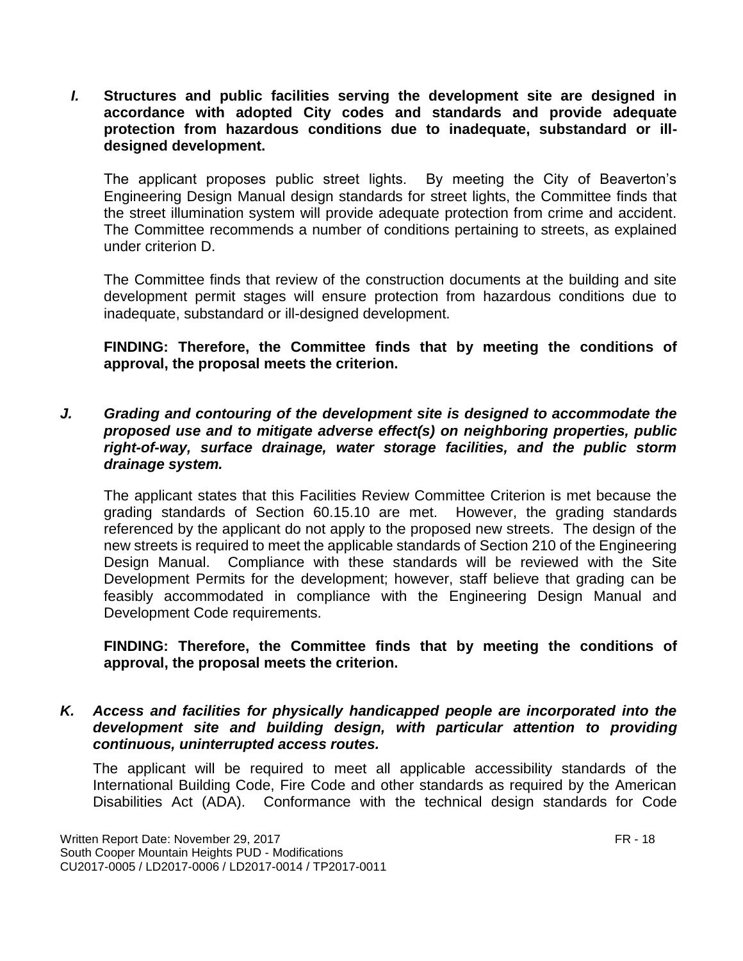*I.* **Structures and public facilities serving the development site are designed in accordance with adopted City codes and standards and provide adequate protection from hazardous conditions due to inadequate, substandard or illdesigned development.**

The applicant proposes public street lights. By meeting the City of Beaverton's Engineering Design Manual design standards for street lights, the Committee finds that the street illumination system will provide adequate protection from crime and accident. The Committee recommends a number of conditions pertaining to streets, as explained under criterion D.

The Committee finds that review of the construction documents at the building and site development permit stages will ensure protection from hazardous conditions due to inadequate, substandard or ill-designed development.

#### **FINDING: Therefore, the Committee finds that by meeting the conditions of approval, the proposal meets the criterion.**

*J. Grading and contouring of the development site is designed to accommodate the proposed use and to mitigate adverse effect(s) on neighboring properties, public right-of-way, surface drainage, water storage facilities, and the public storm drainage system.*

The applicant states that this Facilities Review Committee Criterion is met because the grading standards of Section 60.15.10 are met. However, the grading standards referenced by the applicant do not apply to the proposed new streets. The design of the new streets is required to meet the applicable standards of Section 210 of the Engineering Design Manual. Compliance with these standards will be reviewed with the Site Development Permits for the development; however, staff believe that grading can be feasibly accommodated in compliance with the Engineering Design Manual and Development Code requirements.

#### **FINDING: Therefore, the Committee finds that by meeting the conditions of approval, the proposal meets the criterion.**

*K. Access and facilities for physically handicapped people are incorporated into the development site and building design, with particular attention to providing continuous, uninterrupted access routes.*

The applicant will be required to meet all applicable accessibility standards of the International Building Code, Fire Code and other standards as required by the American Disabilities Act (ADA). Conformance with the technical design standards for Code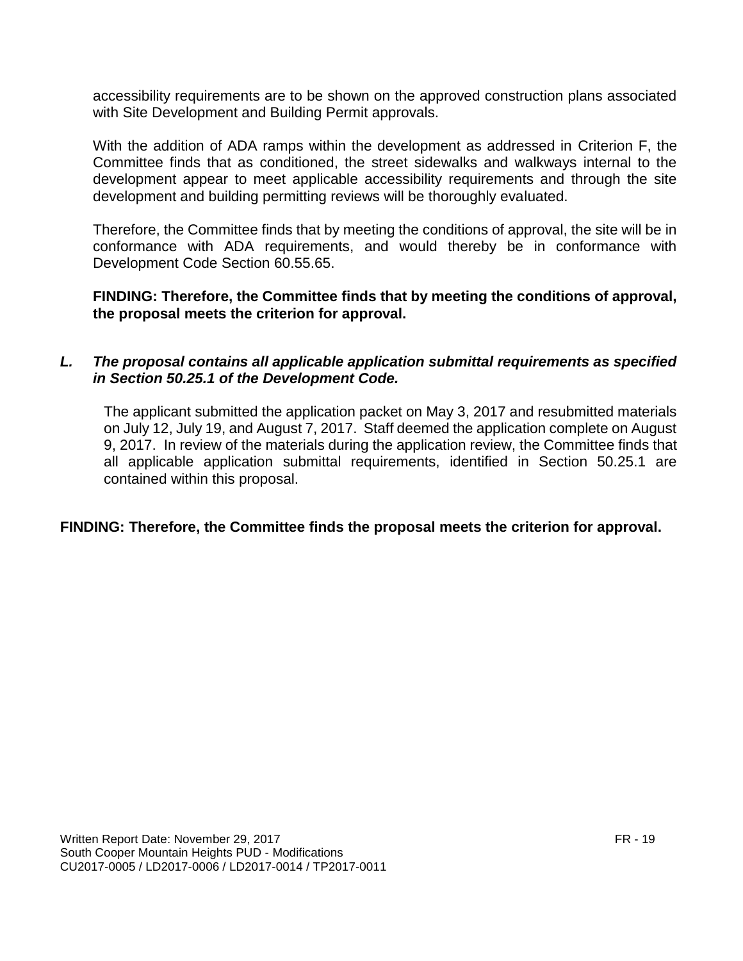accessibility requirements are to be shown on the approved construction plans associated with Site Development and Building Permit approvals.

With the addition of ADA ramps within the development as addressed in Criterion F, the Committee finds that as conditioned, the street sidewalks and walkways internal to the development appear to meet applicable accessibility requirements and through the site development and building permitting reviews will be thoroughly evaluated.

Therefore, the Committee finds that by meeting the conditions of approval, the site will be in conformance with ADA requirements, and would thereby be in conformance with Development Code Section 60.55.65.

**FINDING: Therefore, the Committee finds that by meeting the conditions of approval, the proposal meets the criterion for approval.**

#### *L. The proposal contains all applicable application submittal requirements as specified in Section 50.25.1 of the Development Code.*

The applicant submitted the application packet on May 3, 2017 and resubmitted materials on July 12, July 19, and August 7, 2017. Staff deemed the application complete on August 9, 2017. In review of the materials during the application review, the Committee finds that all applicable application submittal requirements, identified in Section 50.25.1 are contained within this proposal.

#### **FINDING: Therefore, the Committee finds the proposal meets the criterion for approval.**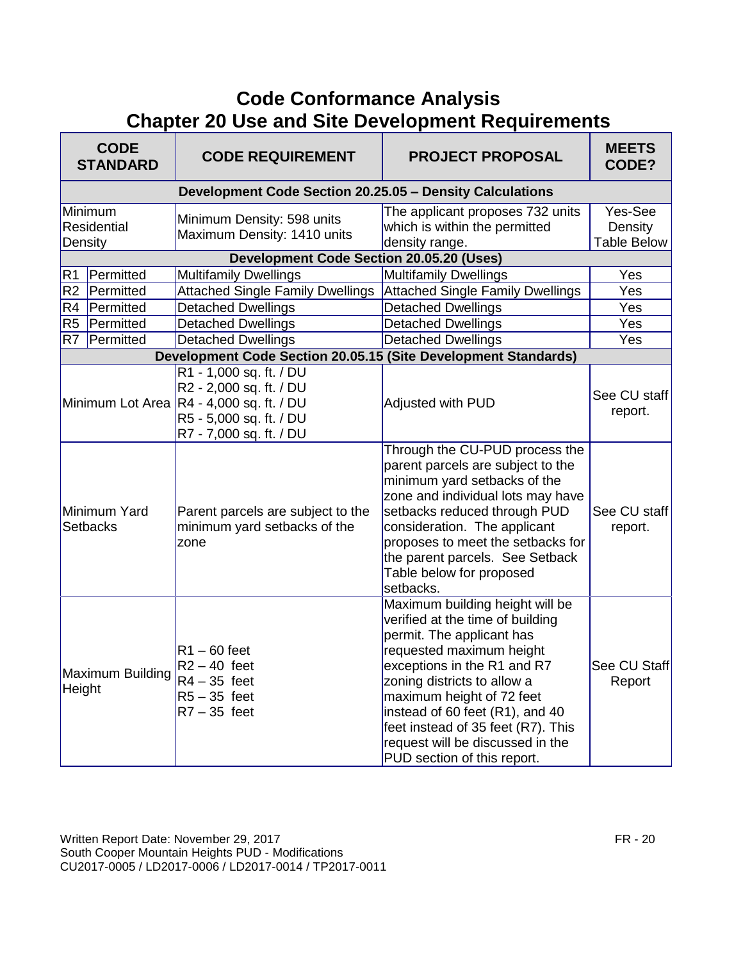# **Code Conformance Analysis Chapter 20 Use and Site Development Requirements**

| <b>CODE</b><br><b>STANDARD</b>           | <b>CODE REQUIREMENT</b>                                                                                                                              | <b>PROJECT PROPOSAL</b>                                                                                                                                                                                                                                                                                                                                             | <b>MEETS</b><br>CODE?                    |
|------------------------------------------|------------------------------------------------------------------------------------------------------------------------------------------------------|---------------------------------------------------------------------------------------------------------------------------------------------------------------------------------------------------------------------------------------------------------------------------------------------------------------------------------------------------------------------|------------------------------------------|
|                                          | Development Code Section 20.25.05 - Density Calculations                                                                                             |                                                                                                                                                                                                                                                                                                                                                                     |                                          |
| Minimum<br><b>Residential</b><br>Density | Minimum Density: 598 units<br>Maximum Density: 1410 units                                                                                            | The applicant proposes 732 units<br>which is within the permitted<br>density range.                                                                                                                                                                                                                                                                                 | Yes-See<br>Density<br><b>Table Below</b> |
|                                          | <b>Development Code Section 20.05.20 (Uses)</b>                                                                                                      |                                                                                                                                                                                                                                                                                                                                                                     |                                          |
| Permitted<br>R <sub>1</sub>              | <b>Multifamily Dwellings</b>                                                                                                                         | <b>Multifamily Dwellings</b>                                                                                                                                                                                                                                                                                                                                        | Yes                                      |
| R <sub>2</sub><br>Permitted              | <b>Attached Single Family Dwellings</b>                                                                                                              | <b>Attached Single Family Dwellings</b>                                                                                                                                                                                                                                                                                                                             | Yes                                      |
| R4<br>Permitted                          | <b>Detached Dwellings</b>                                                                                                                            | <b>Detached Dwellings</b>                                                                                                                                                                                                                                                                                                                                           | Yes                                      |
| R <sub>5</sub><br>Permitted              | Detached Dwellings                                                                                                                                   | Detached Dwellings                                                                                                                                                                                                                                                                                                                                                  | Yes                                      |
| Permitted<br>R <sub>7</sub>              | <b>Detached Dwellings</b>                                                                                                                            | <b>Detached Dwellings</b>                                                                                                                                                                                                                                                                                                                                           | Yes                                      |
|                                          | Development Code Section 20.05.15 (Site Development Standards)                                                                                       |                                                                                                                                                                                                                                                                                                                                                                     |                                          |
|                                          | R1 - 1,000 sq. ft. / DU<br>R2 - 2,000 sq. ft. / DU<br>Minimum Lot Area R4 - 4,000 sq. ft. / DU<br>R5 - 5,000 sq. ft. / DU<br>R7 - 7,000 sq. ft. / DU | Adjusted with PUD                                                                                                                                                                                                                                                                                                                                                   | See CU staff<br>report.                  |
| Minimum Yard<br><b>Setbacks</b>          | Parent parcels are subject to the<br>minimum yard setbacks of the<br>zone                                                                            | Through the CU-PUD process the<br>parent parcels are subject to the<br>minimum yard setbacks of the<br>zone and individual lots may have<br>setbacks reduced through PUD<br>consideration. The applicant<br>proposes to meet the setbacks for<br>the parent parcels. See Setback<br>Table below for proposed<br>setbacks.                                           | See CU staff<br>report.                  |
| Maximum Building<br>Height               | $R1 - 60$ feet<br>$R2 - 40$ feet<br>$R4 - 35$ feet<br>$R5 - 35$ feet<br>$R7 - 35$ feet                                                               | Maximum building height will be<br>verified at the time of building<br>permit. The applicant has<br>requested maximum height<br>exceptions in the R1 and R7<br>zoning districts to allow a<br>maximum height of 72 feet<br>instead of 60 feet (R1), and 40<br>feet instead of 35 feet (R7). This<br>request will be discussed in the<br>PUD section of this report. | See CU Staff<br>Report                   |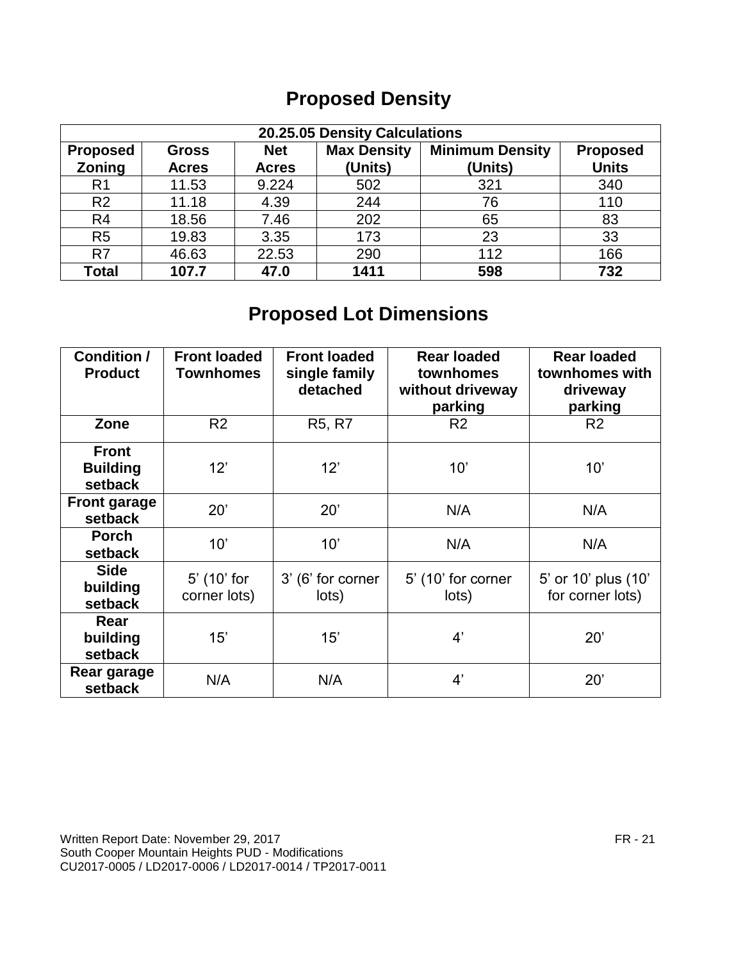# **Proposed Density**

| 20.25.05 Density Calculations                                                                                    |              |              |         |         |              |
|------------------------------------------------------------------------------------------------------------------|--------------|--------------|---------|---------|--------------|
| <b>Minimum Density</b><br><b>Max Density</b><br><b>Net</b><br><b>Proposed</b><br><b>Proposed</b><br><b>Gross</b> |              |              |         |         |              |
| Zoning                                                                                                           | <b>Acres</b> | <b>Acres</b> | (Units) | (Units) | <b>Units</b> |
| R <sub>1</sub>                                                                                                   | 11.53        | 9.224        | 502     | 321     | 340          |
| R <sub>2</sub>                                                                                                   | 11.18        | 4.39         | 244     | 76      | 110          |
| R <sub>4</sub>                                                                                                   | 18.56        | 7.46         | 202     | 65      | 83           |
| R <sub>5</sub>                                                                                                   | 19.83        | 3.35         | 173     | 23      | 33           |
| R7                                                                                                               | 46.63        | 22.53        | 290     | 112     | 166          |
| <b>Total</b>                                                                                                     | 107.7        | 47.0         | 1411    | 598     | 732          |

# **Proposed Lot Dimensions**

| <b>Condition /</b><br><b>Product</b>       | <b>Front loaded</b><br><b>Townhomes</b> | <b>Front loaded</b><br>single family<br>detached | <b>Rear loaded</b><br>townhomes<br>without driveway<br>parking | <b>Rear loaded</b><br>townhomes with<br>driveway<br>parking |
|--------------------------------------------|-----------------------------------------|--------------------------------------------------|----------------------------------------------------------------|-------------------------------------------------------------|
| Zone                                       | R <sub>2</sub>                          | R <sub>5</sub> , R <sub>7</sub>                  | R <sub>2</sub>                                                 | R <sub>2</sub>                                              |
| <b>Front</b><br><b>Building</b><br>setback | 12'                                     | 12'                                              | 10'                                                            | 10'                                                         |
| <b>Front garage</b><br>setback             | 20'                                     | 20'                                              | N/A                                                            | N/A                                                         |
| <b>Porch</b><br>setback                    | 10'                                     | 10'                                              | N/A                                                            | N/A                                                         |
| <b>Side</b><br>building<br>setback         | 5' (10' for<br>corner lots)             | 3' (6' for corner<br>lots)                       | 5' (10' for corner<br>lots)                                    | 5' or 10' plus (10'<br>for corner lots)                     |
| Rear<br>building<br>setback                | 15'                                     | 15'                                              | 4'                                                             | 20'                                                         |
| Rear garage<br>setback                     | N/A                                     | N/A                                              | 4'                                                             | 20'                                                         |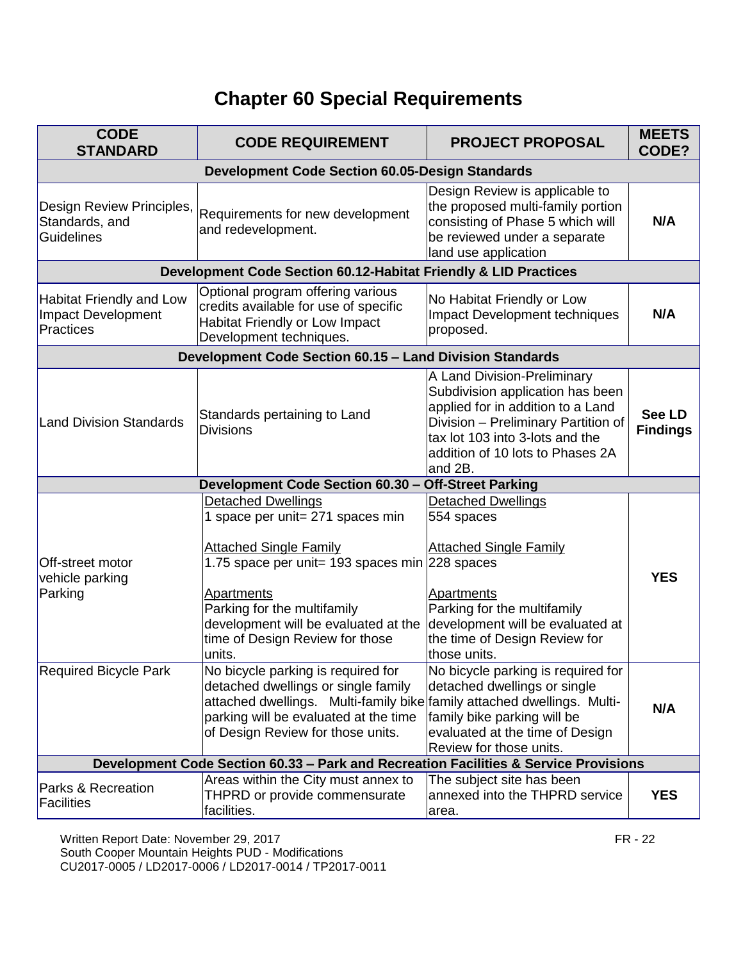# **Chapter 60 Special Requirements**

| <b>CODE</b><br><b>STANDARD</b>                                                       | <b>CODE REQUIREMENT</b>                                                                                                                                                                                                            | <b>PROJECT PROPOSAL</b>                                                                                                                                                                                                       | <b>MEETS</b><br>CODE?            |  |  |
|--------------------------------------------------------------------------------------|------------------------------------------------------------------------------------------------------------------------------------------------------------------------------------------------------------------------------------|-------------------------------------------------------------------------------------------------------------------------------------------------------------------------------------------------------------------------------|----------------------------------|--|--|
| <b>Development Code Section 60.05-Design Standards</b>                               |                                                                                                                                                                                                                                    |                                                                                                                                                                                                                               |                                  |  |  |
| Design Review Principles,<br>Standards, and<br><b>Guidelines</b>                     | Requirements for new development<br>and redevelopment.                                                                                                                                                                             | Design Review is applicable to<br>the proposed multi-family portion<br>consisting of Phase 5 which will<br>be reviewed under a separate<br>land use application                                                               | N/A                              |  |  |
|                                                                                      | Development Code Section 60.12-Habitat Friendly & LID Practices                                                                                                                                                                    |                                                                                                                                                                                                                               |                                  |  |  |
| <b>Habitat Friendly and Low</b><br><b>Impact Development</b><br><b>Practices</b>     | Optional program offering various<br>credits available for use of specific<br>Habitat Friendly or Low Impact<br>Development techniques.                                                                                            | No Habitat Friendly or Low<br>Impact Development techniques<br>proposed.                                                                                                                                                      | N/A                              |  |  |
|                                                                                      | Development Code Section 60.15 - Land Division Standards                                                                                                                                                                           |                                                                                                                                                                                                                               |                                  |  |  |
| <b>Land Division Standards</b>                                                       | Standards pertaining to Land<br><b>Divisions</b>                                                                                                                                                                                   | A Land Division-Preliminary<br>Subdivision application has been<br>applied for in addition to a Land<br>Division - Preliminary Partition of<br>tax lot 103 into 3-lots and the<br>addition of 10 lots to Phases 2A<br>and 2B. | <b>See LD</b><br><b>Findings</b> |  |  |
|                                                                                      | Development Code Section 60.30 - Off-Street Parking                                                                                                                                                                                |                                                                                                                                                                                                                               |                                  |  |  |
| Off-street motor                                                                     | <b>Detached Dwellings</b><br>1 space per unit= 271 spaces min<br><b>Attached Single Family</b><br>1.75 space per unit= 193 spaces min 228 spaces                                                                                   | Detached Dwellings<br>554 spaces<br><b>Attached Single Family</b>                                                                                                                                                             |                                  |  |  |
| vehicle parking<br>Parking                                                           | <b>Apartments</b><br>Parking for the multifamily<br>development will be evaluated at the<br>time of Design Review for those<br>units.                                                                                              | Apartments<br>Parking for the multifamily<br>development will be evaluated at<br>the time of Design Review for<br>those units.                                                                                                | <b>YES</b>                       |  |  |
| <b>Required Bicycle Park</b>                                                         | No bicycle parking is required for<br>detached dwellings or single family<br>attached dwellings. Multi-family bike family attached dwellings. Multi-<br>parking will be evaluated at the time<br>of Design Review for those units. | No bicycle parking is required for<br>detached dwellings or single<br>family bike parking will be<br>evaluated at the time of Design<br>Review for those units.                                                               | N/A                              |  |  |
| Development Code Section 60.33 - Park and Recreation Facilities & Service Provisions |                                                                                                                                                                                                                                    |                                                                                                                                                                                                                               |                                  |  |  |
| Parks & Recreation<br><b>Facilities</b>                                              | Areas within the City must annex to<br>THPRD or provide commensurate<br>facilities.                                                                                                                                                | The subject site has been<br>annexed into the THPRD service<br>area.                                                                                                                                                          | <b>YES</b>                       |  |  |

Written Report Date: November 29, 2017 **FR** - 22 South Cooper Mountain Heights PUD - Modifications CU2017-0005 / LD2017-0006 / LD2017-0014 / TP2017-0011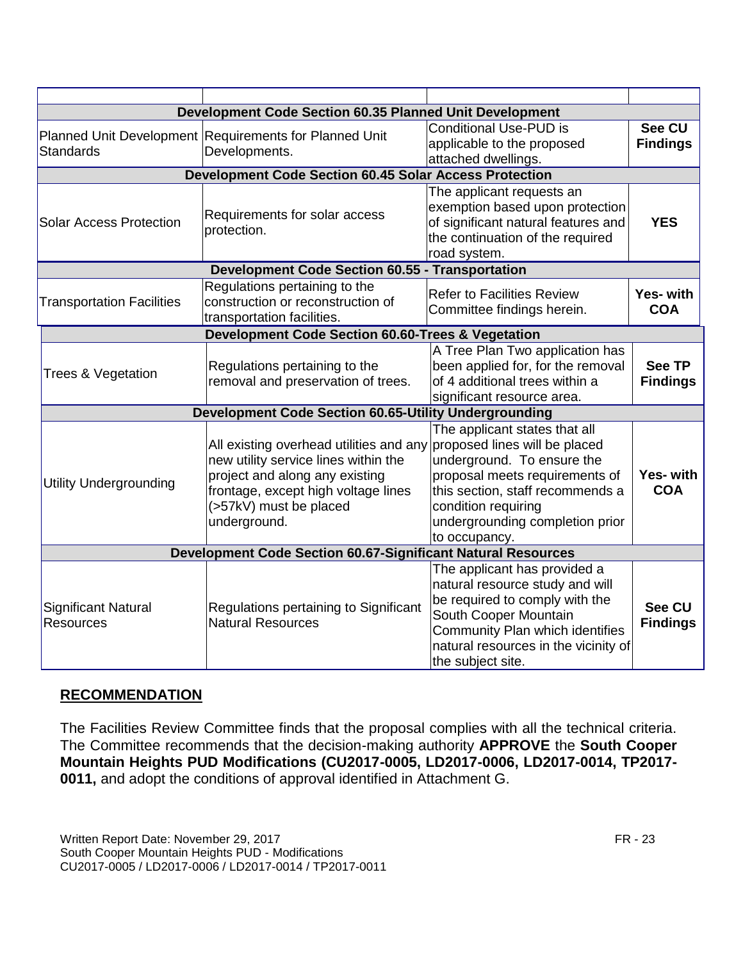| <b>Development Code Section 60.35 Planned Unit Development</b>      |                                                                                                                                                                                                    |                                                                                                                                                                                                                                               |                                  |
|---------------------------------------------------------------------|----------------------------------------------------------------------------------------------------------------------------------------------------------------------------------------------------|-----------------------------------------------------------------------------------------------------------------------------------------------------------------------------------------------------------------------------------------------|----------------------------------|
| <b>Standards</b>                                                    | Planned Unit Development Requirements for Planned Unit<br>Developments.                                                                                                                            | <b>Conditional Use-PUD is</b><br>applicable to the proposed<br>attached dwellings.                                                                                                                                                            | <b>See CU</b><br><b>Findings</b> |
| <b>Development Code Section 60.45 Solar Access Protection</b>       |                                                                                                                                                                                                    |                                                                                                                                                                                                                                               |                                  |
| <b>Solar Access Protection</b>                                      | Requirements for solar access<br>protection.                                                                                                                                                       | The applicant requests an<br>exemption based upon protection<br>of significant natural features and<br>the continuation of the required<br>road system.                                                                                       | <b>YES</b>                       |
| <b>Development Code Section 60.55 - Transportation</b>              |                                                                                                                                                                                                    |                                                                                                                                                                                                                                               |                                  |
| <b>Transportation Facilities</b>                                    | Regulations pertaining to the<br>construction or reconstruction of<br>transportation facilities.                                                                                                   | <b>Refer to Facilities Review</b><br>Committee findings herein.                                                                                                                                                                               | Yes- with<br><b>COA</b>          |
| Development Code Section 60.60-Trees & Vegetation                   |                                                                                                                                                                                                    |                                                                                                                                                                                                                                               |                                  |
| Trees & Vegetation                                                  | Regulations pertaining to the<br>removal and preservation of trees.                                                                                                                                | A Tree Plan Two application has<br>been applied for, for the removal<br>of 4 additional trees within a<br>significant resource area.                                                                                                          | <b>See TP</b><br><b>Findings</b> |
| Development Code Section 60.65-Utility Undergrounding               |                                                                                                                                                                                                    |                                                                                                                                                                                                                                               |                                  |
| <b>Utility Undergrounding</b>                                       | All existing overhead utilities and any<br>new utility service lines within the<br>project and along any existing<br>frontage, except high voltage lines<br>(>57kV) must be placed<br>underground. | The applicant states that all<br>proposed lines will be placed<br>underground. To ensure the<br>proposal meets requirements of<br>this section, staff recommends a<br>condition requiring<br>undergrounding completion prior<br>to occupancy. | Yes- with<br><b>COA</b>          |
| <b>Development Code Section 60.67-Significant Natural Resources</b> |                                                                                                                                                                                                    |                                                                                                                                                                                                                                               |                                  |
| <b>Significant Natural</b><br><b>Resources</b>                      | Regulations pertaining to Significant<br><b>Natural Resources</b>                                                                                                                                  | The applicant has provided a<br>natural resource study and will<br>be required to comply with the<br>South Cooper Mountain<br>Community Plan which identifies<br>natural resources in the vicinity of<br>the subject site.                    | <b>See CU</b><br><b>Findings</b> |

#### **RECOMMENDATION**

The Facilities Review Committee finds that the proposal complies with all the technical criteria. The Committee recommends that the decision-making authority **APPROVE** the **South Cooper Mountain Heights PUD Modifications (CU2017-0005, LD2017-0006, LD2017-0014, TP2017- 0011,** and adopt the conditions of approval identified in Attachment G.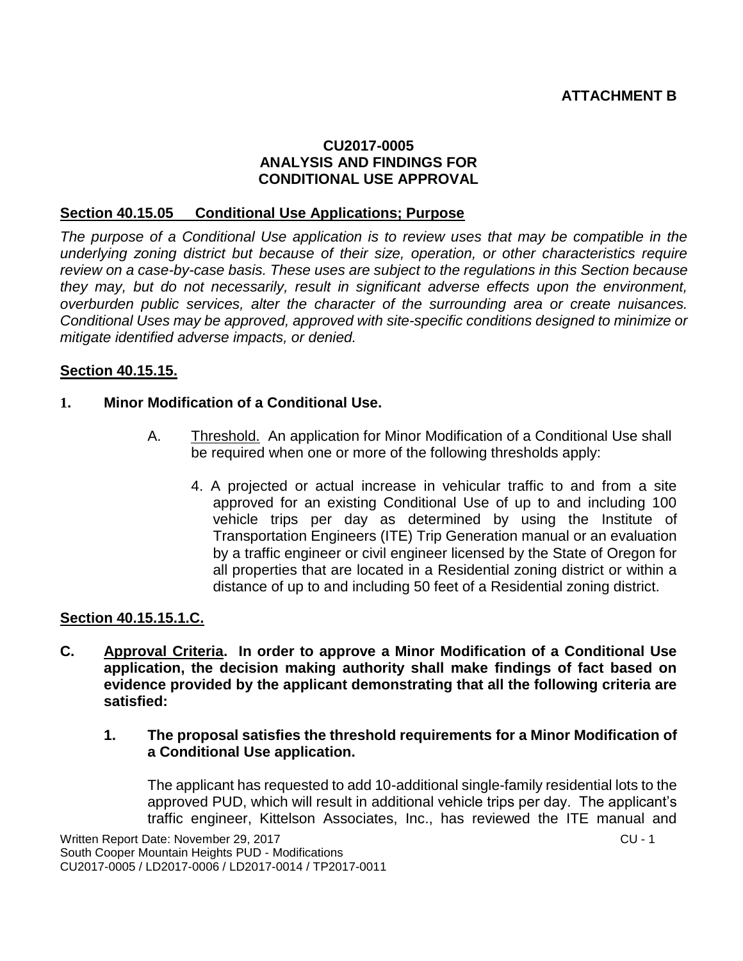#### **CU2017-0005 ANALYSIS AND FINDINGS FOR CONDITIONAL USE APPROVAL**

#### **Section 40.15.05 Conditional Use Applications; Purpose**

*The purpose of a Conditional Use application is to review uses that may be compatible in the underlying zoning district but because of their size, operation, or other characteristics require review on a case-by-case basis. These uses are subject to the regulations in this Section because they may, but do not necessarily, result in significant adverse effects upon the environment, overburden public services, alter the character of the surrounding area or create nuisances. Conditional Uses may be approved, approved with site-specific conditions designed to minimize or mitigate identified adverse impacts, or denied.*

#### **Section 40.15.15.**

#### **1. Minor Modification of a Conditional Use.**

- A. Threshold. An application for Minor Modification of a Conditional Use shall be required when one or more of the following thresholds apply:
	- 4. A projected or actual increase in vehicular traffic to and from a site approved for an existing Conditional Use of up to and including 100 vehicle trips per day as determined by using the Institute of Transportation Engineers (ITE) Trip Generation manual or an evaluation by a traffic engineer or civil engineer licensed by the State of Oregon for all properties that are located in a Residential zoning district or within a distance of up to and including 50 feet of a Residential zoning district.

#### **Section 40.15.15.1.C.**

**C. Approval Criteria. In order to approve a Minor Modification of a Conditional Use application, the decision making authority shall make findings of fact based on evidence provided by the applicant demonstrating that all the following criteria are satisfied:**

#### **1. The proposal satisfies the threshold requirements for a Minor Modification of a Conditional Use application.**

The applicant has requested to add 10-additional single-family residential lots to the approved PUD, which will result in additional vehicle trips per day. The applicant's traffic engineer, Kittelson Associates, Inc., has reviewed the ITE manual and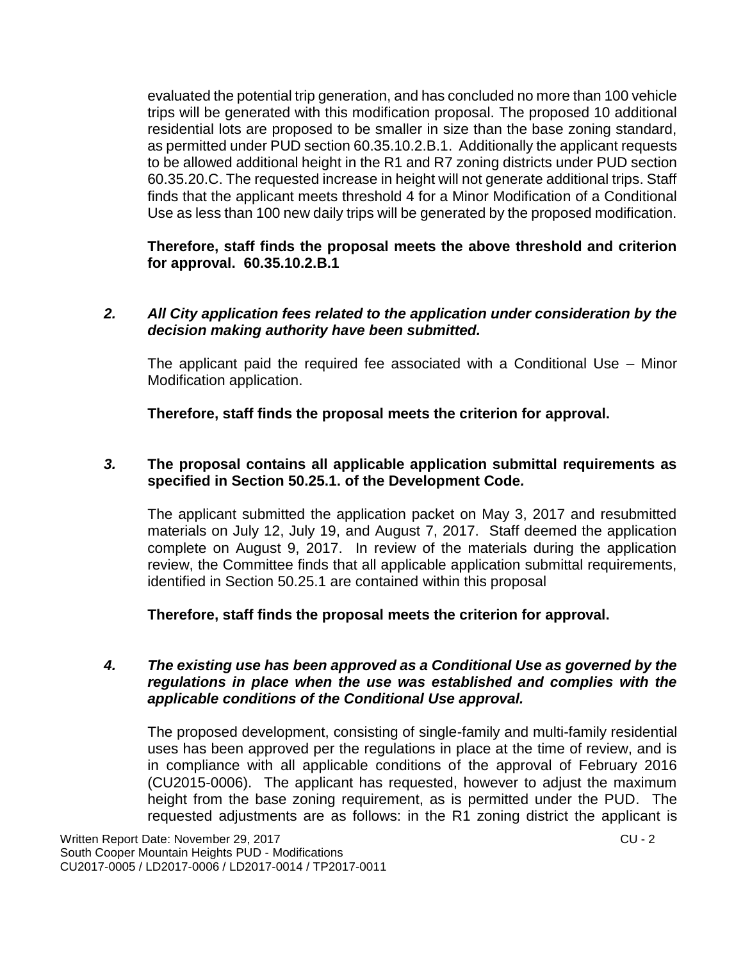evaluated the potential trip generation, and has concluded no more than 100 vehicle trips will be generated with this modification proposal. The proposed 10 additional residential lots are proposed to be smaller in size than the base zoning standard, as permitted under PUD section 60.35.10.2.B.1. Additionally the applicant requests to be allowed additional height in the R1 and R7 zoning districts under PUD section 60.35.20.C. The requested increase in height will not generate additional trips. Staff finds that the applicant meets threshold 4 for a Minor Modification of a Conditional Use as less than 100 new daily trips will be generated by the proposed modification.

**Therefore, staff finds the proposal meets the above threshold and criterion for approval. 60.35.10.2.B.1**

#### *2. All City application fees related to the application under consideration by the decision making authority have been submitted.*

The applicant paid the required fee associated with a Conditional Use – Minor Modification application.

**Therefore, staff finds the proposal meets the criterion for approval.**

#### *3.* **The proposal contains all applicable application submittal requirements as specified in Section 50.25.1. of the Development Code***.*

The applicant submitted the application packet on May 3, 2017 and resubmitted materials on July 12, July 19, and August 7, 2017. Staff deemed the application complete on August 9, 2017. In review of the materials during the application review, the Committee finds that all applicable application submittal requirements, identified in Section 50.25.1 are contained within this proposal

**Therefore, staff finds the proposal meets the criterion for approval.**

#### *4. The existing use has been approved as a Conditional Use as governed by the regulations in place when the use was established and complies with the applicable conditions of the Conditional Use approval.*

The proposed development, consisting of single-family and multi-family residential uses has been approved per the regulations in place at the time of review, and is in compliance with all applicable conditions of the approval of February 2016 (CU2015-0006). The applicant has requested, however to adjust the maximum height from the base zoning requirement, as is permitted under the PUD. The requested adjustments are as follows: in the R1 zoning district the applicant is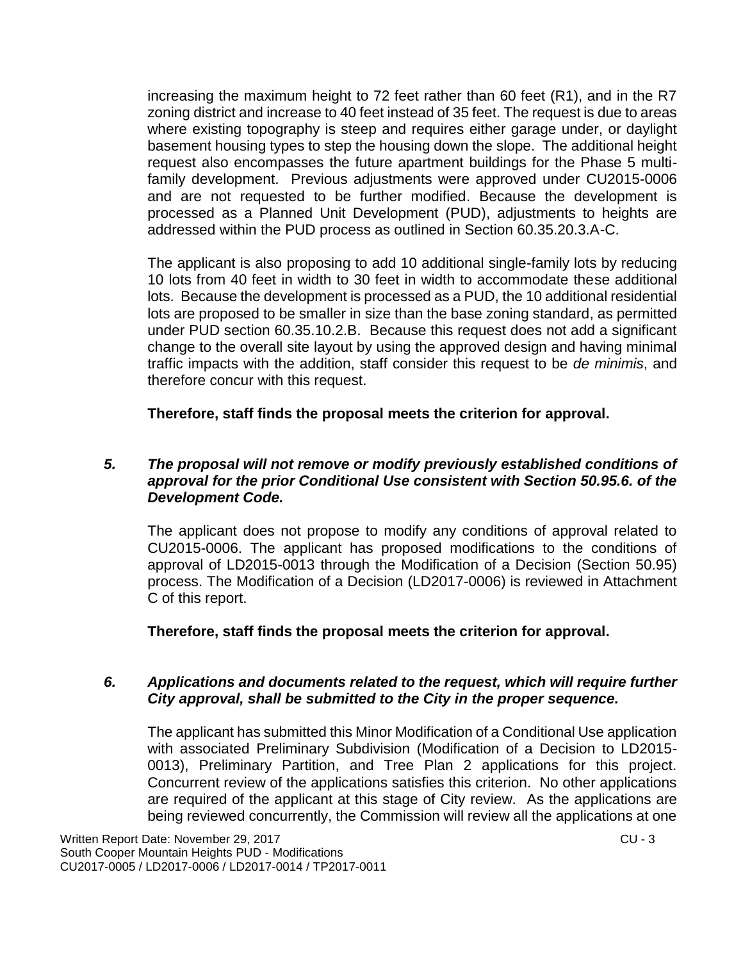increasing the maximum height to 72 feet rather than 60 feet (R1), and in the R7 zoning district and increase to 40 feet instead of 35 feet. The request is due to areas where existing topography is steep and requires either garage under, or daylight basement housing types to step the housing down the slope. The additional height request also encompasses the future apartment buildings for the Phase 5 multifamily development. Previous adjustments were approved under CU2015-0006 and are not requested to be further modified. Because the development is processed as a Planned Unit Development (PUD), adjustments to heights are addressed within the PUD process as outlined in Section 60.35.20.3.A-C.

The applicant is also proposing to add 10 additional single-family lots by reducing 10 lots from 40 feet in width to 30 feet in width to accommodate these additional lots. Because the development is processed as a PUD, the 10 additional residential lots are proposed to be smaller in size than the base zoning standard, as permitted under PUD section 60.35.10.2.B. Because this request does not add a significant change to the overall site layout by using the approved design and having minimal traffic impacts with the addition, staff consider this request to be *de minimis*, and therefore concur with this request.

**Therefore, staff finds the proposal meets the criterion for approval.**

#### *5. The proposal will not remove or modify previously established conditions of approval for the prior Conditional Use consistent with Section 50.95.6. of the Development Code.*

The applicant does not propose to modify any conditions of approval related to CU2015-0006. The applicant has proposed modifications to the conditions of approval of LD2015-0013 through the Modification of a Decision (Section 50.95) process. The Modification of a Decision (LD2017-0006) is reviewed in Attachment C of this report.

**Therefore, staff finds the proposal meets the criterion for approval.**

#### *6. Applications and documents related to the request, which will require further City approval, shall be submitted to the City in the proper sequence.*

The applicant has submitted this Minor Modification of a Conditional Use application with associated Preliminary Subdivision (Modification of a Decision to LD2015- 0013), Preliminary Partition, and Tree Plan 2 applications for this project. Concurrent review of the applications satisfies this criterion. No other applications are required of the applicant at this stage of City review. As the applications are being reviewed concurrently, the Commission will review all the applications at one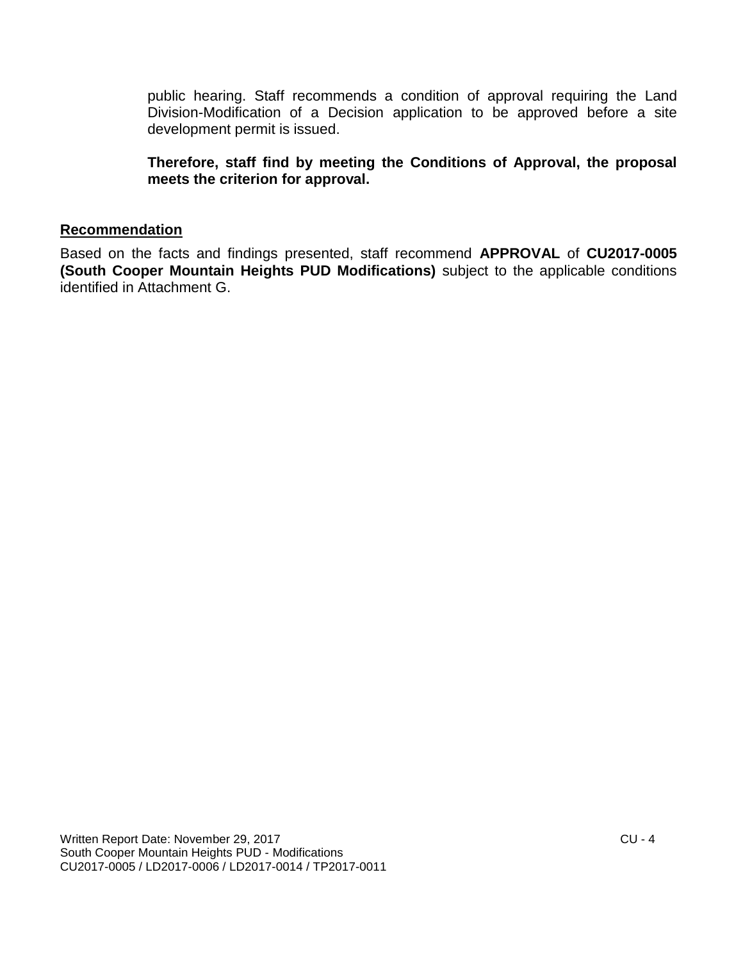public hearing. Staff recommends a condition of approval requiring the Land Division-Modification of a Decision application to be approved before a site development permit is issued.

**Therefore, staff find by meeting the Conditions of Approval, the proposal meets the criterion for approval.**

#### **Recommendation**

Based on the facts and findings presented, staff recommend **APPROVAL** of **CU2017-0005 (South Cooper Mountain Heights PUD Modifications)** subject to the applicable conditions identified in Attachment G.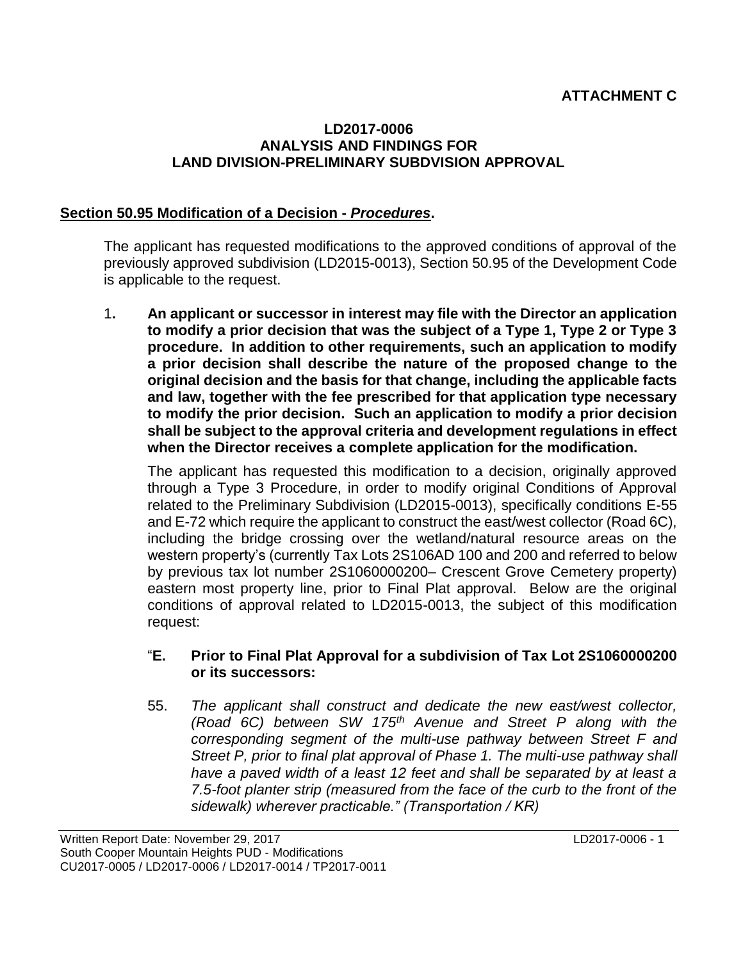# **ATTACHMENT C**

#### **LD2017-0006 ANALYSIS AND FINDINGS FOR LAND DIVISION-PRELIMINARY SUBDVISION APPROVAL**

#### **Section 50.95 Modification of a Decision -** *Procedures***.**

The applicant has requested modifications to the approved conditions of approval of the previously approved subdivision (LD2015-0013), Section 50.95 of the Development Code is applicable to the request.

1**. An applicant or successor in interest may file with the Director an application to modify a prior decision that was the subject of a Type 1, Type 2 or Type 3 procedure. In addition to other requirements, such an application to modify a prior decision shall describe the nature of the proposed change to the original decision and the basis for that change, including the applicable facts and law, together with the fee prescribed for that application type necessary to modify the prior decision. Such an application to modify a prior decision shall be subject to the approval criteria and development regulations in effect when the Director receives a complete application for the modification.**

The applicant has requested this modification to a decision, originally approved through a Type 3 Procedure, in order to modify original Conditions of Approval related to the Preliminary Subdivision (LD2015-0013), specifically conditions E-55 and E-72 which require the applicant to construct the east/west collector (Road 6C), including the bridge crossing over the wetland/natural resource areas on the western property's (currently Tax Lots 2S106AD 100 and 200 and referred to below by previous tax lot number 2S1060000200– Crescent Grove Cemetery property) eastern most property line, prior to Final Plat approval. Below are the original conditions of approval related to LD2015-0013, the subject of this modification request:

#### "**E. Prior to Final Plat Approval for a subdivision of Tax Lot 2S1060000200 or its successors:**

55. *The applicant shall construct and dedicate the new east/west collector, (Road 6C) between SW 175th Avenue and Street P along with the corresponding segment of the multi-use pathway between Street F and Street P, prior to final plat approval of Phase 1. The multi-use pathway shall have a paved width of a least 12 feet and shall be separated by at least a 7.5-foot planter strip (measured from the face of the curb to the front of the sidewalk) wherever practicable." (Transportation / KR)*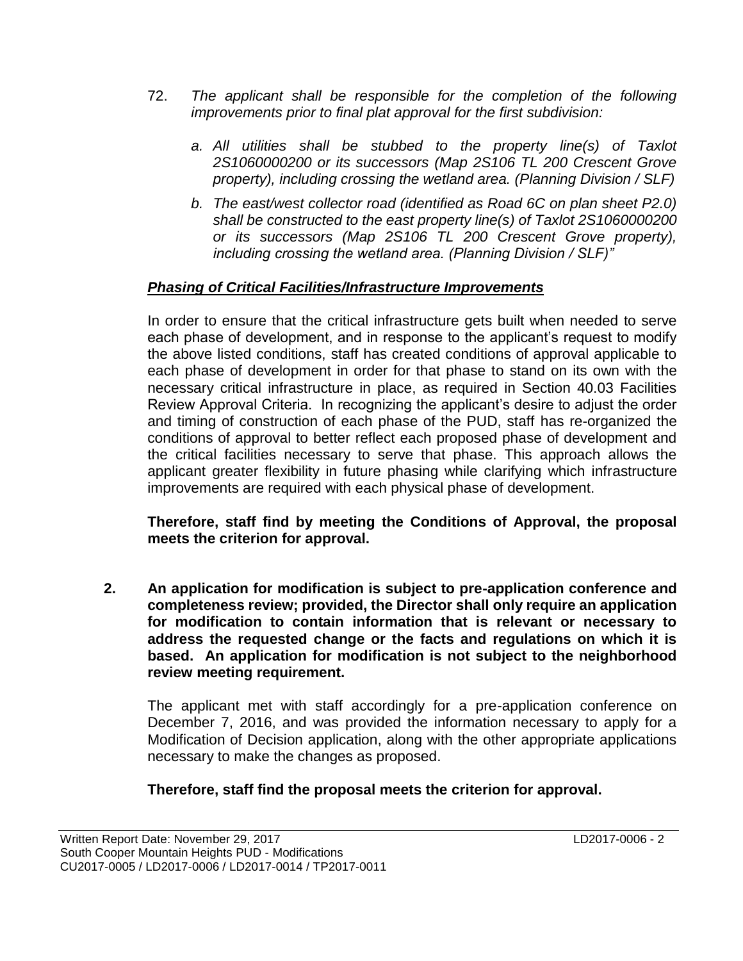- 72. *The applicant shall be responsible for the completion of the following improvements prior to final plat approval for the first subdivision:*
	- *a. All utilities shall be stubbed to the property line(s) of Taxlot 2S1060000200 or its successors (Map 2S106 TL 200 Crescent Grove property), including crossing the wetland area. (Planning Division / SLF)*
	- *b. The east/west collector road (identified as Road 6C on plan sheet P2.0) shall be constructed to the east property line(s) of Taxlot 2S1060000200 or its successors (Map 2S106 TL 200 Crescent Grove property), including crossing the wetland area. (Planning Division / SLF)"*

# *Phasing of Critical Facilities/Infrastructure Improvements*

In order to ensure that the critical infrastructure gets built when needed to serve each phase of development, and in response to the applicant's request to modify the above listed conditions, staff has created conditions of approval applicable to each phase of development in order for that phase to stand on its own with the necessary critical infrastructure in place, as required in Section 40.03 Facilities Review Approval Criteria. In recognizing the applicant's desire to adjust the order and timing of construction of each phase of the PUD, staff has re-organized the conditions of approval to better reflect each proposed phase of development and the critical facilities necessary to serve that phase. This approach allows the applicant greater flexibility in future phasing while clarifying which infrastructure improvements are required with each physical phase of development.

**Therefore, staff find by meeting the Conditions of Approval, the proposal meets the criterion for approval.**

**2. An application for modification is subject to pre-application conference and completeness review; provided, the Director shall only require an application for modification to contain information that is relevant or necessary to address the requested change or the facts and regulations on which it is based. An application for modification is not subject to the neighborhood review meeting requirement.**

The applicant met with staff accordingly for a pre-application conference on December 7, 2016, and was provided the information necessary to apply for a Modification of Decision application, along with the other appropriate applications necessary to make the changes as proposed.

**Therefore, staff find the proposal meets the criterion for approval.**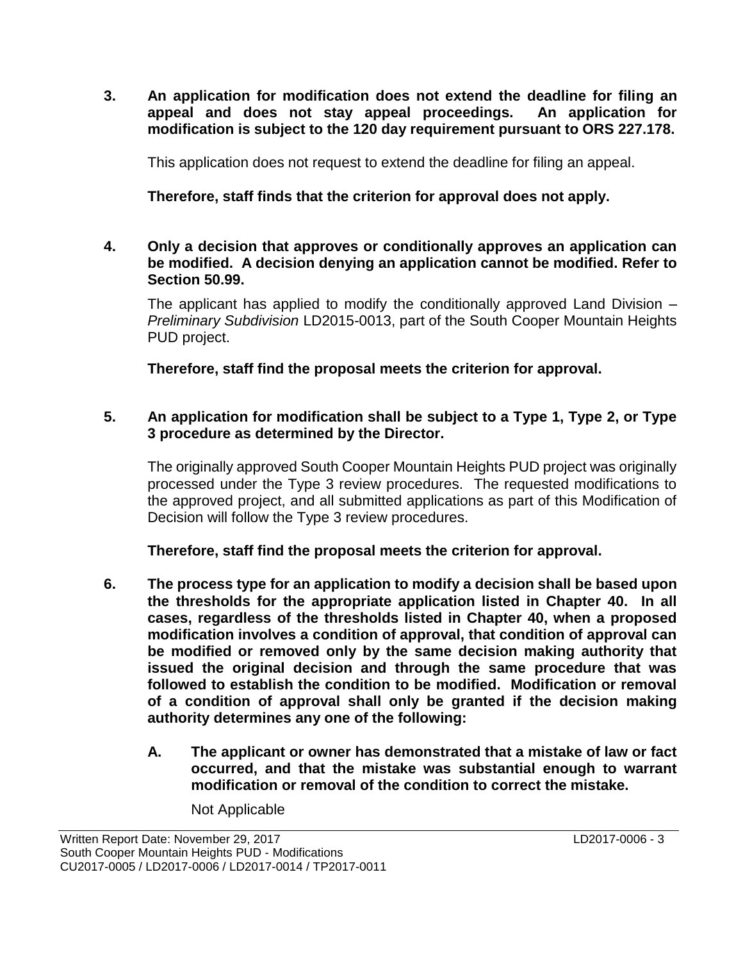**3. An application for modification does not extend the deadline for filing an appeal and does not stay appeal proceedings. An application for modification is subject to the 120 day requirement pursuant to ORS 227.178.**

This application does not request to extend the deadline for filing an appeal.

**Therefore, staff finds that the criterion for approval does not apply.**

#### **4. Only a decision that approves or conditionally approves an application can be modified. A decision denying an application cannot be modified. Refer to Section 50.99.**

The applicant has applied to modify the conditionally approved Land Division – *Preliminary Subdivision* LD2015-0013, part of the South Cooper Mountain Heights PUD project.

**Therefore, staff find the proposal meets the criterion for approval.**

#### **5. An application for modification shall be subject to a Type 1, Type 2, or Type 3 procedure as determined by the Director.**

The originally approved South Cooper Mountain Heights PUD project was originally processed under the Type 3 review procedures. The requested modifications to the approved project, and all submitted applications as part of this Modification of Decision will follow the Type 3 review procedures.

**Therefore, staff find the proposal meets the criterion for approval.**

- **6. The process type for an application to modify a decision shall be based upon the thresholds for the appropriate application listed in Chapter 40. In all cases, regardless of the thresholds listed in Chapter 40, when a proposed modification involves a condition of approval, that condition of approval can be modified or removed only by the same decision making authority that issued the original decision and through the same procedure that was followed to establish the condition to be modified. Modification or removal of a condition of approval shall only be granted if the decision making authority determines any one of the following:**
	- **A. The applicant or owner has demonstrated that a mistake of law or fact occurred, and that the mistake was substantial enough to warrant modification or removal of the condition to correct the mistake.**

Not Applicable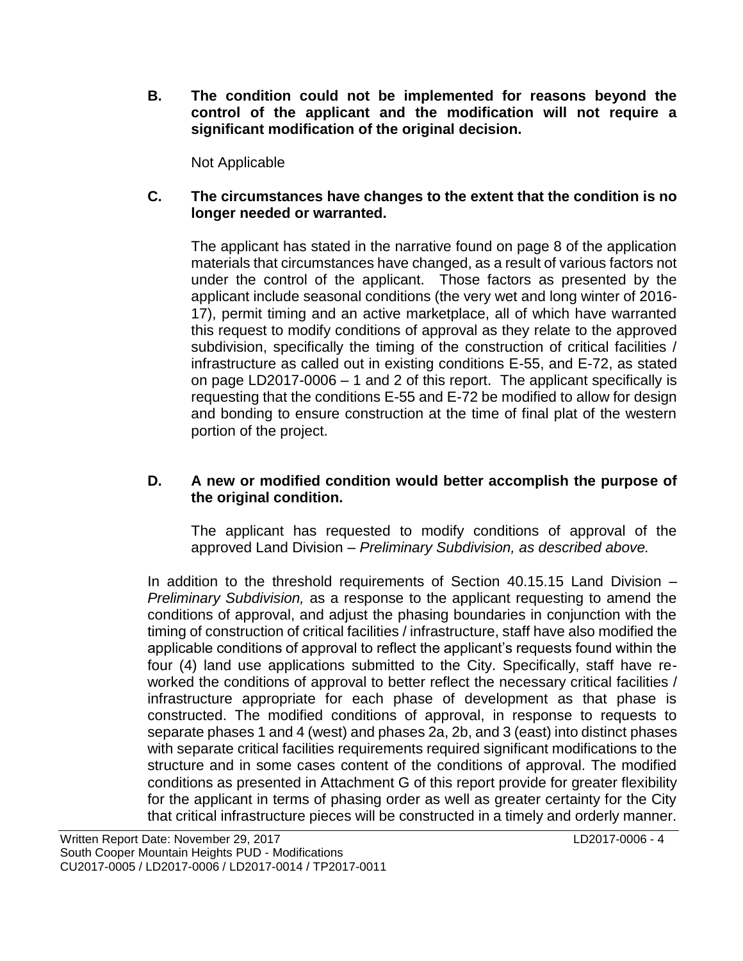**B. The condition could not be implemented for reasons beyond the control of the applicant and the modification will not require a significant modification of the original decision.**

Not Applicable

#### **C. The circumstances have changes to the extent that the condition is no longer needed or warranted.**

The applicant has stated in the narrative found on page 8 of the application materials that circumstances have changed, as a result of various factors not under the control of the applicant. Those factors as presented by the applicant include seasonal conditions (the very wet and long winter of 2016- 17), permit timing and an active marketplace, all of which have warranted this request to modify conditions of approval as they relate to the approved subdivision, specifically the timing of the construction of critical facilities / infrastructure as called out in existing conditions E-55, and E-72, as stated on page LD2017-0006 – 1 and 2 of this report. The applicant specifically is requesting that the conditions E-55 and E-72 be modified to allow for design and bonding to ensure construction at the time of final plat of the western portion of the project.

#### **D. A new or modified condition would better accomplish the purpose of the original condition.**

The applicant has requested to modify conditions of approval of the approved Land Division – *Preliminary Subdivision, as described above.*

In addition to the threshold requirements of Section 40.15.15 Land Division – *Preliminary Subdivision,* as a response to the applicant requesting to amend the conditions of approval, and adjust the phasing boundaries in conjunction with the timing of construction of critical facilities / infrastructure, staff have also modified the applicable conditions of approval to reflect the applicant's requests found within the four (4) land use applications submitted to the City. Specifically, staff have reworked the conditions of approval to better reflect the necessary critical facilities / infrastructure appropriate for each phase of development as that phase is constructed. The modified conditions of approval, in response to requests to separate phases 1 and 4 (west) and phases 2a, 2b, and 3 (east) into distinct phases with separate critical facilities requirements required significant modifications to the structure and in some cases content of the conditions of approval. The modified conditions as presented in Attachment G of this report provide for greater flexibility for the applicant in terms of phasing order as well as greater certainty for the City that critical infrastructure pieces will be constructed in a timely and orderly manner.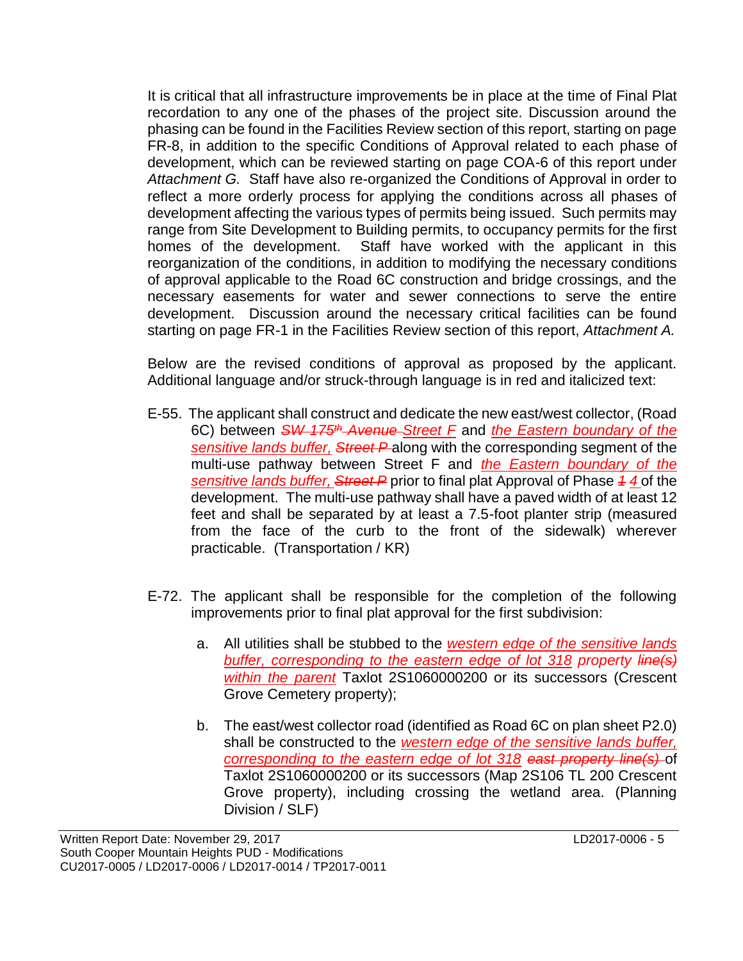It is critical that all infrastructure improvements be in place at the time of Final Plat recordation to any one of the phases of the project site. Discussion around the phasing can be found in the Facilities Review section of this report, starting on page FR-8, in addition to the specific Conditions of Approval related to each phase of development, which can be reviewed starting on page COA-6 of this report under *Attachment G.* Staff have also re-organized the Conditions of Approval in order to reflect a more orderly process for applying the conditions across all phases of development affecting the various types of permits being issued. Such permits may range from Site Development to Building permits, to occupancy permits for the first homes of the development. Staff have worked with the applicant in this reorganization of the conditions, in addition to modifying the necessary conditions of approval applicable to the Road 6C construction and bridge crossings, and the necessary easements for water and sewer connections to serve the entire development. Discussion around the necessary critical facilities can be found starting on page FR-1 in the Facilities Review section of this report, *Attachment A.* 

Below are the revised conditions of approval as proposed by the applicant. Additional language and/or struck-through language is in red and italicized text:

- E-55. The applicant shall construct and dedicate the new east/west collector, (Road 6C) between *SW 175th Avenue Street F* and *the Eastern boundary of the sensitive lands buffer, Street P* along with the corresponding segment of the multi-use pathway between Street F and *the Eastern boundary of the sensitive lands buffer, Street P* prior to final plat Approval of Phase *1 4* of the development. The multi-use pathway shall have a paved width of at least 12 feet and shall be separated by at least a 7.5-foot planter strip (measured from the face of the curb to the front of the sidewalk) wherever practicable. (Transportation / KR)
- E-72. The applicant shall be responsible for the completion of the following improvements prior to final plat approval for the first subdivision:
	- a. All utilities shall be stubbed to the *western edge of the sensitive lands buffer, corresponding to the eastern edge of lot 318 property line(s) within the parent* Taxlot 2S1060000200 or its successors (Crescent Grove Cemetery property);
	- b. The east/west collector road (identified as Road 6C on plan sheet P2.0) shall be constructed to the *western edge of the sensitive lands buffer, corresponding to the eastern edge of lot 318 east property line(s)* of Taxlot 2S1060000200 or its successors (Map 2S106 TL 200 Crescent Grove property), including crossing the wetland area. (Planning Division / SLF)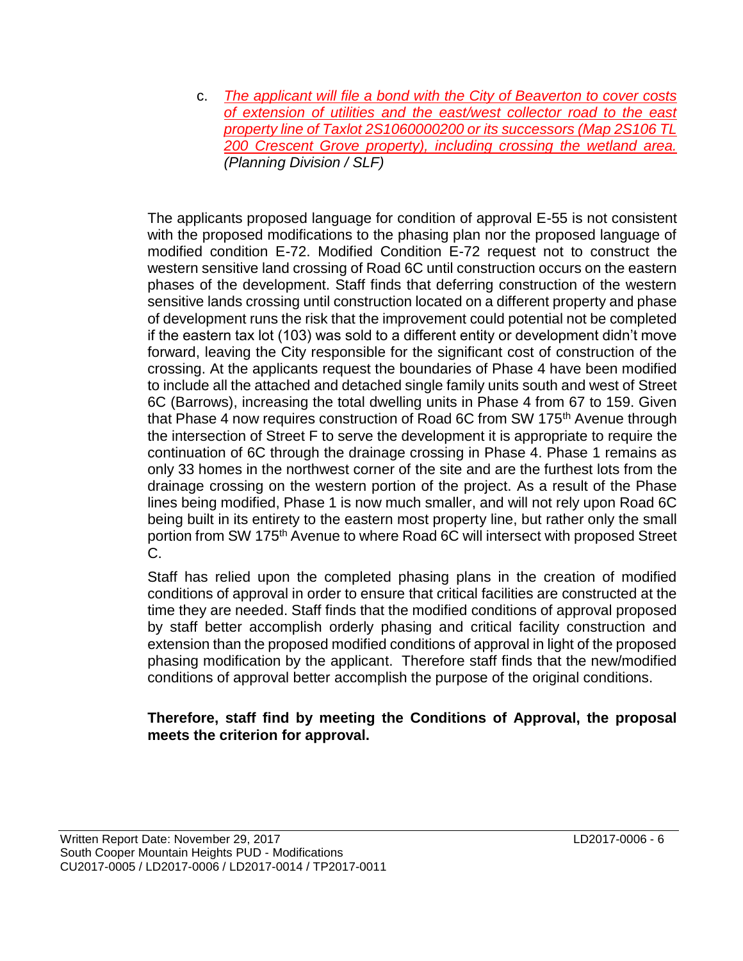c. *The applicant will file a bond with the City of Beaverton to cover costs of extension of utilities and the east/west collector road to the east property line of Taxlot 2S1060000200 or its successors (Map 2S106 TL 200 Crescent Grove property), including crossing the wetland area. (Planning Division / SLF)*

The applicants proposed language for condition of approval E-55 is not consistent with the proposed modifications to the phasing plan nor the proposed language of modified condition E-72. Modified Condition E-72 request not to construct the western sensitive land crossing of Road 6C until construction occurs on the eastern phases of the development. Staff finds that deferring construction of the western sensitive lands crossing until construction located on a different property and phase of development runs the risk that the improvement could potential not be completed if the eastern tax lot (103) was sold to a different entity or development didn't move forward, leaving the City responsible for the significant cost of construction of the crossing. At the applicants request the boundaries of Phase 4 have been modified to include all the attached and detached single family units south and west of Street 6C (Barrows), increasing the total dwelling units in Phase 4 from 67 to 159. Given that Phase 4 now requires construction of Road 6C from SW 175<sup>th</sup> Avenue through the intersection of Street F to serve the development it is appropriate to require the continuation of 6C through the drainage crossing in Phase 4. Phase 1 remains as only 33 homes in the northwest corner of the site and are the furthest lots from the drainage crossing on the western portion of the project. As a result of the Phase lines being modified, Phase 1 is now much smaller, and will not rely upon Road 6C being built in its entirety to the eastern most property line, but rather only the small portion from SW 175<sup>th</sup> Avenue to where Road 6C will intersect with proposed Street C.

Staff has relied upon the completed phasing plans in the creation of modified conditions of approval in order to ensure that critical facilities are constructed at the time they are needed. Staff finds that the modified conditions of approval proposed by staff better accomplish orderly phasing and critical facility construction and extension than the proposed modified conditions of approval in light of the proposed phasing modification by the applicant. Therefore staff finds that the new/modified conditions of approval better accomplish the purpose of the original conditions.

#### **Therefore, staff find by meeting the Conditions of Approval, the proposal meets the criterion for approval.**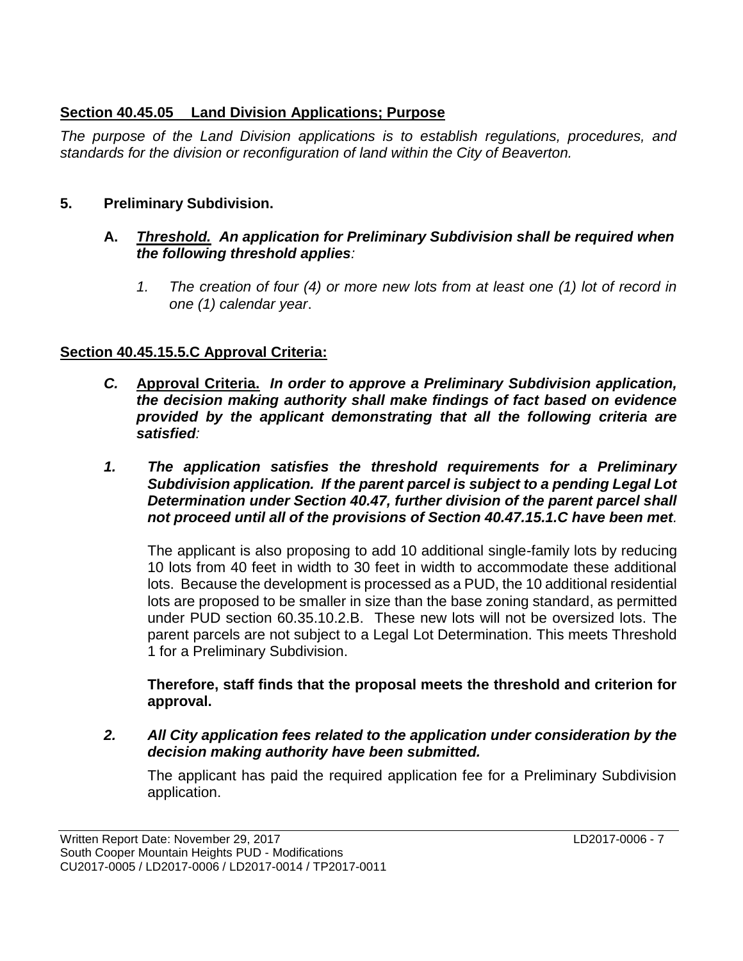## **Section 40.45.05 Land Division Applications; Purpose**

*The purpose of the Land Division applications is to establish regulations, procedures, and standards for the division or reconfiguration of land within the City of Beaverton.* 

## **5. Preliminary Subdivision.**

#### **A.** *Threshold. An application for Preliminary Subdivision shall be required when the following threshold applies:*

*1. The creation of four (4) or more new lots from at least one (1) lot of record in one (1) calendar year*.

## **Section 40.45.15.5.C Approval Criteria:**

- *C.* **Approval Criteria.** *In order to approve a Preliminary Subdivision application, the decision making authority shall make findings of fact based on evidence provided by the applicant demonstrating that all the following criteria are satisfied:*
- *1. The application satisfies the threshold requirements for a Preliminary Subdivision application. If the parent parcel is subject to a pending Legal Lot Determination under Section 40.47, further division of the parent parcel shall not proceed until all of the provisions of Section 40.47.15.1.C have been met.*

The applicant is also proposing to add 10 additional single-family lots by reducing 10 lots from 40 feet in width to 30 feet in width to accommodate these additional lots. Because the development is processed as a PUD, the 10 additional residential lots are proposed to be smaller in size than the base zoning standard, as permitted under PUD section 60.35.10.2.B. These new lots will not be oversized lots. The parent parcels are not subject to a Legal Lot Determination. This meets Threshold 1 for a Preliminary Subdivision.

**Therefore, staff finds that the proposal meets the threshold and criterion for approval.**

*2. All City application fees related to the application under consideration by the decision making authority have been submitted.*

The applicant has paid the required application fee for a Preliminary Subdivision application.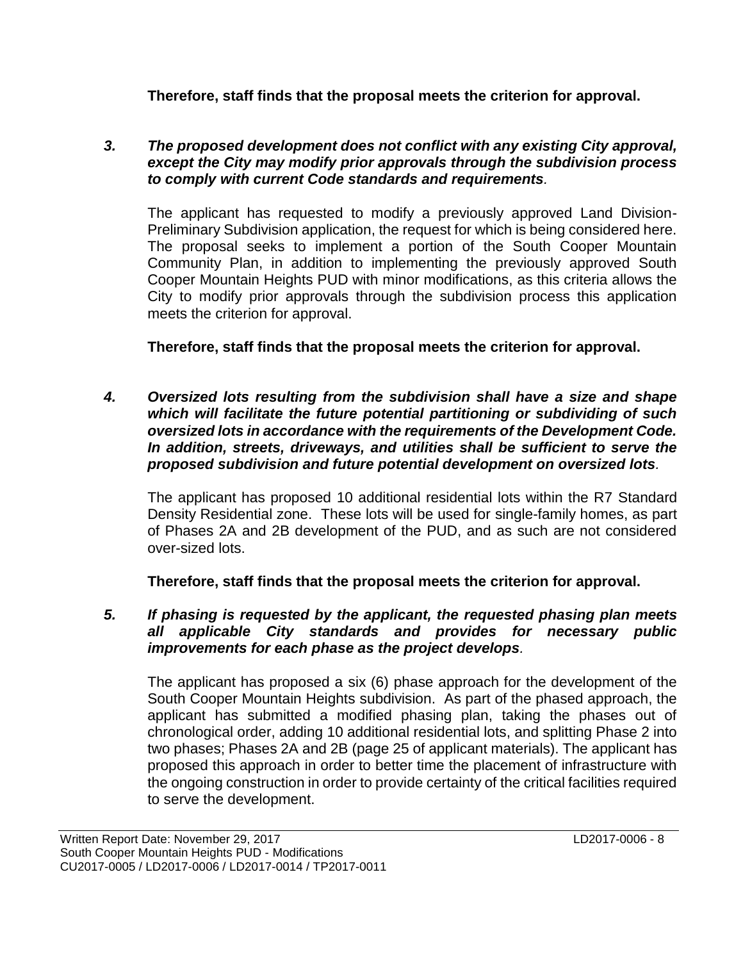**Therefore, staff finds that the proposal meets the criterion for approval.**

#### *3. The proposed development does not conflict with any existing City approval, except the City may modify prior approvals through the subdivision process to comply with current Code standards and requirements.*

The applicant has requested to modify a previously approved Land Division-Preliminary Subdivision application, the request for which is being considered here. The proposal seeks to implement a portion of the South Cooper Mountain Community Plan, in addition to implementing the previously approved South Cooper Mountain Heights PUD with minor modifications, as this criteria allows the City to modify prior approvals through the subdivision process this application meets the criterion for approval.

**Therefore, staff finds that the proposal meets the criterion for approval.**

*4. Oversized lots resulting from the subdivision shall have a size and shape which will facilitate the future potential partitioning or subdividing of such oversized lots in accordance with the requirements of the Development Code. In addition, streets, driveways, and utilities shall be sufficient to serve the proposed subdivision and future potential development on oversized lots.*

The applicant has proposed 10 additional residential lots within the R7 Standard Density Residential zone. These lots will be used for single-family homes, as part of Phases 2A and 2B development of the PUD, and as such are not considered over-sized lots.

**Therefore, staff finds that the proposal meets the criterion for approval.** 

*5. If phasing is requested by the applicant, the requested phasing plan meets all applicable City standards and provides for necessary public improvements for each phase as the project develops.*

The applicant has proposed a six (6) phase approach for the development of the South Cooper Mountain Heights subdivision. As part of the phased approach, the applicant has submitted a modified phasing plan, taking the phases out of chronological order, adding 10 additional residential lots, and splitting Phase 2 into two phases; Phases 2A and 2B (page 25 of applicant materials). The applicant has proposed this approach in order to better time the placement of infrastructure with the ongoing construction in order to provide certainty of the critical facilities required to serve the development.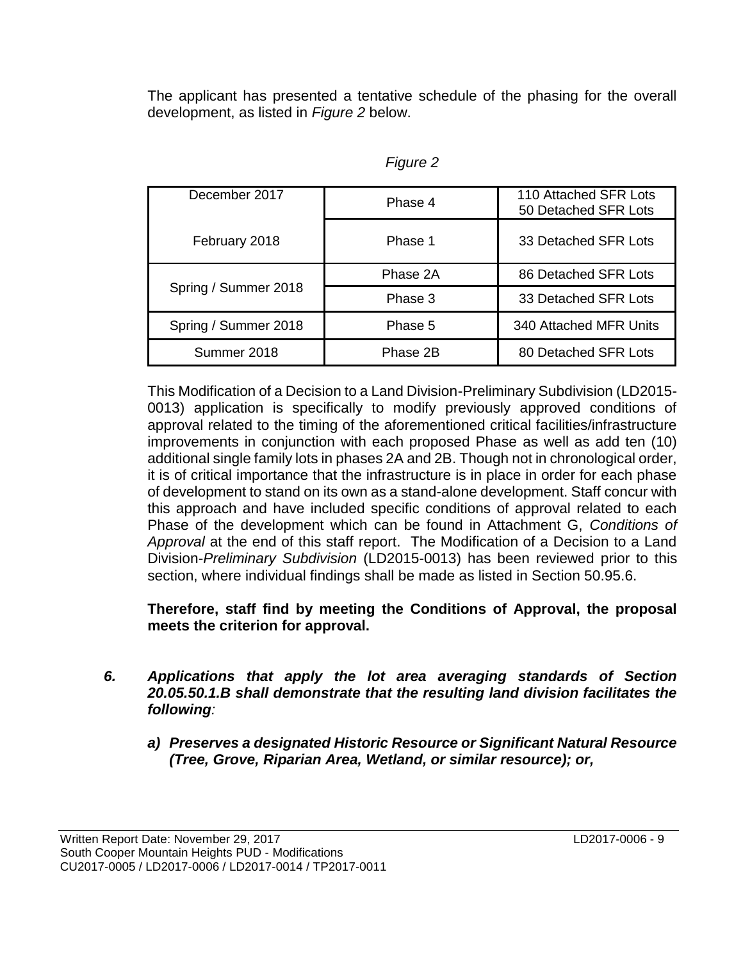The applicant has presented a tentative schedule of the phasing for the overall development, as listed in *Figure 2* below.

| December 2017        | Phase 4  | 110 Attached SFR Lots<br>50 Detached SFR Lots |  |
|----------------------|----------|-----------------------------------------------|--|
| February 2018        | Phase 1  | 33 Detached SFR Lots                          |  |
|                      | Phase 2A | 86 Detached SFR Lots                          |  |
| Spring / Summer 2018 | Phase 3  | 33 Detached SFR Lots                          |  |
| Spring / Summer 2018 | Phase 5  | 340 Attached MFR Units                        |  |
| Summer 2018          | Phase 2B | 80 Detached SFR Lots                          |  |

This Modification of a Decision to a Land Division-Preliminary Subdivision (LD2015- 0013) application is specifically to modify previously approved conditions of approval related to the timing of the aforementioned critical facilities/infrastructure improvements in conjunction with each proposed Phase as well as add ten (10) additional single family lots in phases 2A and 2B. Though not in chronological order, it is of critical importance that the infrastructure is in place in order for each phase of development to stand on its own as a stand-alone development. Staff concur with this approach and have included specific conditions of approval related to each Phase of the development which can be found in Attachment G, *Conditions of Approval* at the end of this staff report. The Modification of a Decision to a Land Division-*Preliminary Subdivision* (LD2015-0013) has been reviewed prior to this section, where individual findings shall be made as listed in Section 50.95.6.

**Therefore, staff find by meeting the Conditions of Approval, the proposal meets the criterion for approval.**

- *6. Applications that apply the lot area averaging standards of Section 20.05.50.1.B shall demonstrate that the resulting land division facilitates the following:*
	- *a) Preserves a designated Historic Resource or Significant Natural Resource (Tree, Grove, Riparian Area, Wetland, or similar resource); or,*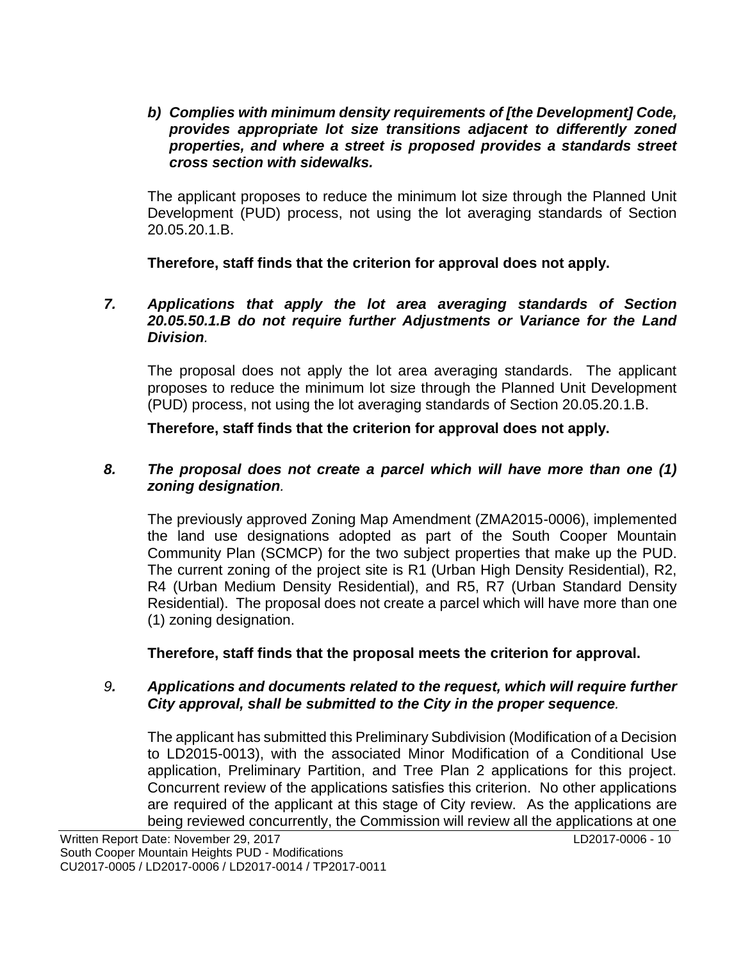*b) Complies with minimum density requirements of [the Development] Code, provides appropriate lot size transitions adjacent to differently zoned properties, and where a street is proposed provides a standards street cross section with sidewalks.*

The applicant proposes to reduce the minimum lot size through the Planned Unit Development (PUD) process, not using the lot averaging standards of Section 20.05.20.1.B.

**Therefore, staff finds that the criterion for approval does not apply.**

#### *7. Applications that apply the lot area averaging standards of Section 20.05.50.1.B do not require further Adjustments or Variance for the Land Division.*

The proposal does not apply the lot area averaging standards. The applicant proposes to reduce the minimum lot size through the Planned Unit Development (PUD) process, not using the lot averaging standards of Section 20.05.20.1.B.

**Therefore, staff finds that the criterion for approval does not apply.**

#### *8. The proposal does not create a parcel which will have more than one (1) zoning designation.*

The previously approved Zoning Map Amendment (ZMA2015-0006), implemented the land use designations adopted as part of the South Cooper Mountain Community Plan (SCMCP) for the two subject properties that make up the PUD. The current zoning of the project site is R1 (Urban High Density Residential), R2, R4 (Urban Medium Density Residential), and R5, R7 (Urban Standard Density Residential). The proposal does not create a parcel which will have more than one (1) zoning designation.

#### **Therefore, staff finds that the proposal meets the criterion for approval.**

#### *9. Applications and documents related to the request, which will require further City approval, shall be submitted to the City in the proper sequence.*

The applicant has submitted this Preliminary Subdivision (Modification of a Decision to LD2015-0013), with the associated Minor Modification of a Conditional Use application, Preliminary Partition, and Tree Plan 2 applications for this project. Concurrent review of the applications satisfies this criterion. No other applications are required of the applicant at this stage of City review. As the applications are being reviewed concurrently, the Commission will review all the applications at one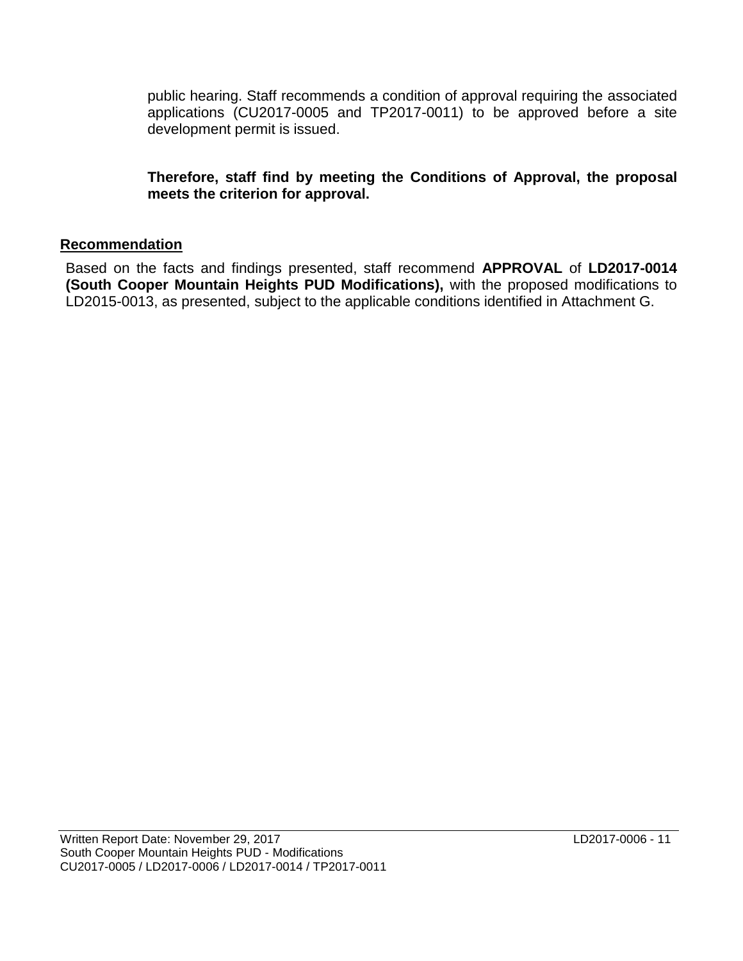public hearing. Staff recommends a condition of approval requiring the associated applications (CU2017-0005 and TP2017-0011) to be approved before a site development permit is issued.

**Therefore, staff find by meeting the Conditions of Approval, the proposal meets the criterion for approval.**

#### **Recommendation**

Based on the facts and findings presented, staff recommend **APPROVAL** of **LD2017-0014 (South Cooper Mountain Heights PUD Modifications),** with the proposed modifications to LD2015-0013, as presented, subject to the applicable conditions identified in Attachment G.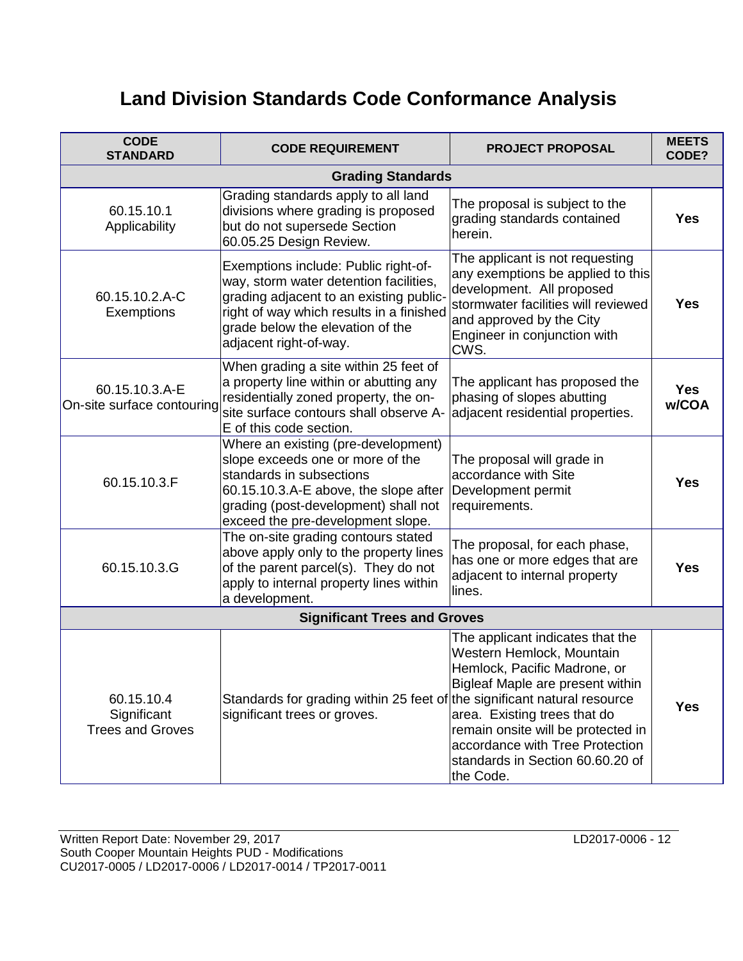# **Land Division Standards Code Conformance Analysis**

| <b>CODE</b><br><b>STANDARD</b>                       | <b>CODE REQUIREMENT</b>                                                                                                                                                                                                             | <b>PROJECT PROPOSAL</b>                                                                                                                                                                                                                                                                     | <b>MEETS</b><br>CODE? |
|------------------------------------------------------|-------------------------------------------------------------------------------------------------------------------------------------------------------------------------------------------------------------------------------------|---------------------------------------------------------------------------------------------------------------------------------------------------------------------------------------------------------------------------------------------------------------------------------------------|-----------------------|
| <b>Grading Standards</b>                             |                                                                                                                                                                                                                                     |                                                                                                                                                                                                                                                                                             |                       |
| 60.15.10.1<br>Applicability                          | Grading standards apply to all land<br>divisions where grading is proposed<br>but do not supersede Section<br>60.05.25 Design Review.                                                                                               | The proposal is subject to the<br>grading standards contained<br>herein.                                                                                                                                                                                                                    | <b>Yes</b>            |
| 60.15.10.2.A-C<br>Exemptions                         | Exemptions include: Public right-of-<br>way, storm water detention facilities,<br>grading adjacent to an existing public-<br>right of way which results in a finished<br>grade below the elevation of the<br>adjacent right-of-way. | The applicant is not requesting<br>any exemptions be applied to this<br>development. All proposed<br>stormwater facilities will reviewed<br>and approved by the City<br>Engineer in conjunction with<br>CWS.                                                                                | <b>Yes</b>            |
| 60.15.10.3.A-E<br>On-site surface contouring         | When grading a site within 25 feet of<br>a property line within or abutting any<br>residentially zoned property, the on-<br>site surface contours shall observe A-<br>E of this code section.                                       | The applicant has proposed the<br>phasing of slopes abutting<br>adjacent residential properties.                                                                                                                                                                                            | <b>Yes</b><br>w/COA   |
| 60.15.10.3.F                                         | Where an existing (pre-development)<br>slope exceeds one or more of the<br>standards in subsections<br>60.15.10.3.A-E above, the slope after<br>grading (post-development) shall not<br>exceed the pre-development slope.           | The proposal will grade in<br>accordance with Site<br>Development permit<br>requirements.                                                                                                                                                                                                   | <b>Yes</b>            |
| 60.15.10.3.G                                         | The on-site grading contours stated<br>above apply only to the property lines<br>of the parent parcel(s). They do not<br>apply to internal property lines within<br>a development.                                                  | The proposal, for each phase,<br>has one or more edges that are<br>adjacent to internal property<br>lines.                                                                                                                                                                                  | <b>Yes</b>            |
| <b>Significant Trees and Groves</b>                  |                                                                                                                                                                                                                                     |                                                                                                                                                                                                                                                                                             |                       |
| 60.15.10.4<br>Significant<br><b>Trees and Groves</b> | Standards for grading within 25 feet of the significant natural resource<br>significant trees or groves.                                                                                                                            | The applicant indicates that the<br>Western Hemlock, Mountain<br>Hemlock, Pacific Madrone, or<br>Bigleaf Maple are present within<br>area. Existing trees that do<br>remain onsite will be protected in<br>accordance with Tree Protection<br>standards in Section 60.60.20 of<br>the Code. | <b>Yes</b>            |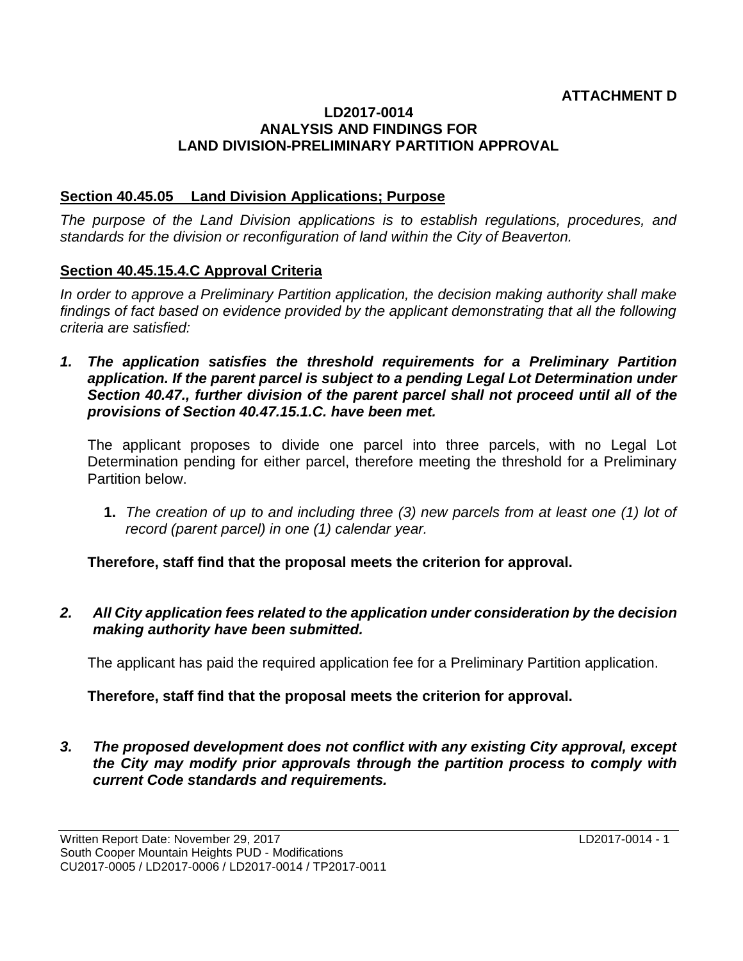#### **ATTACHMENT D**

#### **LD2017-0014 ANALYSIS AND FINDINGS FOR LAND DIVISION-PRELIMINARY PARTITION APPROVAL**

#### **Section 40.45.05 Land Division Applications; Purpose**

*The purpose of the Land Division applications is to establish regulations, procedures, and standards for the division or reconfiguration of land within the City of Beaverton.* 

#### **Section 40.45.15.4.C Approval Criteria**

*In order to approve a Preliminary Partition application, the decision making authority shall make findings of fact based on evidence provided by the applicant demonstrating that all the following criteria are satisfied:*

1. The application satisfies the threshold requirements for a Preliminary Partition *application. If the parent parcel is subject to a pending Legal Lot Determination under Section 40.47., further division of the parent parcel shall not proceed until all of the provisions of Section 40.47.15.1.C. have been met.*

The applicant proposes to divide one parcel into three parcels, with no Legal Lot Determination pending for either parcel, therefore meeting the threshold for a Preliminary Partition below.

**1.** *The creation of up to and including three (3) new parcels from at least one (1) lot of record (parent parcel) in one (1) calendar year.*

**Therefore, staff find that the proposal meets the criterion for approval.**

*2. All City application fees related to the application under consideration by the decision making authority have been submitted.*

The applicant has paid the required application fee for a Preliminary Partition application.

**Therefore, staff find that the proposal meets the criterion for approval.**

*3. The proposed development does not conflict with any existing City approval, except the City may modify prior approvals through the partition process to comply with current Code standards and requirements.*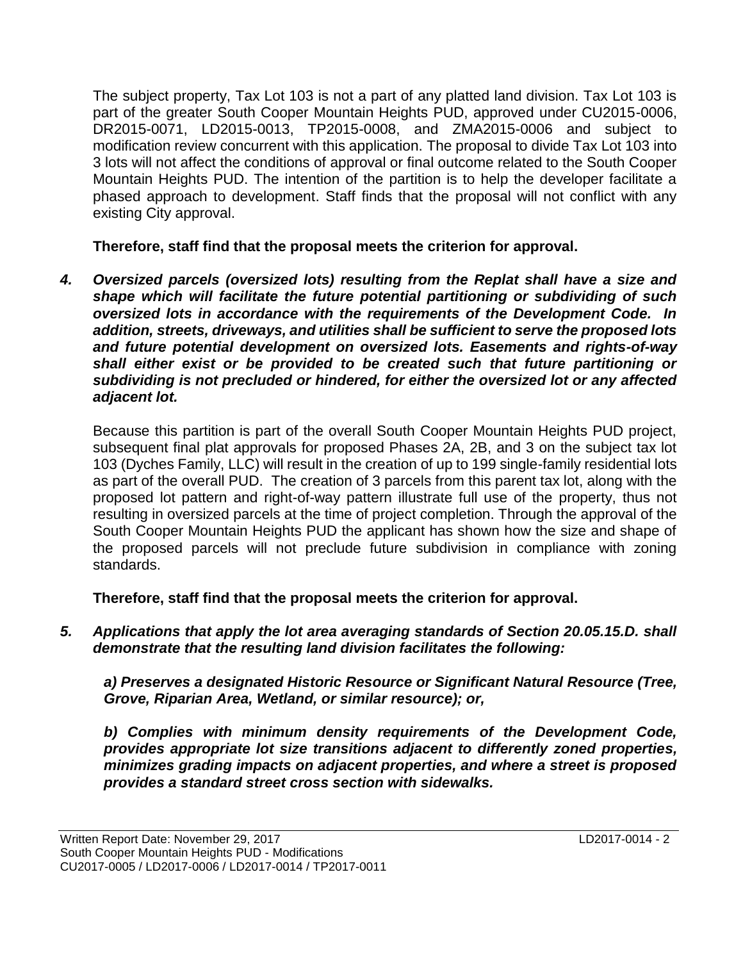The subject property, Tax Lot 103 is not a part of any platted land division. Tax Lot 103 is part of the greater South Cooper Mountain Heights PUD, approved under CU2015-0006, DR2015-0071, LD2015-0013, TP2015-0008, and ZMA2015-0006 and subject to modification review concurrent with this application. The proposal to divide Tax Lot 103 into 3 lots will not affect the conditions of approval or final outcome related to the South Cooper Mountain Heights PUD. The intention of the partition is to help the developer facilitate a phased approach to development. Staff finds that the proposal will not conflict with any existing City approval.

**Therefore, staff find that the proposal meets the criterion for approval.**

*4. Oversized parcels (oversized lots) resulting from the Replat shall have a size and shape which will facilitate the future potential partitioning or subdividing of such oversized lots in accordance with the requirements of the Development Code. In addition, streets, driveways, and utilities shall be sufficient to serve the proposed lots and future potential development on oversized lots. Easements and rights-of-way shall either exist or be provided to be created such that future partitioning or subdividing is not precluded or hindered, for either the oversized lot or any affected adjacent lot.*

Because this partition is part of the overall South Cooper Mountain Heights PUD project, subsequent final plat approvals for proposed Phases 2A, 2B, and 3 on the subject tax lot 103 (Dyches Family, LLC) will result in the creation of up to 199 single-family residential lots as part of the overall PUD. The creation of 3 parcels from this parent tax lot, along with the proposed lot pattern and right-of-way pattern illustrate full use of the property, thus not resulting in oversized parcels at the time of project completion. Through the approval of the South Cooper Mountain Heights PUD the applicant has shown how the size and shape of the proposed parcels will not preclude future subdivision in compliance with zoning standards.

**Therefore, staff find that the proposal meets the criterion for approval.**

*5. Applications that apply the lot area averaging standards of Section 20.05.15.D. shall demonstrate that the resulting land division facilitates the following:* 

*a) Preserves a designated Historic Resource or Significant Natural Resource (Tree, Grove, Riparian Area, Wetland, or similar resource); or,* 

*b) Complies with minimum density requirements of the Development Code, provides appropriate lot size transitions adjacent to differently zoned properties, minimizes grading impacts on adjacent properties, and where a street is proposed provides a standard street cross section with sidewalks.*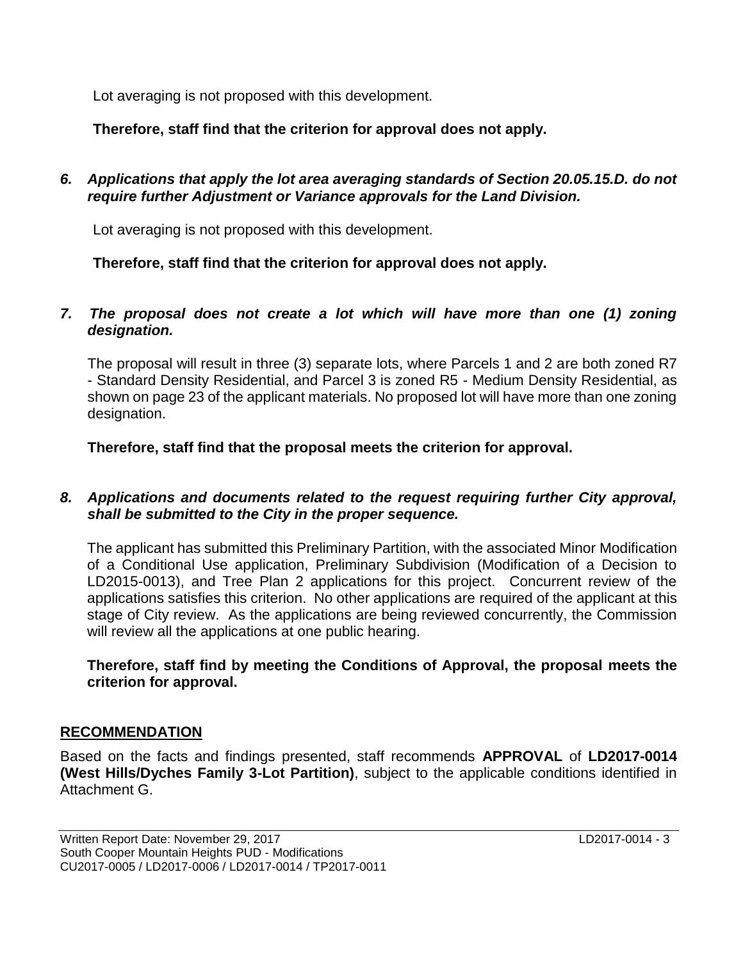Lot averaging is not proposed with this development.

**Therefore, staff find that the criterion for approval does not apply.**

*6. Applications that apply the lot area averaging standards of Section 20.05.15.D. do not require further Adjustment or Variance approvals for the Land Division.*

Lot averaging is not proposed with this development.

**Therefore, staff find that the criterion for approval does not apply.**

#### *7. The proposal does not create a lot which will have more than one (1) zoning designation.*

The proposal will result in three (3) separate lots, where Parcels 1 and 2 are both zoned R7 - Standard Density Residential, and Parcel 3 is zoned R5 - Medium Density Residential, as shown on page 23 of the applicant materials. No proposed lot will have more than one zoning designation.

**Therefore, staff find that the proposal meets the criterion for approval.**

#### *8. Applications and documents related to the request requiring further City approval, shall be submitted to the City in the proper sequence.*

The applicant has submitted this Preliminary Partition, with the associated Minor Modification of a Conditional Use application, Preliminary Subdivision (Modification of a Decision to LD2015-0013), and Tree Plan 2 applications for this project. Concurrent review of the applications satisfies this criterion. No other applications are required of the applicant at this stage of City review. As the applications are being reviewed concurrently, the Commission will review all the applications at one public hearing.

#### **Therefore, staff find by meeting the Conditions of Approval, the proposal meets the criterion for approval.**

## **RECOMMENDATION**

Based on the facts and findings presented, staff recommends **APPROVAL** of **LD2017-0014 (West Hills/Dyches Family 3-Lot Partition)**, subject to the applicable conditions identified in Attachment G.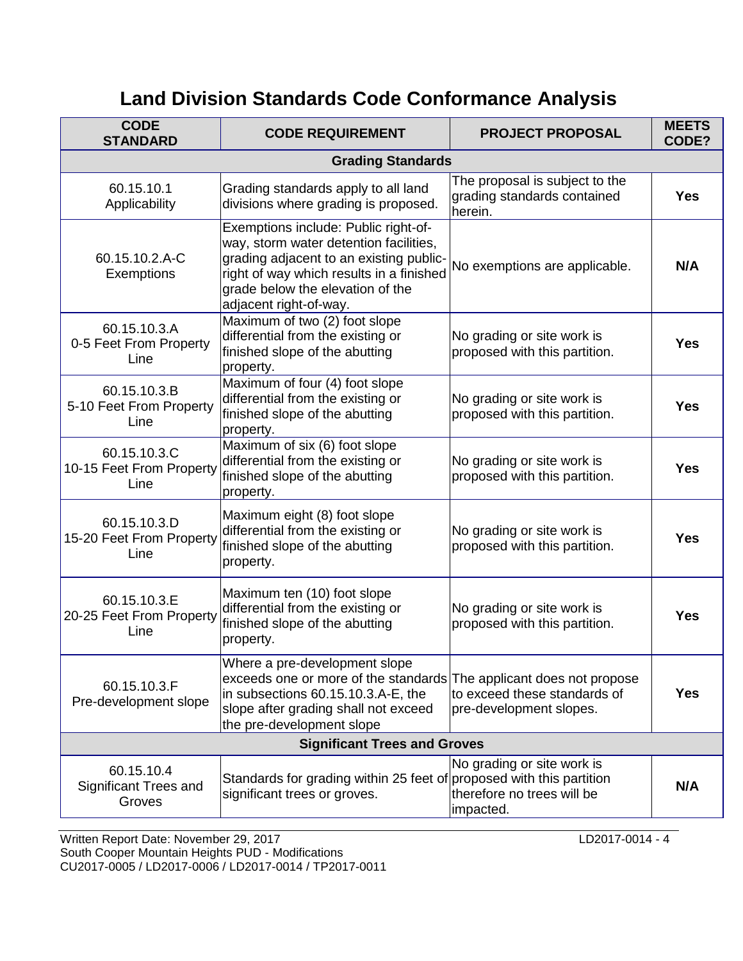# **Land Division Standards Code Conformance Analysis**

| <b>CODE</b><br><b>STANDARD</b>                   | <b>CODE REQUIREMENT</b>                                                                                                                                                                                                             | <b>PROJECT PROPOSAL</b>                                                                   | <b>MEETS</b><br>CODE? |
|--------------------------------------------------|-------------------------------------------------------------------------------------------------------------------------------------------------------------------------------------------------------------------------------------|-------------------------------------------------------------------------------------------|-----------------------|
|                                                  | <b>Grading Standards</b>                                                                                                                                                                                                            |                                                                                           |                       |
| 60.15.10.1<br>Applicability                      | Grading standards apply to all land<br>divisions where grading is proposed.                                                                                                                                                         | The proposal is subject to the<br>grading standards contained<br>herein.                  | <b>Yes</b>            |
| 60.15.10.2.A-C<br>Exemptions                     | Exemptions include: Public right-of-<br>way, storm water detention facilities,<br>grading adjacent to an existing public-<br>right of way which results in a finished<br>grade below the elevation of the<br>adjacent right-of-way. | No exemptions are applicable.                                                             | N/A                   |
| 60.15.10.3.A<br>0-5 Feet From Property<br>Line   | Maximum of two (2) foot slope<br>differential from the existing or<br>finished slope of the abutting<br>property.                                                                                                                   | No grading or site work is<br>proposed with this partition.                               | <b>Yes</b>            |
| 60.15.10.3.B<br>5-10 Feet From Property<br>Line  | Maximum of four (4) foot slope<br>differential from the existing or<br>finished slope of the abutting<br>property.                                                                                                                  | No grading or site work is<br>proposed with this partition.                               | <b>Yes</b>            |
| 60.15.10.3.C<br>10-15 Feet From Property<br>Line | Maximum of six (6) foot slope<br>differential from the existing or<br>finished slope of the abutting<br>property.                                                                                                                   | No grading or site work is<br>proposed with this partition.                               | <b>Yes</b>            |
| 60.15.10.3.D<br>15-20 Feet From Property<br>Line | Maximum eight (8) foot slope<br>differential from the existing or<br>finished slope of the abutting<br>property.                                                                                                                    | No grading or site work is<br>proposed with this partition.                               | <b>Yes</b>            |
| 60.15.10.3.E<br>20-25 Feet From Property<br>Line | Maximum ten (10) foot slope<br>differential from the existing or<br>finished slope of the abutting<br>property.                                                                                                                     | No grading or site work is<br>proposed with this partition.                               | <b>Yes</b>            |
| 60.15.10.3.F<br>Pre-development slope            | Where a pre-development slope<br>exceeds one or more of the standards<br>in subsections 60.15.10.3.A-E, the<br>slope after grading shall not exceed<br>the pre-development slope                                                    | The applicant does not propose<br>to exceed these standards of<br>pre-development slopes. | <b>Yes</b>            |
| <b>Significant Trees and Groves</b>              |                                                                                                                                                                                                                                     |                                                                                           |                       |
| 60.15.10.4<br>Significant Trees and<br>Groves    | Standards for grading within 25 feet of proposed with this partition<br>significant trees or groves.                                                                                                                                | No grading or site work is<br>therefore no trees will be<br>impacted.                     | N/A                   |

Written Report Date: November 29, 2017 COMBER 1978 CONVERTED AND REPORT COMBERTED AT LAND COMBERTED AT LATER 1 South Cooper Mountain Heights PUD - Modifications CU2017-0005 / LD2017-0006 / LD2017-0014 / TP2017-0011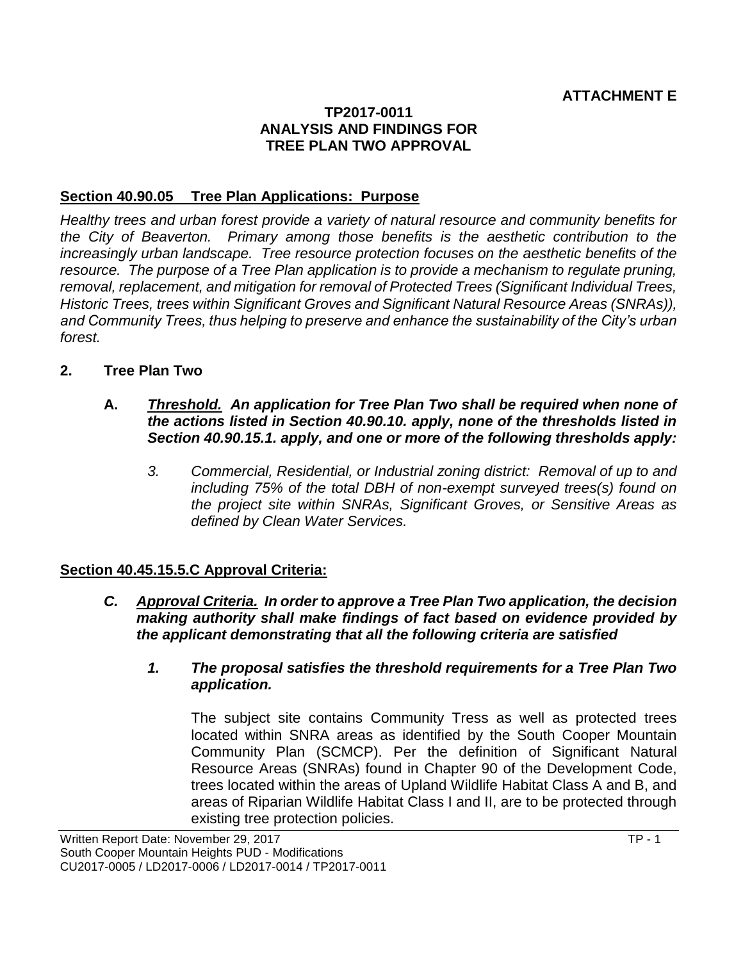#### **TP2017-0011 ANALYSIS AND FINDINGS FOR TREE PLAN TWO APPROVAL**

#### **Section 40.90.05 Tree Plan Applications: Purpose**

*Healthy trees and urban forest provide a variety of natural resource and community benefits for the City of Beaverton. Primary among those benefits is the aesthetic contribution to the increasingly urban landscape. Tree resource protection focuses on the aesthetic benefits of the resource. The purpose of a Tree Plan application is to provide a mechanism to regulate pruning, removal, replacement, and mitigation for removal of Protected Trees (Significant Individual Trees, Historic Trees, trees within Significant Groves and Significant Natural Resource Areas (SNRAs)), and Community Trees, thus helping to preserve and enhance the sustainability of the City's urban forest.* 

- **2. Tree Plan Two**
	- **A.** *Threshold. An application for Tree Plan Two shall be required when none of the actions listed in Section 40.90.10. apply, none of the thresholds listed in Section 40.90.15.1. apply, and one or more of the following thresholds apply:*
		- *3. Commercial, Residential, or Industrial zoning district: Removal of up to and including 75% of the total DBH of non-exempt surveyed trees(s) found on the project site within SNRAs, Significant Groves, or Sensitive Areas as defined by Clean Water Services.*

#### **Section 40.45.15.5.C Approval Criteria:**

- *C. Approval Criteria. In order to approve a Tree Plan Two application, the decision making authority shall make findings of fact based on evidence provided by the applicant demonstrating that all the following criteria are satisfied*
	- *1. The proposal satisfies the threshold requirements for a Tree Plan Two application.*

The subject site contains Community Tress as well as protected trees located within SNRA areas as identified by the South Cooper Mountain Community Plan (SCMCP). Per the definition of Significant Natural Resource Areas (SNRAs) found in Chapter 90 of the Development Code, trees located within the areas of Upland Wildlife Habitat Class A and B, and areas of Riparian Wildlife Habitat Class I and II, are to be protected through existing tree protection policies.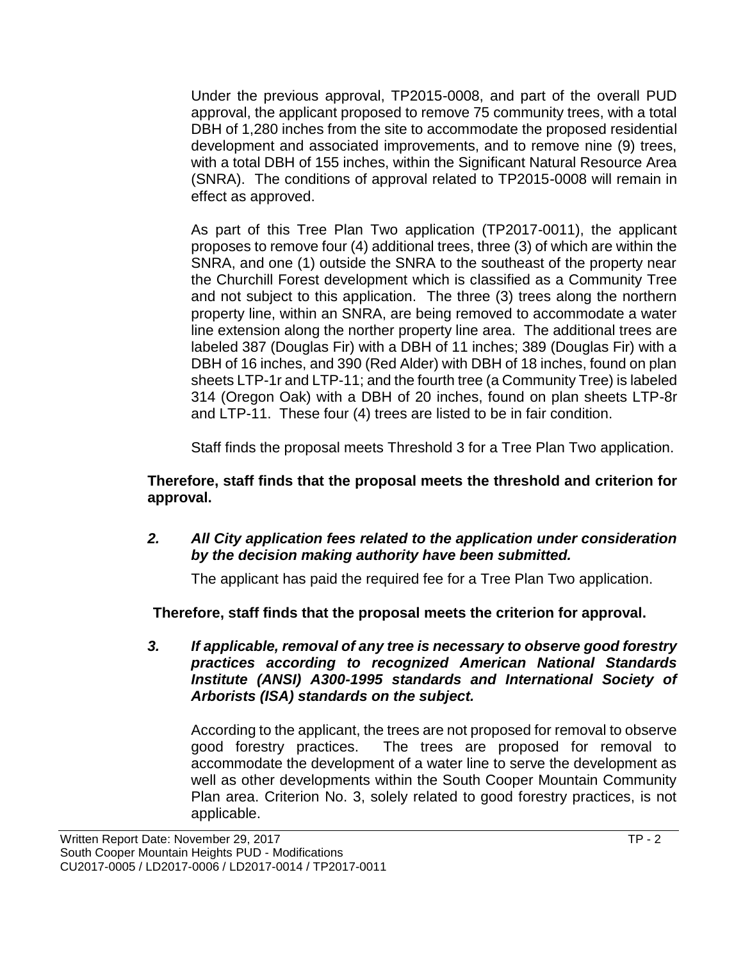Under the previous approval, TP2015-0008, and part of the overall PUD approval, the applicant proposed to remove 75 community trees, with a total DBH of 1,280 inches from the site to accommodate the proposed residential development and associated improvements, and to remove nine (9) trees, with a total DBH of 155 inches, within the Significant Natural Resource Area (SNRA). The conditions of approval related to TP2015-0008 will remain in effect as approved.

As part of this Tree Plan Two application (TP2017-0011), the applicant proposes to remove four (4) additional trees, three (3) of which are within the SNRA, and one (1) outside the SNRA to the southeast of the property near the Churchill Forest development which is classified as a Community Tree and not subject to this application. The three (3) trees along the northern property line, within an SNRA, are being removed to accommodate a water line extension along the norther property line area. The additional trees are labeled 387 (Douglas Fir) with a DBH of 11 inches; 389 (Douglas Fir) with a DBH of 16 inches, and 390 (Red Alder) with DBH of 18 inches, found on plan sheets LTP-1r and LTP-11; and the fourth tree (a Community Tree) is labeled 314 (Oregon Oak) with a DBH of 20 inches, found on plan sheets LTP-8r and LTP-11. These four (4) trees are listed to be in fair condition.

Staff finds the proposal meets Threshold 3 for a Tree Plan Two application.

#### **Therefore, staff finds that the proposal meets the threshold and criterion for approval.**

*2. All City application fees related to the application under consideration by the decision making authority have been submitted.*

The applicant has paid the required fee for a Tree Plan Two application.

**Therefore, staff finds that the proposal meets the criterion for approval.**

*3. If applicable, removal of any tree is necessary to observe good forestry practices according to recognized American National Standards Institute (ANSI) A300-1995 standards and International Society of Arborists (ISA) standards on the subject.*

According to the applicant, the trees are not proposed for removal to observe good forestry practices. The trees are proposed for removal to accommodate the development of a water line to serve the development as well as other developments within the South Cooper Mountain Community Plan area. Criterion No. 3, solely related to good forestry practices, is not applicable.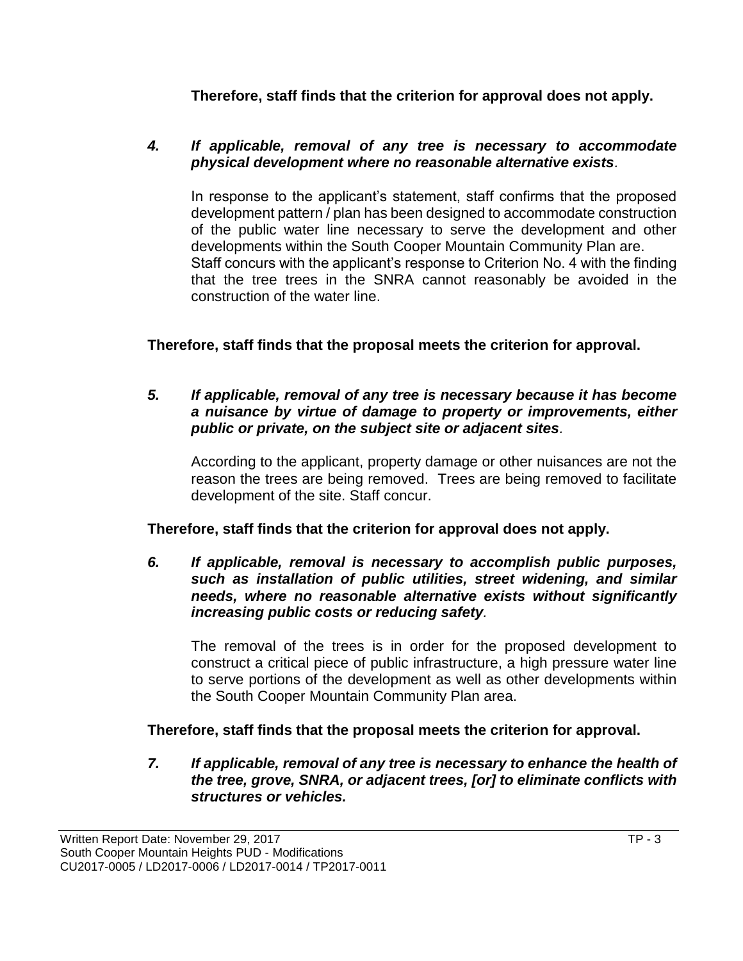**Therefore, staff finds that the criterion for approval does not apply.**

#### *4. If applicable, removal of any tree is necessary to accommodate physical development where no reasonable alternative exists.*

In response to the applicant's statement, staff confirms that the proposed development pattern / plan has been designed to accommodate construction of the public water line necessary to serve the development and other developments within the South Cooper Mountain Community Plan are. Staff concurs with the applicant's response to Criterion No. 4 with the finding that the tree trees in the SNRA cannot reasonably be avoided in the construction of the water line.

**Therefore, staff finds that the proposal meets the criterion for approval.**

#### *5. If applicable, removal of any tree is necessary because it has become a nuisance by virtue of damage to property or improvements, either public or private, on the subject site or adjacent sites.*

According to the applicant, property damage or other nuisances are not the reason the trees are being removed. Trees are being removed to facilitate development of the site. Staff concur.

## **Therefore, staff finds that the criterion for approval does not apply.**

*6. If applicable, removal is necessary to accomplish public purposes, such as installation of public utilities, street widening, and similar needs, where no reasonable alternative exists without significantly increasing public costs or reducing safety.*

The removal of the trees is in order for the proposed development to construct a critical piece of public infrastructure, a high pressure water line to serve portions of the development as well as other developments within the South Cooper Mountain Community Plan area.

## **Therefore, staff finds that the proposal meets the criterion for approval.**

*7. If applicable, removal of any tree is necessary to enhance the health of the tree, grove, SNRA, or adjacent trees, [or] to eliminate conflicts with structures or vehicles.*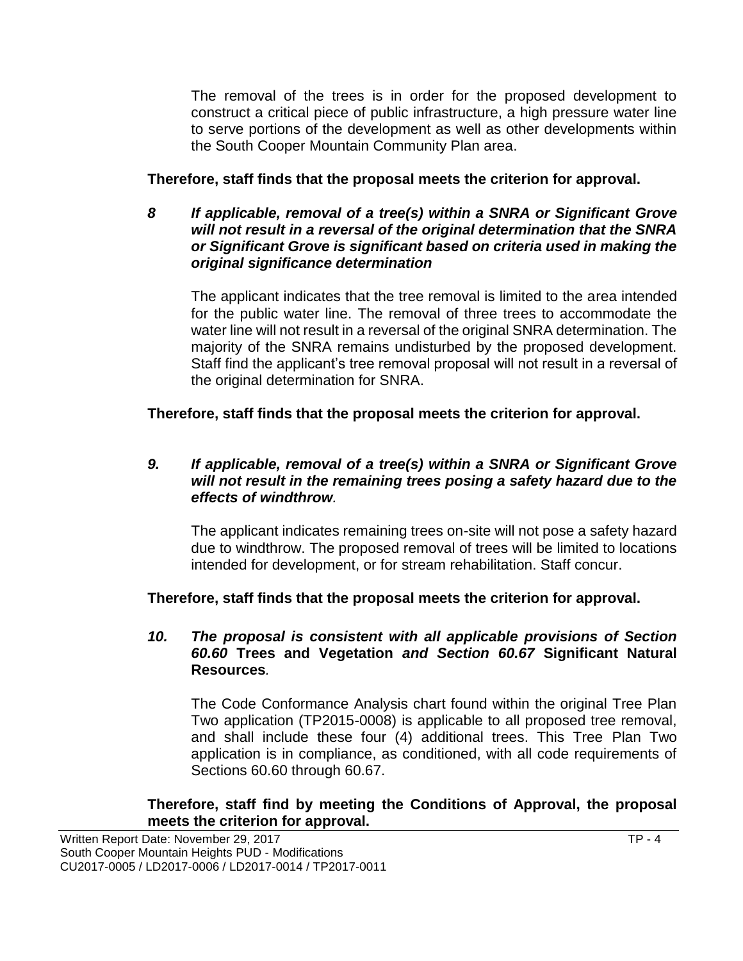The removal of the trees is in order for the proposed development to construct a critical piece of public infrastructure, a high pressure water line to serve portions of the development as well as other developments within the South Cooper Mountain Community Plan area.

**Therefore, staff finds that the proposal meets the criterion for approval.**

*8 If applicable, removal of a tree(s) within a SNRA or Significant Grove will not result in a reversal of the original determination that the SNRA or Significant Grove is significant based on criteria used in making the original significance determination*

The applicant indicates that the tree removal is limited to the area intended for the public water line. The removal of three trees to accommodate the water line will not result in a reversal of the original SNRA determination. The majority of the SNRA remains undisturbed by the proposed development. Staff find the applicant's tree removal proposal will not result in a reversal of the original determination for SNRA.

**Therefore, staff finds that the proposal meets the criterion for approval.**

#### *9. If applicable, removal of a tree(s) within a SNRA or Significant Grove will not result in the remaining trees posing a safety hazard due to the effects of windthrow.*

The applicant indicates remaining trees on-site will not pose a safety hazard due to windthrow. The proposed removal of trees will be limited to locations intended for development, or for stream rehabilitation. Staff concur.

**Therefore, staff finds that the proposal meets the criterion for approval.**

#### *10. The proposal is consistent with all applicable provisions of Section 60.60* **Trees and Vegetation** *and Section 60.67* **Significant Natural Resources***.*

The Code Conformance Analysis chart found within the original Tree Plan Two application (TP2015-0008) is applicable to all proposed tree removal, and shall include these four (4) additional trees. This Tree Plan Two application is in compliance, as conditioned, with all code requirements of Sections 60.60 through 60.67.

#### **Therefore, staff find by meeting the Conditions of Approval, the proposal meets the criterion for approval.**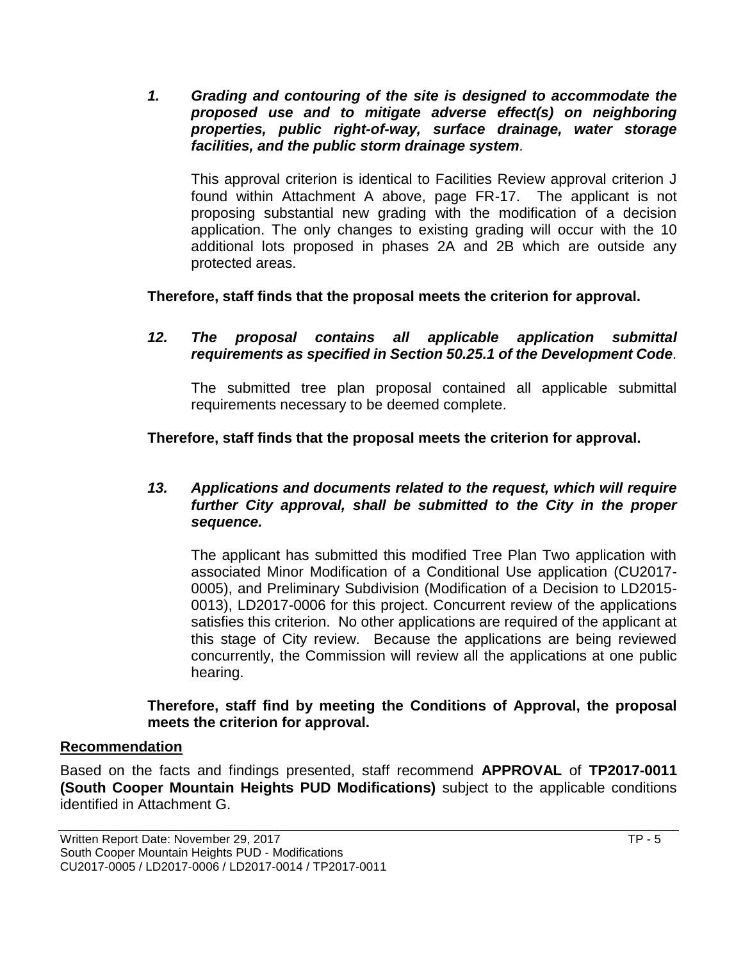*1. Grading and contouring of the site is designed to accommodate the proposed use and to mitigate adverse effect(s) on neighboring properties, public right-of-way, surface drainage, water storage facilities, and the public storm drainage system.*

This approval criterion is identical to Facilities Review approval criterion J found within Attachment A above, page FR-17. The applicant is not proposing substantial new grading with the modification of a decision application. The only changes to existing grading will occur with the 10 additional lots proposed in phases 2A and 2B which are outside any protected areas.

**Therefore, staff finds that the proposal meets the criterion for approval.**

*12. The proposal contains all applicable application submittal requirements as specified in Section 50.25.1 of the Development Code.*

The submitted tree plan proposal contained all applicable submittal requirements necessary to be deemed complete.

## **Therefore, staff finds that the proposal meets the criterion for approval.**

#### *13. Applications and documents related to the request, which will require further City approval, shall be submitted to the City in the proper sequence.*

The applicant has submitted this modified Tree Plan Two application with associated Minor Modification of a Conditional Use application (CU2017- 0005), and Preliminary Subdivision (Modification of a Decision to LD2015- 0013), LD2017-0006 for this project. Concurrent review of the applications satisfies this criterion. No other applications are required of the applicant at this stage of City review. Because the applications are being reviewed concurrently, the Commission will review all the applications at one public hearing.

**Therefore, staff find by meeting the Conditions of Approval, the proposal meets the criterion for approval.**

#### **Recommendation**

Based on the facts and findings presented, staff recommend **APPROVAL** of **TP2017-0011 (South Cooper Mountain Heights PUD Modifications)** subject to the applicable conditions identified in Attachment G.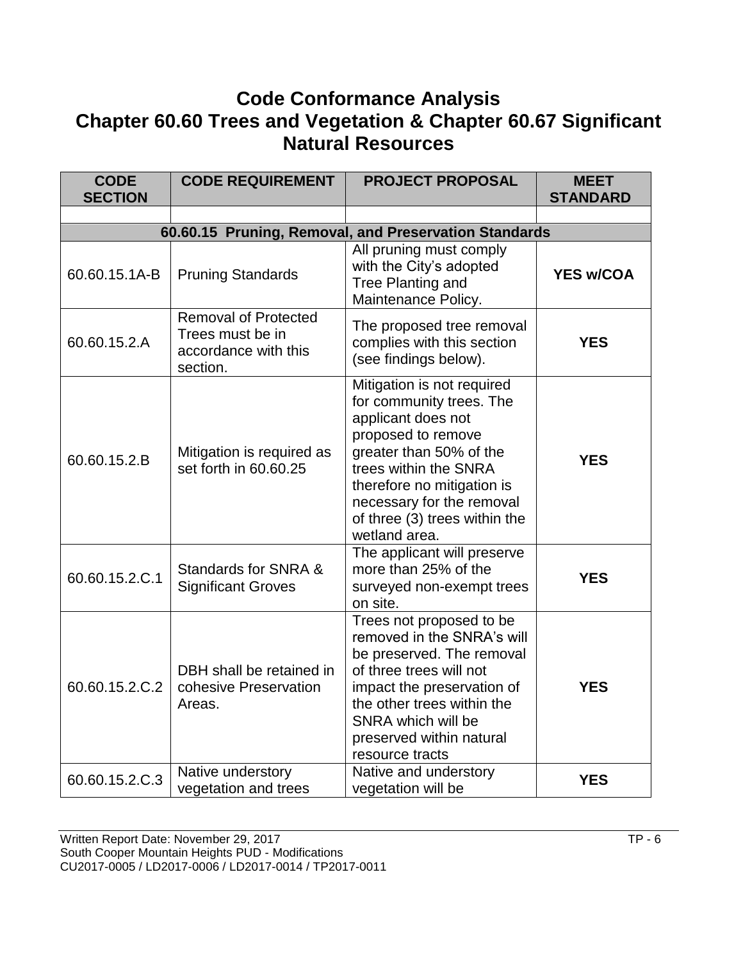## **Code Conformance Analysis Chapter 60.60 Trees and Vegetation & Chapter 60.67 Significant Natural Resources**

| <b>CODE</b><br><b>SECTION</b> | <b>CODE REQUIREMENT</b>                                                             | <b>PROJECT PROPOSAL</b>                                                                                                                                                                                                                                             | <b>MEET</b><br><b>STANDARD</b> |
|-------------------------------|-------------------------------------------------------------------------------------|---------------------------------------------------------------------------------------------------------------------------------------------------------------------------------------------------------------------------------------------------------------------|--------------------------------|
|                               |                                                                                     |                                                                                                                                                                                                                                                                     |                                |
|                               |                                                                                     | 60.60.15 Pruning, Removal, and Preservation Standards                                                                                                                                                                                                               |                                |
| 60.60.15.1A-B                 | <b>Pruning Standards</b>                                                            | All pruning must comply<br>with the City's adopted<br><b>Tree Planting and</b><br>Maintenance Policy.                                                                                                                                                               | <b>YES w/COA</b>               |
| 60.60.15.2.A                  | <b>Removal of Protected</b><br>Trees must be in<br>accordance with this<br>section. | The proposed tree removal<br>complies with this section<br>(see findings below).                                                                                                                                                                                    | <b>YES</b>                     |
| 60.60.15.2.B                  | Mitigation is required as<br>set forth in 60.60.25                                  | Mitigation is not required<br>for community trees. The<br>applicant does not<br>proposed to remove<br>greater than 50% of the<br>trees within the SNRA<br>therefore no mitigation is<br>necessary for the removal<br>of three (3) trees within the<br>wetland area. | <b>YES</b>                     |
| 60.60.15.2.C.1                | Standards for SNRA &<br><b>Significant Groves</b>                                   | The applicant will preserve<br>more than 25% of the<br>surveyed non-exempt trees<br>on site.                                                                                                                                                                        | <b>YES</b>                     |
| 60.60.15.2.C.2                | DBH shall be retained in<br>cohesive Preservation<br>Areas.                         | Trees not proposed to be<br>removed in the SNRA's will<br>be preserved. The removal<br>of three trees will not<br>impact the preservation of<br>the other trees within the<br>SNRA which will be<br>preserved within natural<br>resource tracts                     | <b>YES</b>                     |
| 60.60.15.2.C.3                | Native understory<br>vegetation and trees                                           | Native and understory<br>vegetation will be                                                                                                                                                                                                                         | <b>YES</b>                     |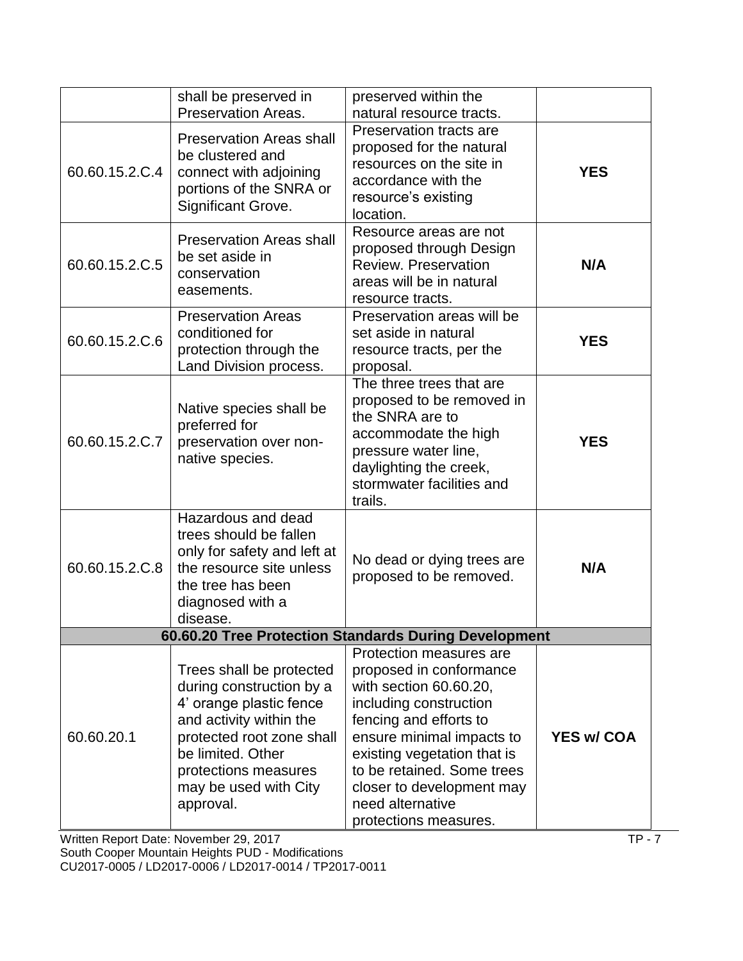|                                                       | shall be preserved in<br><b>Preservation Areas.</b>                                                                                                                                                                        | preserved within the<br>natural resource tracts.                                                                                                                                                                                                                                                     |                   |
|-------------------------------------------------------|----------------------------------------------------------------------------------------------------------------------------------------------------------------------------------------------------------------------------|------------------------------------------------------------------------------------------------------------------------------------------------------------------------------------------------------------------------------------------------------------------------------------------------------|-------------------|
| 60.60.15.2.C.4                                        | <b>Preservation Areas shall</b><br>be clustered and<br>connect with adjoining<br>portions of the SNRA or<br>Significant Grove.                                                                                             | Preservation tracts are<br>proposed for the natural<br>resources on the site in<br>accordance with the<br>resource's existing<br>location.                                                                                                                                                           | <b>YES</b>        |
| 60.60.15.2.C.5                                        | <b>Preservation Areas shall</b><br>be set aside in<br>conservation<br>easements.                                                                                                                                           | Resource areas are not<br>proposed through Design<br><b>Review. Preservation</b><br>areas will be in natural<br>resource tracts.                                                                                                                                                                     | N/A               |
| 60.60.15.2.C.6                                        | <b>Preservation Areas</b><br>conditioned for<br>protection through the<br>Land Division process.                                                                                                                           | Preservation areas will be<br>set aside in natural<br>resource tracts, per the<br>proposal.                                                                                                                                                                                                          | <b>YES</b>        |
| 60.60.15.2.C.7                                        | Native species shall be<br>preferred for<br>preservation over non-<br>native species.                                                                                                                                      | The three trees that are<br>proposed to be removed in<br>the SNRA are to<br>accommodate the high<br>pressure water line,<br>daylighting the creek,<br>stormwater facilities and<br>trails.                                                                                                           | <b>YES</b>        |
| 60.60.15.2.C.8                                        | Hazardous and dead<br>trees should be fallen<br>only for safety and left at<br>the resource site unless<br>the tree has been<br>diagnosed with a<br>disease.                                                               | No dead or dying trees are<br>proposed to be removed.                                                                                                                                                                                                                                                | N/A               |
| 60.60.20 Tree Protection Standards During Development |                                                                                                                                                                                                                            |                                                                                                                                                                                                                                                                                                      |                   |
| 60.60.20.1                                            | Trees shall be protected<br>during construction by a<br>4' orange plastic fence<br>and activity within the<br>protected root zone shall<br>be limited. Other<br>protections measures<br>may be used with City<br>approval. | Protection measures are<br>proposed in conformance<br>with section 60.60.20,<br>including construction<br>fencing and efforts to<br>ensure minimal impacts to<br>existing vegetation that is<br>to be retained. Some trees<br>closer to development may<br>need alternative<br>protections measures. | <b>YES w/ COA</b> |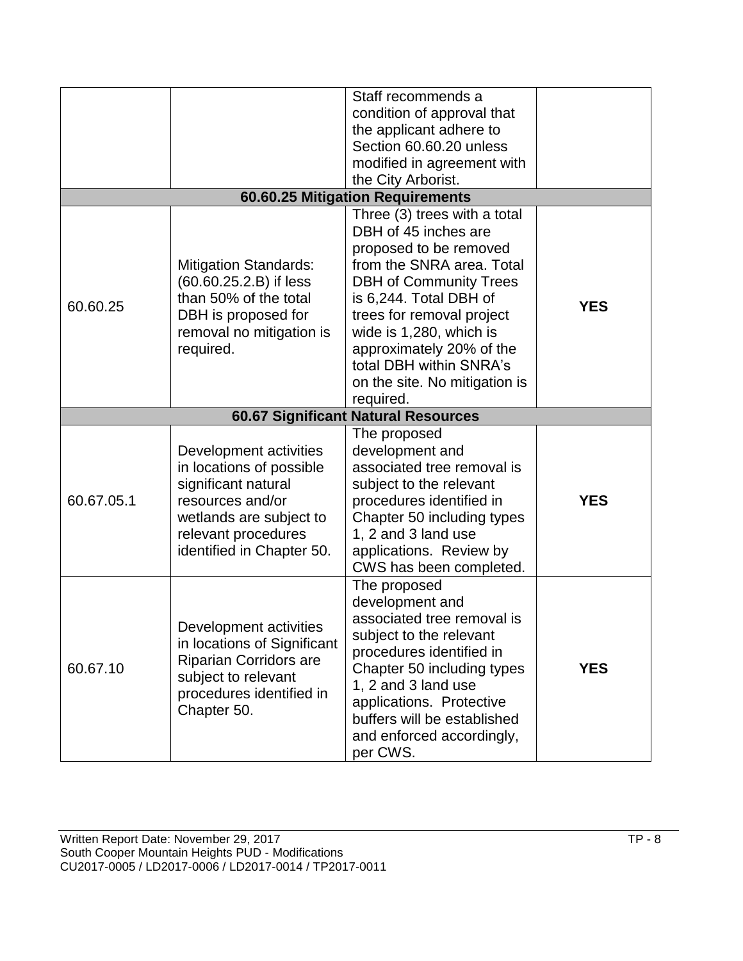|            |                                                                                                                                                                              | Staff recommends a<br>condition of approval that<br>the applicant adhere to<br>Section 60.60.20 unless<br>modified in agreement with<br>the City Arborist.                                                                                                                                                                          |            |
|------------|------------------------------------------------------------------------------------------------------------------------------------------------------------------------------|-------------------------------------------------------------------------------------------------------------------------------------------------------------------------------------------------------------------------------------------------------------------------------------------------------------------------------------|------------|
|            |                                                                                                                                                                              | 60.60.25 Mitigation Requirements                                                                                                                                                                                                                                                                                                    |            |
| 60.60.25   | <b>Mitigation Standards:</b><br>(60.60.25.2.B) if less<br>than 50% of the total<br>DBH is proposed for<br>removal no mitigation is<br>required.                              | Three (3) trees with a total<br>DBH of 45 inches are<br>proposed to be removed<br>from the SNRA area. Total<br><b>DBH of Community Trees</b><br>is 6,244. Total DBH of<br>trees for removal project<br>wide is 1,280, which is<br>approximately 20% of the<br>total DBH within SNRA's<br>on the site. No mitigation is<br>required. | <b>YES</b> |
|            |                                                                                                                                                                              | <b>60.67 Significant Natural Resources</b>                                                                                                                                                                                                                                                                                          |            |
| 60.67.05.1 | Development activities<br>in locations of possible<br>significant natural<br>resources and/or<br>wetlands are subject to<br>relevant procedures<br>identified in Chapter 50. | The proposed<br>development and<br>associated tree removal is<br>subject to the relevant<br>procedures identified in<br>Chapter 50 including types<br>1, 2 and 3 land use<br>applications. Review by<br>CWS has been completed.                                                                                                     | <b>YES</b> |
| 60.67.10   | Development activities<br>in locations of Significant<br><b>Riparian Corridors are</b><br>subject to relevant<br>procedures identified in<br>Chapter 50.                     | The proposed<br>development and<br>associated tree removal is<br>subject to the relevant<br>procedures identified in<br>Chapter 50 including types<br>1, 2 and 3 land use<br>applications. Protective<br>buffers will be established<br>and enforced accordingly,<br>per CWS.                                                       | <b>YES</b> |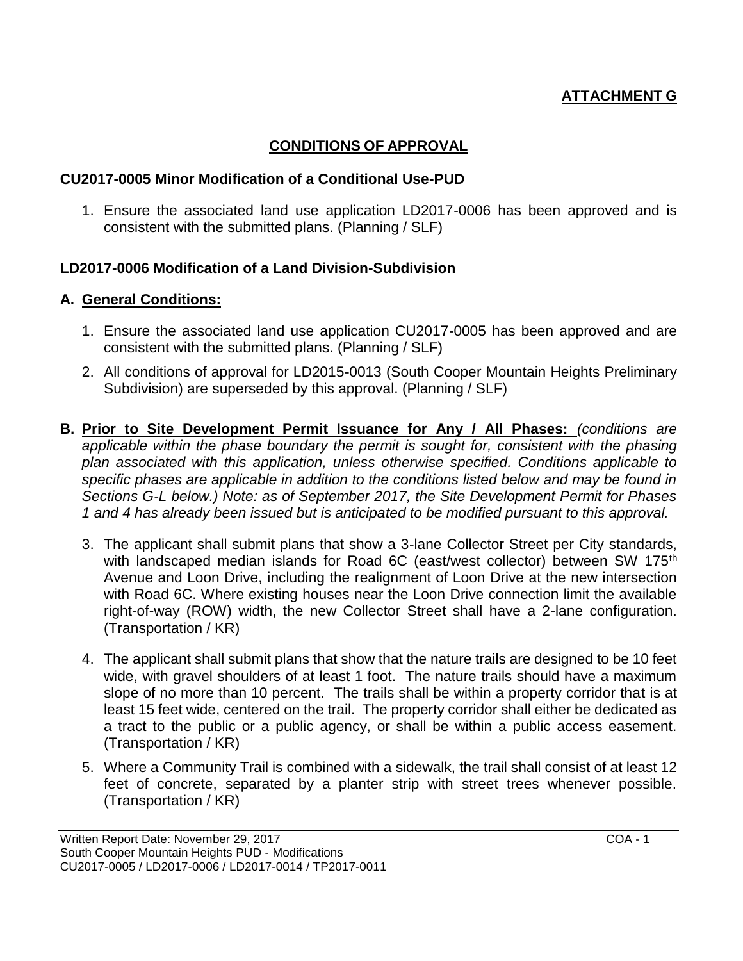## **ATTACHMENT G**

#### **CONDITIONS OF APPROVAL**

#### **CU2017-0005 Minor Modification of a Conditional Use-PUD**

1. Ensure the associated land use application LD2017-0006 has been approved and is consistent with the submitted plans. (Planning / SLF)

#### **LD2017-0006 Modification of a Land Division-Subdivision**

#### **A. General Conditions:**

- 1. Ensure the associated land use application CU2017-0005 has been approved and are consistent with the submitted plans. (Planning / SLF)
- 2. All conditions of approval for LD2015-0013 (South Cooper Mountain Heights Preliminary Subdivision) are superseded by this approval. (Planning / SLF)
- **B. Prior to Site Development Permit Issuance for Any / All Phases:** *(conditions are*  applicable within the phase boundary the permit is sought for, consistent with the phasing *plan associated with this application, unless otherwise specified. Conditions applicable to specific phases are applicable in addition to the conditions listed below and may be found in Sections G-L below.) Note: as of September 2017, the Site Development Permit for Phases 1 and 4 has already been issued but is anticipated to be modified pursuant to this approval.* 
	- 3. The applicant shall submit plans that show a 3-lane Collector Street per City standards, with landscaped median islands for Road 6C (east/west collector) between SW 175<sup>th</sup> Avenue and Loon Drive, including the realignment of Loon Drive at the new intersection with Road 6C. Where existing houses near the Loon Drive connection limit the available right-of-way (ROW) width, the new Collector Street shall have a 2-lane configuration. (Transportation / KR)
	- 4. The applicant shall submit plans that show that the nature trails are designed to be 10 feet wide, with gravel shoulders of at least 1 foot. The nature trails should have a maximum slope of no more than 10 percent. The trails shall be within a property corridor that is at least 15 feet wide, centered on the trail. The property corridor shall either be dedicated as a tract to the public or a public agency, or shall be within a public access easement. (Transportation / KR)
	- 5. Where a Community Trail is combined with a sidewalk, the trail shall consist of at least 12 feet of concrete, separated by a planter strip with street trees whenever possible. (Transportation / KR)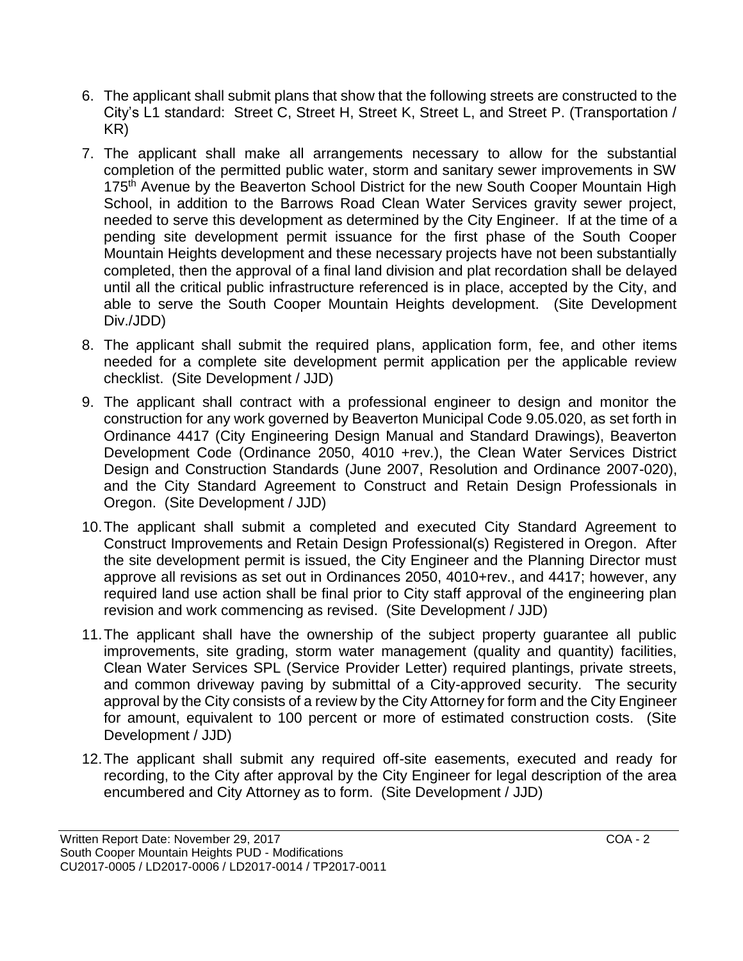- 6. The applicant shall submit plans that show that the following streets are constructed to the City's L1 standard: Street C, Street H, Street K, Street L, and Street P. (Transportation / KR)
- 7. The applicant shall make all arrangements necessary to allow for the substantial completion of the permitted public water, storm and sanitary sewer improvements in SW 175<sup>th</sup> Avenue by the Beaverton School District for the new South Cooper Mountain High School, in addition to the Barrows Road Clean Water Services gravity sewer project, needed to serve this development as determined by the City Engineer. If at the time of a pending site development permit issuance for the first phase of the South Cooper Mountain Heights development and these necessary projects have not been substantially completed, then the approval of a final land division and plat recordation shall be delayed until all the critical public infrastructure referenced is in place, accepted by the City, and able to serve the South Cooper Mountain Heights development. (Site Development Div./JDD)
- 8. The applicant shall submit the required plans, application form, fee, and other items needed for a complete site development permit application per the applicable review checklist. (Site Development / JJD)
- 9. The applicant shall contract with a professional engineer to design and monitor the construction for any work governed by Beaverton Municipal Code 9.05.020, as set forth in Ordinance 4417 (City Engineering Design Manual and Standard Drawings), Beaverton Development Code (Ordinance 2050, 4010 +rev.), the Clean Water Services District Design and Construction Standards (June 2007, Resolution and Ordinance 2007-020), and the City Standard Agreement to Construct and Retain Design Professionals in Oregon. (Site Development / JJD)
- 10.The applicant shall submit a completed and executed City Standard Agreement to Construct Improvements and Retain Design Professional(s) Registered in Oregon. After the site development permit is issued, the City Engineer and the Planning Director must approve all revisions as set out in Ordinances 2050, 4010+rev., and 4417; however, any required land use action shall be final prior to City staff approval of the engineering plan revision and work commencing as revised. (Site Development / JJD)
- 11.The applicant shall have the ownership of the subject property guarantee all public improvements, site grading, storm water management (quality and quantity) facilities, Clean Water Services SPL (Service Provider Letter) required plantings, private streets, and common driveway paving by submittal of a City-approved security. The security approval by the City consists of a review by the City Attorney for form and the City Engineer for amount, equivalent to 100 percent or more of estimated construction costs. (Site Development / JJD)
- 12.The applicant shall submit any required off-site easements, executed and ready for recording, to the City after approval by the City Engineer for legal description of the area encumbered and City Attorney as to form. (Site Development / JJD)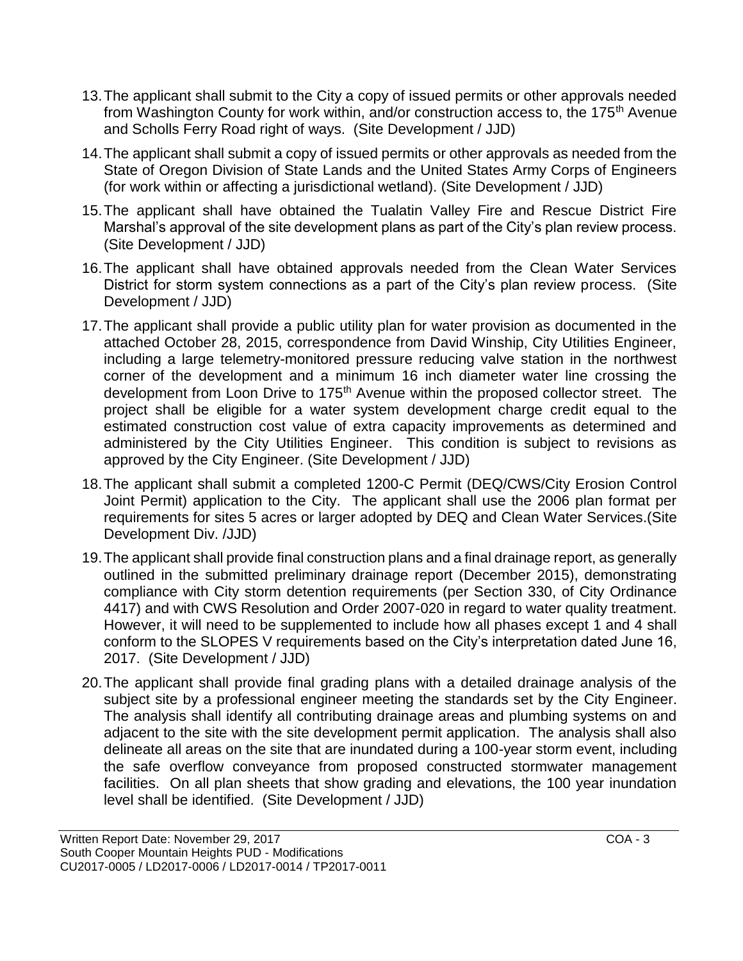- 13.The applicant shall submit to the City a copy of issued permits or other approvals needed from Washington County for work within, and/or construction access to, the 175<sup>th</sup> Avenue and Scholls Ferry Road right of ways. (Site Development / JJD)
- 14.The applicant shall submit a copy of issued permits or other approvals as needed from the State of Oregon Division of State Lands and the United States Army Corps of Engineers (for work within or affecting a jurisdictional wetland). (Site Development / JJD)
- 15.The applicant shall have obtained the Tualatin Valley Fire and Rescue District Fire Marshal's approval of the site development plans as part of the City's plan review process. (Site Development / JJD)
- 16.The applicant shall have obtained approvals needed from the Clean Water Services District for storm system connections as a part of the City's plan review process. (Site Development / JJD)
- 17.The applicant shall provide a public utility plan for water provision as documented in the attached October 28, 2015, correspondence from David Winship, City Utilities Engineer, including a large telemetry-monitored pressure reducing valve station in the northwest corner of the development and a minimum 16 inch diameter water line crossing the development from Loon Drive to 175<sup>th</sup> Avenue within the proposed collector street. The project shall be eligible for a water system development charge credit equal to the estimated construction cost value of extra capacity improvements as determined and administered by the City Utilities Engineer. This condition is subject to revisions as approved by the City Engineer. (Site Development / JJD)
- 18.The applicant shall submit a completed 1200-C Permit (DEQ/CWS/City Erosion Control Joint Permit) application to the City. The applicant shall use the 2006 plan format per requirements for sites 5 acres or larger adopted by DEQ and Clean Water Services.(Site Development Div. /JJD)
- 19.The applicant shall provide final construction plans and a final drainage report, as generally outlined in the submitted preliminary drainage report (December 2015), demonstrating compliance with City storm detention requirements (per Section 330, of City Ordinance 4417) and with CWS Resolution and Order 2007-020 in regard to water quality treatment. However, it will need to be supplemented to include how all phases except 1 and 4 shall conform to the SLOPES V requirements based on the City's interpretation dated June 16, 2017. (Site Development / JJD)
- 20.The applicant shall provide final grading plans with a detailed drainage analysis of the subject site by a professional engineer meeting the standards set by the City Engineer. The analysis shall identify all contributing drainage areas and plumbing systems on and adjacent to the site with the site development permit application. The analysis shall also delineate all areas on the site that are inundated during a 100-year storm event, including the safe overflow conveyance from proposed constructed stormwater management facilities. On all plan sheets that show grading and elevations, the 100 year inundation level shall be identified. (Site Development / JJD)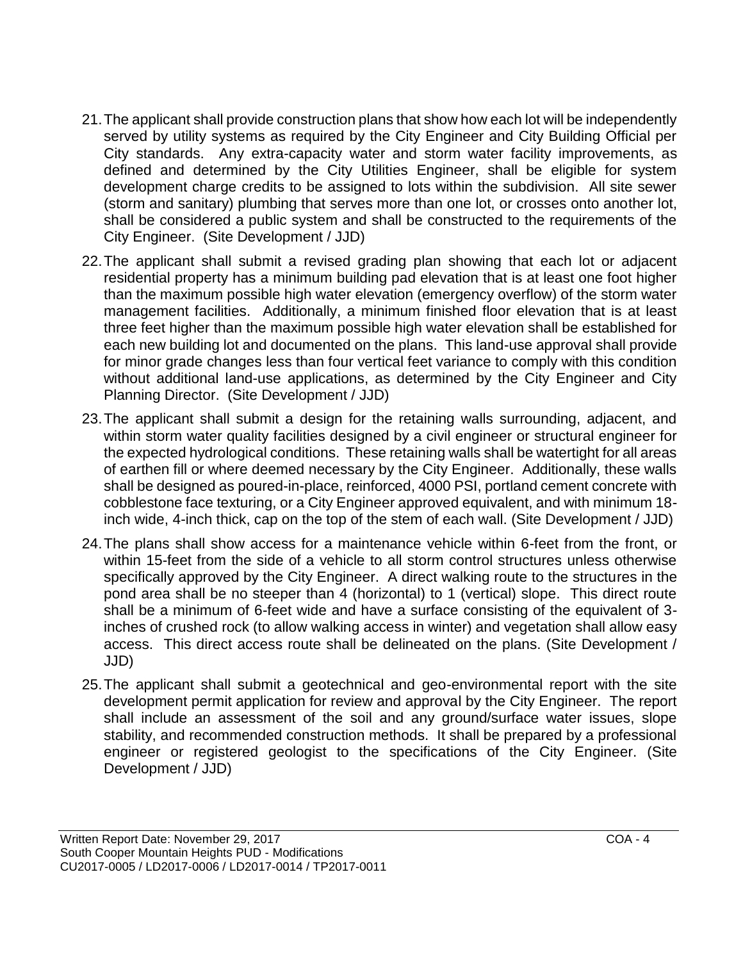- 21.The applicant shall provide construction plans that show how each lot will be independently served by utility systems as required by the City Engineer and City Building Official per City standards. Any extra-capacity water and storm water facility improvements, as defined and determined by the City Utilities Engineer, shall be eligible for system development charge credits to be assigned to lots within the subdivision. All site sewer (storm and sanitary) plumbing that serves more than one lot, or crosses onto another lot, shall be considered a public system and shall be constructed to the requirements of the City Engineer. (Site Development / JJD)
- 22.The applicant shall submit a revised grading plan showing that each lot or adjacent residential property has a minimum building pad elevation that is at least one foot higher than the maximum possible high water elevation (emergency overflow) of the storm water management facilities. Additionally, a minimum finished floor elevation that is at least three feet higher than the maximum possible high water elevation shall be established for each new building lot and documented on the plans. This land-use approval shall provide for minor grade changes less than four vertical feet variance to comply with this condition without additional land-use applications, as determined by the City Engineer and City Planning Director. (Site Development / JJD)
- 23.The applicant shall submit a design for the retaining walls surrounding, adjacent, and within storm water quality facilities designed by a civil engineer or structural engineer for the expected hydrological conditions. These retaining walls shall be watertight for all areas of earthen fill or where deemed necessary by the City Engineer. Additionally, these walls shall be designed as poured-in-place, reinforced, 4000 PSI, portland cement concrete with cobblestone face texturing, or a City Engineer approved equivalent, and with minimum 18 inch wide, 4-inch thick, cap on the top of the stem of each wall. (Site Development / JJD)
- 24.The plans shall show access for a maintenance vehicle within 6-feet from the front, or within 15-feet from the side of a vehicle to all storm control structures unless otherwise specifically approved by the City Engineer. A direct walking route to the structures in the pond area shall be no steeper than 4 (horizontal) to 1 (vertical) slope. This direct route shall be a minimum of 6-feet wide and have a surface consisting of the equivalent of 3 inches of crushed rock (to allow walking access in winter) and vegetation shall allow easy access. This direct access route shall be delineated on the plans. (Site Development / JJD)
- 25.The applicant shall submit a geotechnical and geo-environmental report with the site development permit application for review and approval by the City Engineer. The report shall include an assessment of the soil and any ground/surface water issues, slope stability, and recommended construction methods. It shall be prepared by a professional engineer or registered geologist to the specifications of the City Engineer. (Site Development / JJD)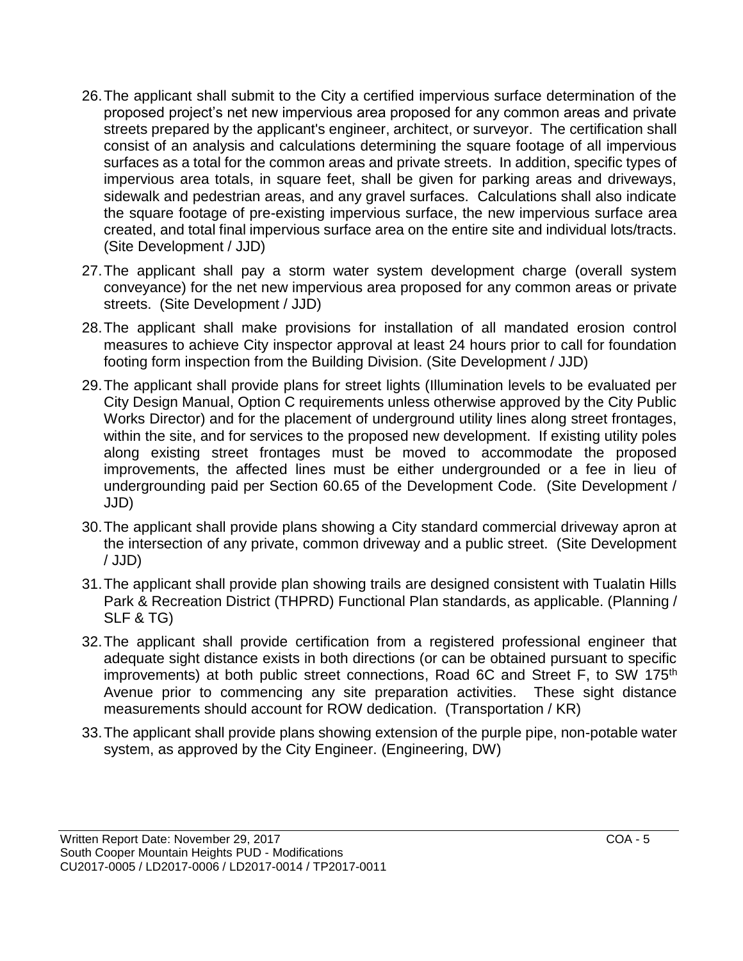- 26.The applicant shall submit to the City a certified impervious surface determination of the proposed project's net new impervious area proposed for any common areas and private streets prepared by the applicant's engineer, architect, or surveyor. The certification shall consist of an analysis and calculations determining the square footage of all impervious surfaces as a total for the common areas and private streets. In addition, specific types of impervious area totals, in square feet, shall be given for parking areas and driveways, sidewalk and pedestrian areas, and any gravel surfaces. Calculations shall also indicate the square footage of pre-existing impervious surface, the new impervious surface area created, and total final impervious surface area on the entire site and individual lots/tracts. (Site Development / JJD)
- 27.The applicant shall pay a storm water system development charge (overall system conveyance) for the net new impervious area proposed for any common areas or private streets. (Site Development / JJD)
- 28.The applicant shall make provisions for installation of all mandated erosion control measures to achieve City inspector approval at least 24 hours prior to call for foundation footing form inspection from the Building Division. (Site Development / JJD)
- 29.The applicant shall provide plans for street lights (Illumination levels to be evaluated per City Design Manual, Option C requirements unless otherwise approved by the City Public Works Director) and for the placement of underground utility lines along street frontages, within the site, and for services to the proposed new development. If existing utility poles along existing street frontages must be moved to accommodate the proposed improvements, the affected lines must be either undergrounded or a fee in lieu of undergrounding paid per Section 60.65 of the Development Code. (Site Development / JJD)
- 30.The applicant shall provide plans showing a City standard commercial driveway apron at the intersection of any private, common driveway and a public street. (Site Development / JJD)
- 31.The applicant shall provide plan showing trails are designed consistent with Tualatin Hills Park & Recreation District (THPRD) Functional Plan standards, as applicable. (Planning / SLF & TG)
- 32.The applicant shall provide certification from a registered professional engineer that adequate sight distance exists in both directions (or can be obtained pursuant to specific improvements) at both public street connections, Road 6C and Street F, to SW 175<sup>th</sup> Avenue prior to commencing any site preparation activities. These sight distance measurements should account for ROW dedication. (Transportation / KR)
- 33.The applicant shall provide plans showing extension of the purple pipe, non-potable water system, as approved by the City Engineer. (Engineering, DW)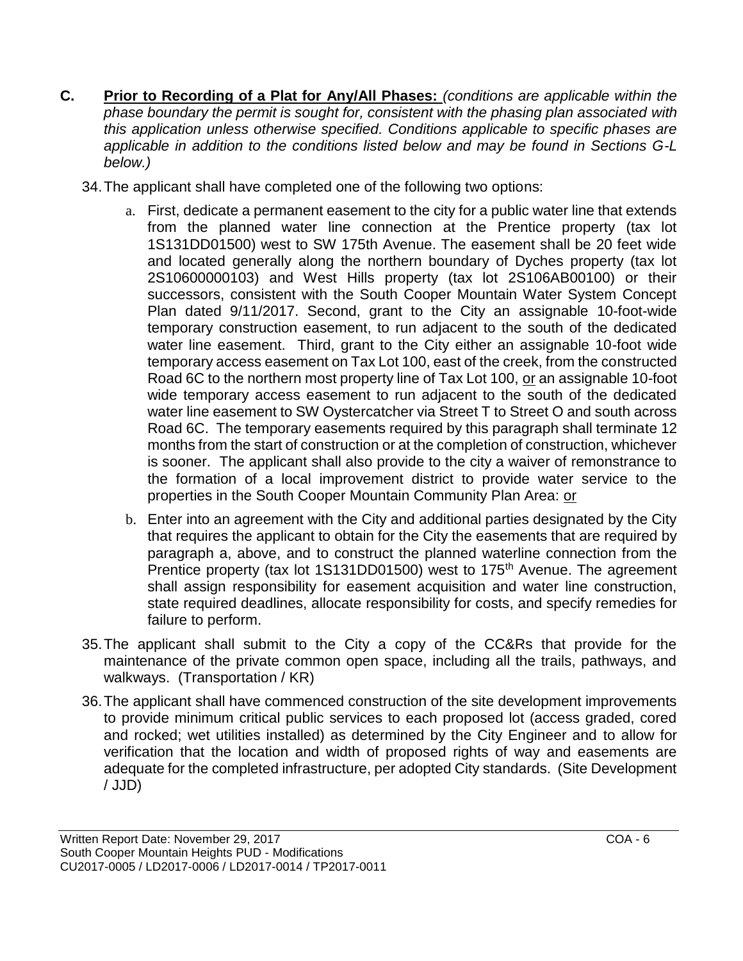- **C. Prior to Recording of a Plat for Any/All Phases:** *(conditions are applicable within the phase boundary the permit is sought for, consistent with the phasing plan associated with this application unless otherwise specified. Conditions applicable to specific phases are applicable in addition to the conditions listed below and may be found in Sections G-L below.)*
	- 34.The applicant shall have completed one of the following two options:
		- a. First, dedicate a permanent easement to the city for a public water line that extends from the planned water line connection at the Prentice property (tax lot 1S131DD01500) west to SW 175th Avenue. The easement shall be 20 feet wide and located generally along the northern boundary of Dyches property (tax lot 2S10600000103) and West Hills property (tax lot 2S106AB00100) or their successors, consistent with the South Cooper Mountain Water System Concept Plan dated 9/11/2017. Second, grant to the City an assignable 10-foot-wide temporary construction easement, to run adjacent to the south of the dedicated water line easement. Third, grant to the City either an assignable 10-foot wide temporary access easement on Tax Lot 100, east of the creek, from the constructed Road 6C to the northern most property line of Tax Lot 100, or an assignable 10-foot wide temporary access easement to run adjacent to the south of the dedicated water line easement to SW Oystercatcher via Street T to Street O and south across Road 6C. The temporary easements required by this paragraph shall terminate 12 months from the start of construction or at the completion of construction, whichever is sooner. The applicant shall also provide to the city a waiver of remonstrance to the formation of a local improvement district to provide water service to the properties in the South Cooper Mountain Community Plan Area: or
		- b. Enter into an agreement with the City and additional parties designated by the City that requires the applicant to obtain for the City the easements that are required by paragraph a, above, and to construct the planned waterline connection from the Prentice property (tax lot 1S131DD01500) west to 175<sup>th</sup> Avenue. The agreement shall assign responsibility for easement acquisition and water line construction, state required deadlines, allocate responsibility for costs, and specify remedies for failure to perform.
	- 35.The applicant shall submit to the City a copy of the CC&Rs that provide for the maintenance of the private common open space, including all the trails, pathways, and walkways. (Transportation / KR)
	- 36.The applicant shall have commenced construction of the site development improvements to provide minimum critical public services to each proposed lot (access graded, cored and rocked; wet utilities installed) as determined by the City Engineer and to allow for verification that the location and width of proposed rights of way and easements are adequate for the completed infrastructure, per adopted City standards. (Site Development / JJD)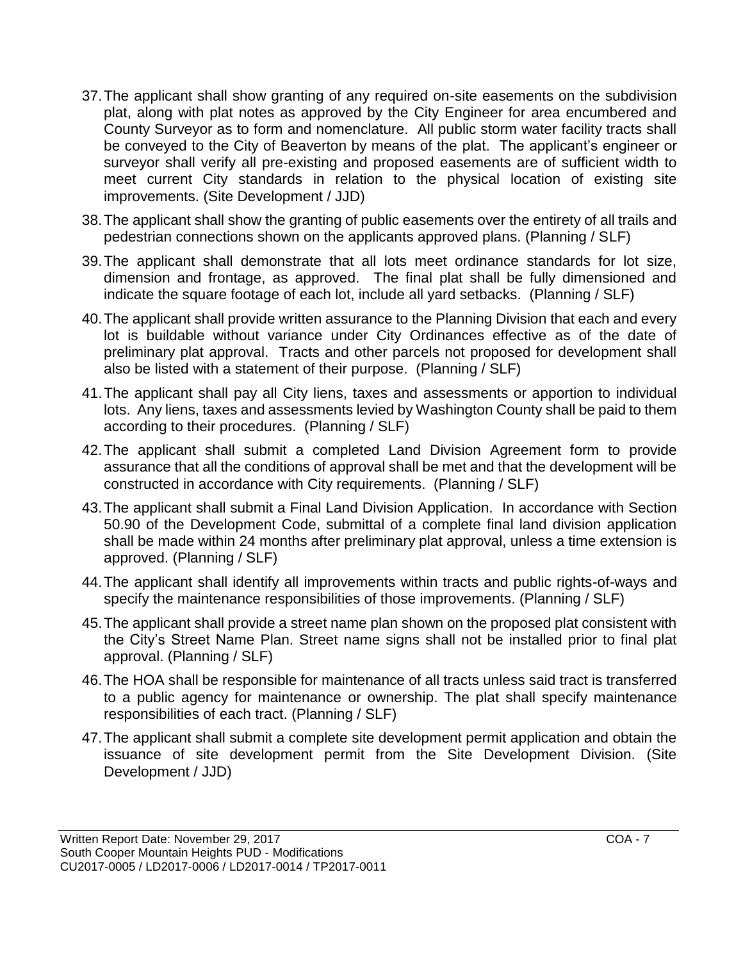- 37.The applicant shall show granting of any required on-site easements on the subdivision plat, along with plat notes as approved by the City Engineer for area encumbered and County Surveyor as to form and nomenclature. All public storm water facility tracts shall be conveyed to the City of Beaverton by means of the plat. The applicant's engineer or surveyor shall verify all pre-existing and proposed easements are of sufficient width to meet current City standards in relation to the physical location of existing site improvements. (Site Development / JJD)
- 38.The applicant shall show the granting of public easements over the entirety of all trails and pedestrian connections shown on the applicants approved plans. (Planning / SLF)
- 39.The applicant shall demonstrate that all lots meet ordinance standards for lot size, dimension and frontage, as approved. The final plat shall be fully dimensioned and indicate the square footage of each lot, include all yard setbacks. (Planning / SLF)
- 40.The applicant shall provide written assurance to the Planning Division that each and every lot is buildable without variance under City Ordinances effective as of the date of preliminary plat approval. Tracts and other parcels not proposed for development shall also be listed with a statement of their purpose. (Planning / SLF)
- 41.The applicant shall pay all City liens, taxes and assessments or apportion to individual lots. Any liens, taxes and assessments levied by Washington County shall be paid to them according to their procedures. (Planning / SLF)
- 42.The applicant shall submit a completed Land Division Agreement form to provide assurance that all the conditions of approval shall be met and that the development will be constructed in accordance with City requirements. (Planning / SLF)
- 43.The applicant shall submit a Final Land Division Application. In accordance with Section 50.90 of the Development Code, submittal of a complete final land division application shall be made within 24 months after preliminary plat approval, unless a time extension is approved. (Planning / SLF)
- 44.The applicant shall identify all improvements within tracts and public rights-of-ways and specify the maintenance responsibilities of those improvements. (Planning / SLF)
- 45.The applicant shall provide a street name plan shown on the proposed plat consistent with the City's Street Name Plan. Street name signs shall not be installed prior to final plat approval. (Planning / SLF)
- 46.The HOA shall be responsible for maintenance of all tracts unless said tract is transferred to a public agency for maintenance or ownership. The plat shall specify maintenance responsibilities of each tract. (Planning / SLF)
- 47.The applicant shall submit a complete site development permit application and obtain the issuance of site development permit from the Site Development Division. (Site Development / JJD)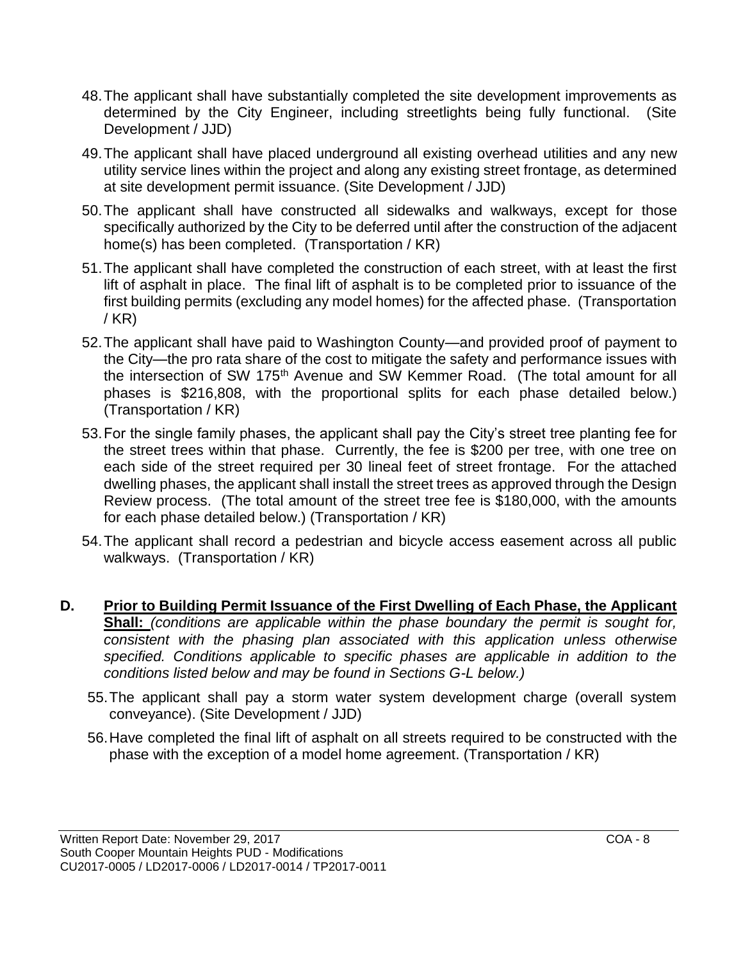- 48.The applicant shall have substantially completed the site development improvements as determined by the City Engineer, including streetlights being fully functional. (Site Development / JJD)
- 49.The applicant shall have placed underground all existing overhead utilities and any new utility service lines within the project and along any existing street frontage, as determined at site development permit issuance. (Site Development / JJD)
- 50.The applicant shall have constructed all sidewalks and walkways, except for those specifically authorized by the City to be deferred until after the construction of the adjacent home(s) has been completed. (Transportation / KR)
- 51.The applicant shall have completed the construction of each street, with at least the first lift of asphalt in place. The final lift of asphalt is to be completed prior to issuance of the first building permits (excluding any model homes) for the affected phase. (Transportation / KR)
- 52.The applicant shall have paid to Washington County—and provided proof of payment to the City—the pro rata share of the cost to mitigate the safety and performance issues with the intersection of SW 175<sup>th</sup> Avenue and SW Kemmer Road. (The total amount for all phases is \$216,808, with the proportional splits for each phase detailed below.) (Transportation / KR)
- 53.For the single family phases, the applicant shall pay the City's street tree planting fee for the street trees within that phase. Currently, the fee is \$200 per tree, with one tree on each side of the street required per 30 lineal feet of street frontage. For the attached dwelling phases, the applicant shall install the street trees as approved through the Design Review process. (The total amount of the street tree fee is \$180,000, with the amounts for each phase detailed below.) (Transportation / KR)
- 54.The applicant shall record a pedestrian and bicycle access easement across all public walkways. (Transportation / KR)
- **D. Prior to Building Permit Issuance of the First Dwelling of Each Phase, the Applicant Shall:** *(conditions are applicable within the phase boundary the permit is sought for, consistent with the phasing plan associated with this application unless otherwise specified. Conditions applicable to specific phases are applicable in addition to the conditions listed below and may be found in Sections G-L below.)*
	- 55.The applicant shall pay a storm water system development charge (overall system conveyance). (Site Development / JJD)
	- 56.Have completed the final lift of asphalt on all streets required to be constructed with the phase with the exception of a model home agreement. (Transportation / KR)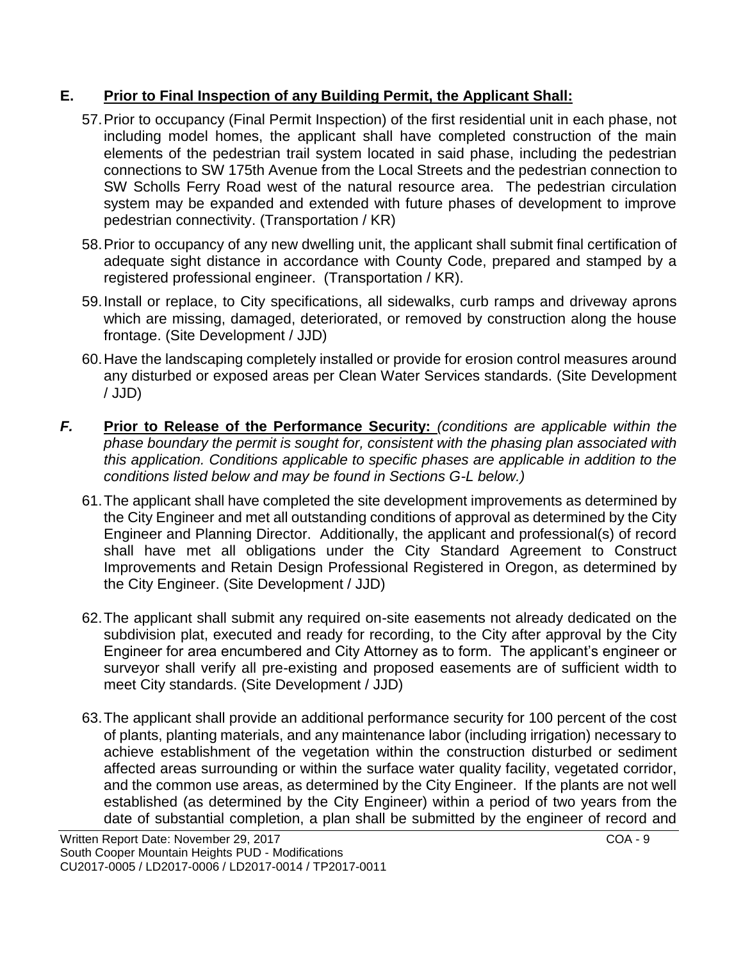## **E. Prior to Final Inspection of any Building Permit, the Applicant Shall:**

- 57.Prior to occupancy (Final Permit Inspection) of the first residential unit in each phase, not including model homes, the applicant shall have completed construction of the main elements of the pedestrian trail system located in said phase, including the pedestrian connections to SW 175th Avenue from the Local Streets and the pedestrian connection to SW Scholls Ferry Road west of the natural resource area. The pedestrian circulation system may be expanded and extended with future phases of development to improve pedestrian connectivity. (Transportation / KR)
- 58.Prior to occupancy of any new dwelling unit, the applicant shall submit final certification of adequate sight distance in accordance with County Code, prepared and stamped by a registered professional engineer. (Transportation / KR).
- 59.Install or replace, to City specifications, all sidewalks, curb ramps and driveway aprons which are missing, damaged, deteriorated, or removed by construction along the house frontage. (Site Development / JJD)
- 60.Have the landscaping completely installed or provide for erosion control measures around any disturbed or exposed areas per Clean Water Services standards. (Site Development / JJD)
- *F.* **Prior to Release of the Performance Security:** *(conditions are applicable within the phase boundary the permit is sought for, consistent with the phasing plan associated with this application. Conditions applicable to specific phases are applicable in addition to the conditions listed below and may be found in Sections G-L below.)*
	- 61.The applicant shall have completed the site development improvements as determined by the City Engineer and met all outstanding conditions of approval as determined by the City Engineer and Planning Director. Additionally, the applicant and professional(s) of record shall have met all obligations under the City Standard Agreement to Construct Improvements and Retain Design Professional Registered in Oregon, as determined by the City Engineer. (Site Development / JJD)
	- 62.The applicant shall submit any required on-site easements not already dedicated on the subdivision plat, executed and ready for recording, to the City after approval by the City Engineer for area encumbered and City Attorney as to form. The applicant's engineer or surveyor shall verify all pre-existing and proposed easements are of sufficient width to meet City standards. (Site Development / JJD)
	- 63.The applicant shall provide an additional performance security for 100 percent of the cost of plants, planting materials, and any maintenance labor (including irrigation) necessary to achieve establishment of the vegetation within the construction disturbed or sediment affected areas surrounding or within the surface water quality facility, vegetated corridor, and the common use areas, as determined by the City Engineer. If the plants are not well established (as determined by the City Engineer) within a period of two years from the date of substantial completion, a plan shall be submitted by the engineer of record and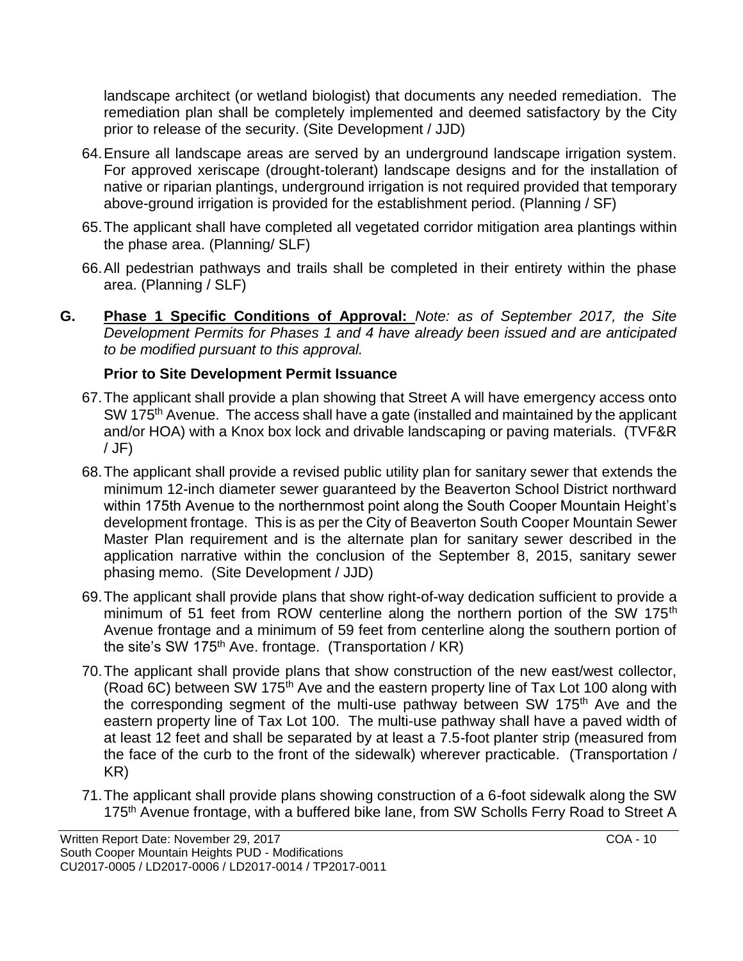landscape architect (or wetland biologist) that documents any needed remediation. The remediation plan shall be completely implemented and deemed satisfactory by the City prior to release of the security. (Site Development / JJD)

- 64.Ensure all landscape areas are served by an underground landscape irrigation system. For approved xeriscape (drought-tolerant) landscape designs and for the installation of native or riparian plantings, underground irrigation is not required provided that temporary above-ground irrigation is provided for the establishment period. (Planning / SF)
- 65.The applicant shall have completed all vegetated corridor mitigation area plantings within the phase area. (Planning/ SLF)
- 66.All pedestrian pathways and trails shall be completed in their entirety within the phase area. (Planning / SLF)
- **G. Phase 1 Specific Conditions of Approval:** *Note: as of September 2017, the Site Development Permits for Phases 1 and 4 have already been issued and are anticipated to be modified pursuant to this approval.*

## **Prior to Site Development Permit Issuance**

- 67.The applicant shall provide a plan showing that Street A will have emergency access onto SW 175<sup>th</sup> Avenue. The access shall have a gate (installed and maintained by the applicant and/or HOA) with a Knox box lock and drivable landscaping or paving materials. (TVF&R / JF)
- 68.The applicant shall provide a revised public utility plan for sanitary sewer that extends the minimum 12-inch diameter sewer guaranteed by the Beaverton School District northward within 175th Avenue to the northernmost point along the South Cooper Mountain Height's development frontage. This is as per the City of Beaverton South Cooper Mountain Sewer Master Plan requirement and is the alternate plan for sanitary sewer described in the application narrative within the conclusion of the September 8, 2015, sanitary sewer phasing memo. (Site Development / JJD)
- 69.The applicant shall provide plans that show right-of-way dedication sufficient to provide a minimum of 51 feet from ROW centerline along the northern portion of the SW 175<sup>th</sup> Avenue frontage and a minimum of 59 feet from centerline along the southern portion of the site's SW 175<sup>th</sup> Ave. frontage. (Transportation /  $KR$ )
- 70.The applicant shall provide plans that show construction of the new east/west collector, (Road 6C) between SW 175th Ave and the eastern property line of Tax Lot 100 along with the corresponding segment of the multi-use pathway between SW 175<sup>th</sup> Ave and the eastern property line of Tax Lot 100. The multi-use pathway shall have a paved width of at least 12 feet and shall be separated by at least a 7.5-foot planter strip (measured from the face of the curb to the front of the sidewalk) wherever practicable. (Transportation / KR)
- 71.The applicant shall provide plans showing construction of a 6-foot sidewalk along the SW 175<sup>th</sup> Avenue frontage, with a buffered bike lane, from SW Scholls Ferry Road to Street A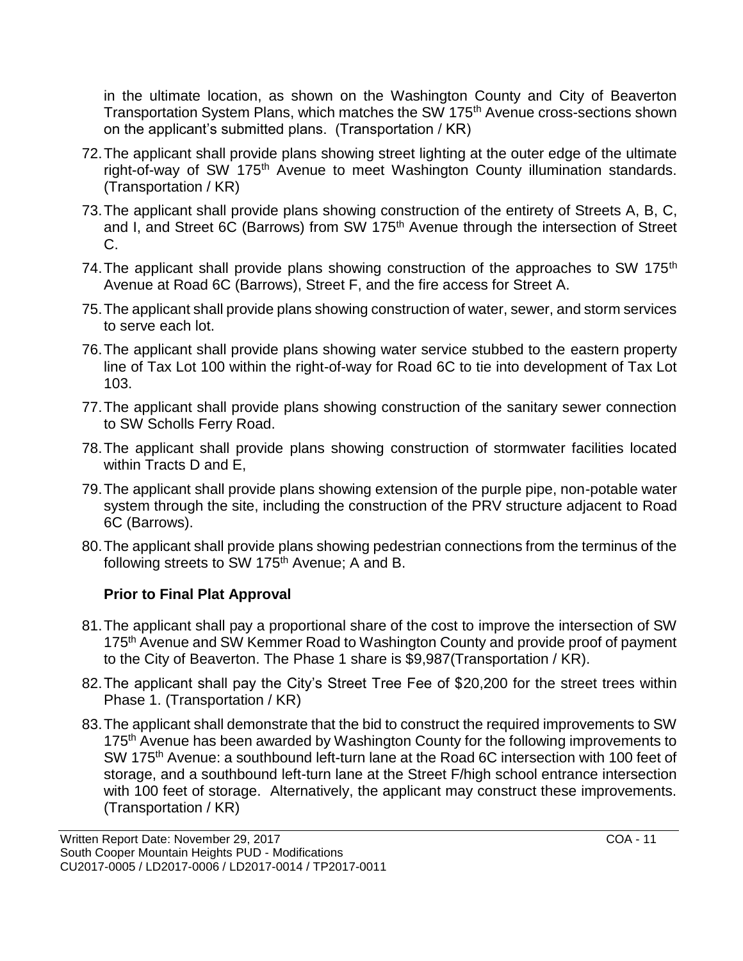in the ultimate location, as shown on the Washington County and City of Beaverton Transportation System Plans, which matches the SW 175<sup>th</sup> Avenue cross-sections shown on the applicant's submitted plans. (Transportation / KR)

- 72.The applicant shall provide plans showing street lighting at the outer edge of the ultimate right-of-way of SW 175<sup>th</sup> Avenue to meet Washington County illumination standards. (Transportation / KR)
- 73.The applicant shall provide plans showing construction of the entirety of Streets A, B, C, and I, and Street 6C (Barrows) from SW 175<sup>th</sup> Avenue through the intersection of Street C.
- 74. The applicant shall provide plans showing construction of the approaches to SW 175<sup>th</sup> Avenue at Road 6C (Barrows), Street F, and the fire access for Street A.
- 75.The applicant shall provide plans showing construction of water, sewer, and storm services to serve each lot.
- 76.The applicant shall provide plans showing water service stubbed to the eastern property line of Tax Lot 100 within the right-of-way for Road 6C to tie into development of Tax Lot 103.
- 77.The applicant shall provide plans showing construction of the sanitary sewer connection to SW Scholls Ferry Road.
- 78.The applicant shall provide plans showing construction of stormwater facilities located within Tracts D and E,
- 79.The applicant shall provide plans showing extension of the purple pipe, non-potable water system through the site, including the construction of the PRV structure adjacent to Road 6C (Barrows).
- 80.The applicant shall provide plans showing pedestrian connections from the terminus of the following streets to SW 175<sup>th</sup> Avenue; A and B.

## **Prior to Final Plat Approval**

- 81.The applicant shall pay a proportional share of the cost to improve the intersection of SW 175<sup>th</sup> Avenue and SW Kemmer Road to Washington County and provide proof of payment to the City of Beaverton. The Phase 1 share is \$9,987(Transportation / KR).
- 82.The applicant shall pay the City's Street Tree Fee of \$20,200 for the street trees within Phase 1. (Transportation / KR)
- 83.The applicant shall demonstrate that the bid to construct the required improvements to SW 175<sup>th</sup> Avenue has been awarded by Washington County for the following improvements to SW 175<sup>th</sup> Avenue: a southbound left-turn lane at the Road 6C intersection with 100 feet of storage, and a southbound left-turn lane at the Street F/high school entrance intersection with 100 feet of storage. Alternatively, the applicant may construct these improvements. (Transportation / KR)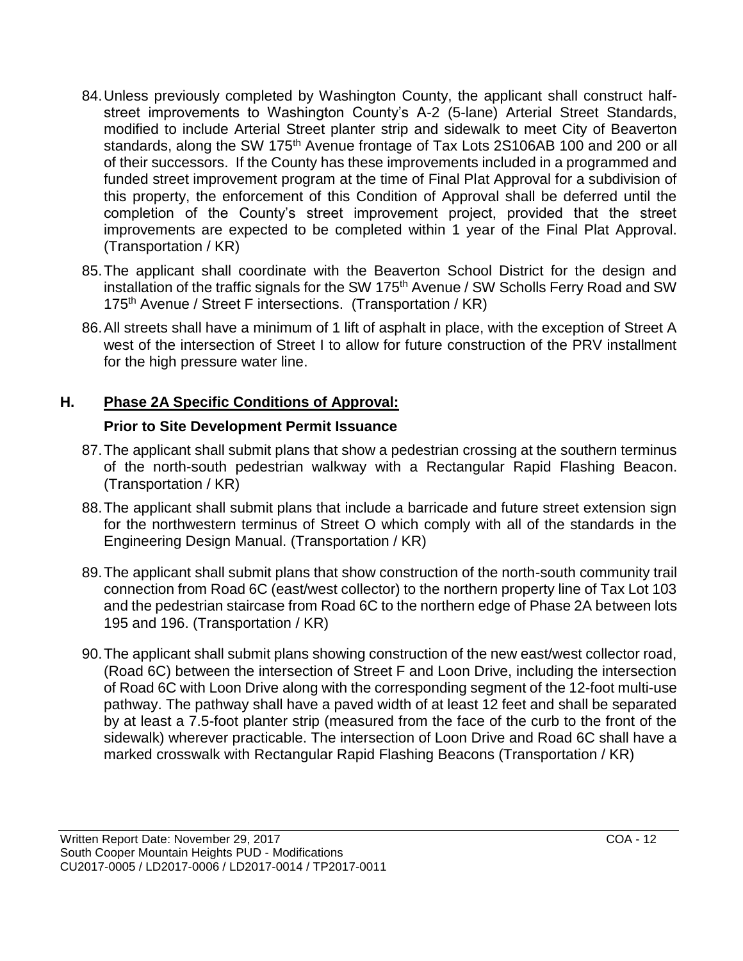- 84.Unless previously completed by Washington County, the applicant shall construct halfstreet improvements to Washington County's A-2 (5-lane) Arterial Street Standards, modified to include Arterial Street planter strip and sidewalk to meet City of Beaverton standards, along the SW 175<sup>th</sup> Avenue frontage of Tax Lots 2S106AB 100 and 200 or all of their successors. If the County has these improvements included in a programmed and funded street improvement program at the time of Final Plat Approval for a subdivision of this property, the enforcement of this Condition of Approval shall be deferred until the completion of the County's street improvement project, provided that the street improvements are expected to be completed within 1 year of the Final Plat Approval. (Transportation / KR)
- 85.The applicant shall coordinate with the Beaverton School District for the design and installation of the traffic signals for the SW 175<sup>th</sup> Avenue / SW Scholls Ferry Road and SW 175<sup>th</sup> Avenue / Street F intersections. (Transportation / KR)
- 86.All streets shall have a minimum of 1 lift of asphalt in place, with the exception of Street A west of the intersection of Street I to allow for future construction of the PRV installment for the high pressure water line.

## **H. Phase 2A Specific Conditions of Approval:**

## **Prior to Site Development Permit Issuance**

- 87.The applicant shall submit plans that show a pedestrian crossing at the southern terminus of the north-south pedestrian walkway with a Rectangular Rapid Flashing Beacon. (Transportation / KR)
- 88.The applicant shall submit plans that include a barricade and future street extension sign for the northwestern terminus of Street O which comply with all of the standards in the Engineering Design Manual. (Transportation / KR)
- 89.The applicant shall submit plans that show construction of the north-south community trail connection from Road 6C (east/west collector) to the northern property line of Tax Lot 103 and the pedestrian staircase from Road 6C to the northern edge of Phase 2A between lots 195 and 196. (Transportation / KR)
- 90.The applicant shall submit plans showing construction of the new east/west collector road, (Road 6C) between the intersection of Street F and Loon Drive, including the intersection of Road 6C with Loon Drive along with the corresponding segment of the 12-foot multi-use pathway. The pathway shall have a paved width of at least 12 feet and shall be separated by at least a 7.5-foot planter strip (measured from the face of the curb to the front of the sidewalk) wherever practicable. The intersection of Loon Drive and Road 6C shall have a marked crosswalk with Rectangular Rapid Flashing Beacons (Transportation / KR)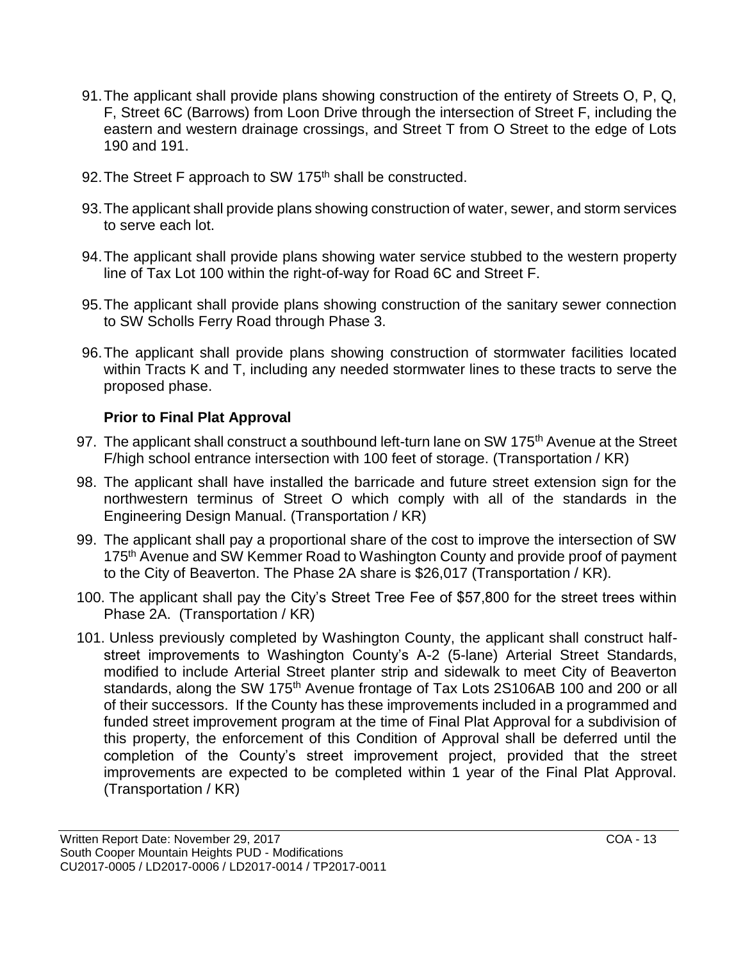- 91.The applicant shall provide plans showing construction of the entirety of Streets O, P, Q, F, Street 6C (Barrows) from Loon Drive through the intersection of Street F, including the eastern and western drainage crossings, and Street T from O Street to the edge of Lots 190 and 191.
- 92. The Street F approach to SW 175<sup>th</sup> shall be constructed.
- 93.The applicant shall provide plans showing construction of water, sewer, and storm services to serve each lot.
- 94.The applicant shall provide plans showing water service stubbed to the western property line of Tax Lot 100 within the right-of-way for Road 6C and Street F.
- 95.The applicant shall provide plans showing construction of the sanitary sewer connection to SW Scholls Ferry Road through Phase 3.
- 96.The applicant shall provide plans showing construction of stormwater facilities located within Tracts K and T, including any needed stormwater lines to these tracts to serve the proposed phase.

## **Prior to Final Plat Approval**

- 97. The applicant shall construct a southbound left-turn lane on SW 175<sup>th</sup> Avenue at the Street F/high school entrance intersection with 100 feet of storage. (Transportation / KR)
- 98. The applicant shall have installed the barricade and future street extension sign for the northwestern terminus of Street O which comply with all of the standards in the Engineering Design Manual. (Transportation / KR)
- 99. The applicant shall pay a proportional share of the cost to improve the intersection of SW 175<sup>th</sup> Avenue and SW Kemmer Road to Washington County and provide proof of payment to the City of Beaverton. The Phase 2A share is \$26,017 (Transportation / KR).
- 100. The applicant shall pay the City's Street Tree Fee of \$57,800 for the street trees within Phase 2A. (Transportation / KR)
- 101. Unless previously completed by Washington County, the applicant shall construct halfstreet improvements to Washington County's A-2 (5-lane) Arterial Street Standards, modified to include Arterial Street planter strip and sidewalk to meet City of Beaverton standards, along the SW 175<sup>th</sup> Avenue frontage of Tax Lots 2S106AB 100 and 200 or all of their successors. If the County has these improvements included in a programmed and funded street improvement program at the time of Final Plat Approval for a subdivision of this property, the enforcement of this Condition of Approval shall be deferred until the completion of the County's street improvement project, provided that the street improvements are expected to be completed within 1 year of the Final Plat Approval. (Transportation / KR)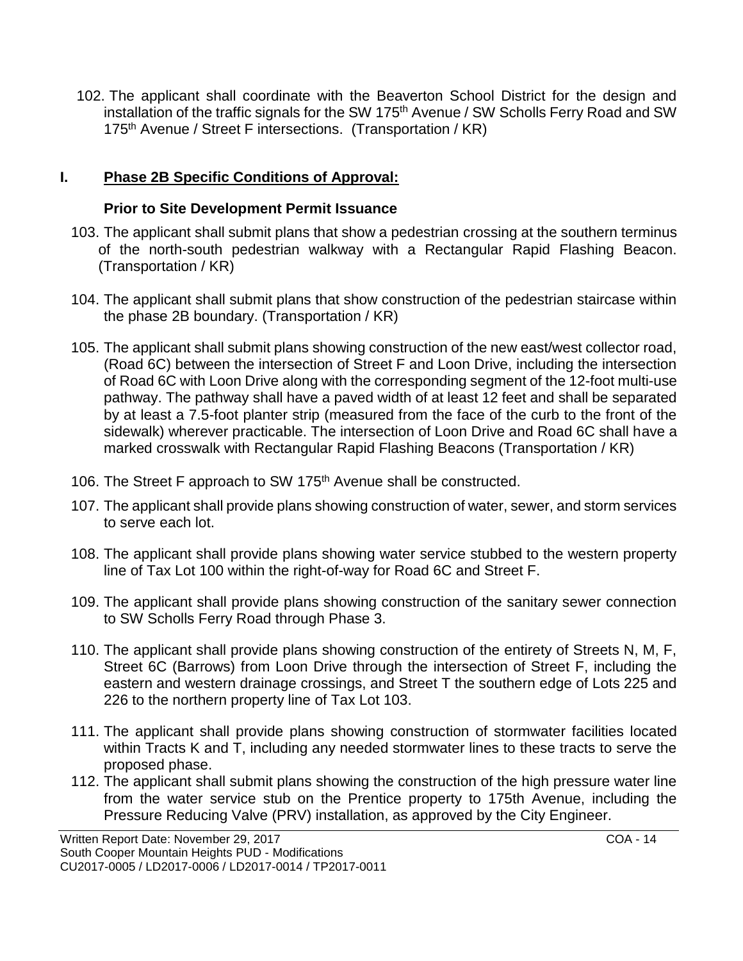102. The applicant shall coordinate with the Beaverton School District for the design and installation of the traffic signals for the SW 175<sup>th</sup> Avenue / SW Scholls Ferry Road and SW 175<sup>th</sup> Avenue / Street F intersections. (Transportation / KR)

### **I. Phase 2B Specific Conditions of Approval:**

#### **Prior to Site Development Permit Issuance**

- 103. The applicant shall submit plans that show a pedestrian crossing at the southern terminus of the north-south pedestrian walkway with a Rectangular Rapid Flashing Beacon. (Transportation / KR)
- 104. The applicant shall submit plans that show construction of the pedestrian staircase within the phase 2B boundary. (Transportation / KR)
- 105. The applicant shall submit plans showing construction of the new east/west collector road, (Road 6C) between the intersection of Street F and Loon Drive, including the intersection of Road 6C with Loon Drive along with the corresponding segment of the 12-foot multi-use pathway. The pathway shall have a paved width of at least 12 feet and shall be separated by at least a 7.5-foot planter strip (measured from the face of the curb to the front of the sidewalk) wherever practicable. The intersection of Loon Drive and Road 6C shall have a marked crosswalk with Rectangular Rapid Flashing Beacons (Transportation / KR)
- 106. The Street F approach to SW 175<sup>th</sup> Avenue shall be constructed.
- 107. The applicant shall provide plans showing construction of water, sewer, and storm services to serve each lot.
- 108. The applicant shall provide plans showing water service stubbed to the western property line of Tax Lot 100 within the right-of-way for Road 6C and Street F.
- 109. The applicant shall provide plans showing construction of the sanitary sewer connection to SW Scholls Ferry Road through Phase 3.
- 110. The applicant shall provide plans showing construction of the entirety of Streets N, M, F, Street 6C (Barrows) from Loon Drive through the intersection of Street F, including the eastern and western drainage crossings, and Street T the southern edge of Lots 225 and 226 to the northern property line of Tax Lot 103.
- 111. The applicant shall provide plans showing construction of stormwater facilities located within Tracts K and T, including any needed stormwater lines to these tracts to serve the proposed phase.
- 112. The applicant shall submit plans showing the construction of the high pressure water line from the water service stub on the Prentice property to 175th Avenue, including the Pressure Reducing Valve (PRV) installation, as approved by the City Engineer.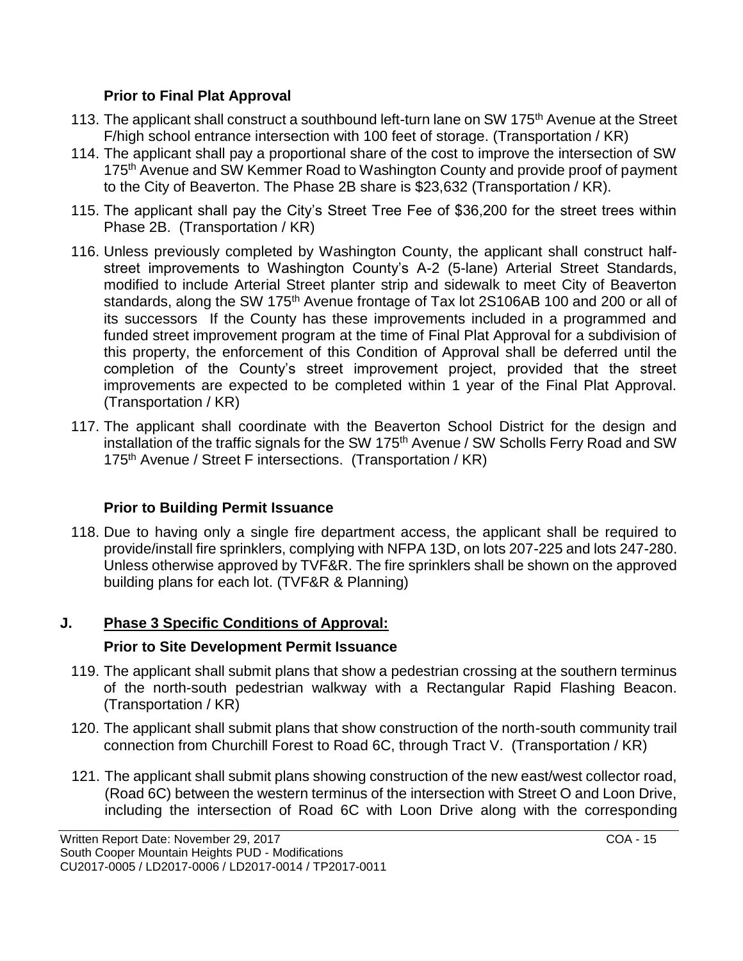### **Prior to Final Plat Approval**

- 113. The applicant shall construct a southbound left-turn lane on SW 175<sup>th</sup> Avenue at the Street F/high school entrance intersection with 100 feet of storage. (Transportation / KR)
- 114. The applicant shall pay a proportional share of the cost to improve the intersection of SW 175<sup>th</sup> Avenue and SW Kemmer Road to Washington County and provide proof of payment to the City of Beaverton. The Phase 2B share is \$23,632 (Transportation / KR).
- 115. The applicant shall pay the City's Street Tree Fee of \$36,200 for the street trees within Phase 2B. (Transportation / KR)
- 116. Unless previously completed by Washington County, the applicant shall construct halfstreet improvements to Washington County's A-2 (5-lane) Arterial Street Standards, modified to include Arterial Street planter strip and sidewalk to meet City of Beaverton standards, along the SW 175<sup>th</sup> Avenue frontage of Tax lot 2S106AB 100 and 200 or all of its successors If the County has these improvements included in a programmed and funded street improvement program at the time of Final Plat Approval for a subdivision of this property, the enforcement of this Condition of Approval shall be deferred until the completion of the County's street improvement project, provided that the street improvements are expected to be completed within 1 year of the Final Plat Approval. (Transportation / KR)
- 117. The applicant shall coordinate with the Beaverton School District for the design and installation of the traffic signals for the SW 175<sup>th</sup> Avenue / SW Scholls Ferry Road and SW 175<sup>th</sup> Avenue / Street F intersections. (Transportation / KR)

# **Prior to Building Permit Issuance**

118. Due to having only a single fire department access, the applicant shall be required to provide/install fire sprinklers, complying with NFPA 13D, on lots 207-225 and lots 247-280. Unless otherwise approved by TVF&R. The fire sprinklers shall be shown on the approved building plans for each lot. (TVF&R & Planning)

# **J. Phase 3 Specific Conditions of Approval:**

# **Prior to Site Development Permit Issuance**

- 119. The applicant shall submit plans that show a pedestrian crossing at the southern terminus of the north-south pedestrian walkway with a Rectangular Rapid Flashing Beacon. (Transportation / KR)
- 120. The applicant shall submit plans that show construction of the north-south community trail connection from Churchill Forest to Road 6C, through Tract V. (Transportation / KR)
- 121. The applicant shall submit plans showing construction of the new east/west collector road, (Road 6C) between the western terminus of the intersection with Street O and Loon Drive, including the intersection of Road 6C with Loon Drive along with the corresponding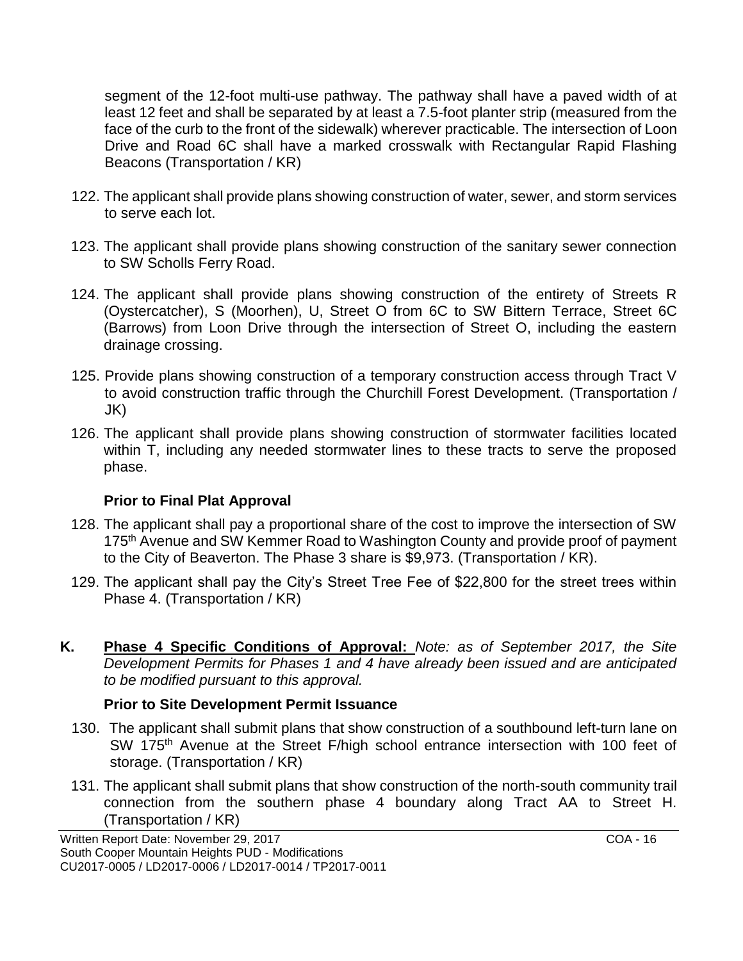segment of the 12-foot multi-use pathway. The pathway shall have a paved width of at least 12 feet and shall be separated by at least a 7.5-foot planter strip (measured from the face of the curb to the front of the sidewalk) wherever practicable. The intersection of Loon Drive and Road 6C shall have a marked crosswalk with Rectangular Rapid Flashing Beacons (Transportation / KR)

- 122. The applicant shall provide plans showing construction of water, sewer, and storm services to serve each lot.
- 123. The applicant shall provide plans showing construction of the sanitary sewer connection to SW Scholls Ferry Road.
- 124. The applicant shall provide plans showing construction of the entirety of Streets R (Oystercatcher), S (Moorhen), U, Street O from 6C to SW Bittern Terrace, Street 6C (Barrows) from Loon Drive through the intersection of Street O, including the eastern drainage crossing.
- 125. Provide plans showing construction of a temporary construction access through Tract V to avoid construction traffic through the Churchill Forest Development. (Transportation / JK)
- 126. The applicant shall provide plans showing construction of stormwater facilities located within T, including any needed stormwater lines to these tracts to serve the proposed phase.

#### **Prior to Final Plat Approval**

- 128. The applicant shall pay a proportional share of the cost to improve the intersection of SW 175<sup>th</sup> Avenue and SW Kemmer Road to Washington County and provide proof of payment to the City of Beaverton. The Phase 3 share is \$9,973. (Transportation / KR).
- 129. The applicant shall pay the City's Street Tree Fee of \$22,800 for the street trees within Phase 4. (Transportation / KR)
- **K. Phase 4 Specific Conditions of Approval:** *Note: as of September 2017, the Site Development Permits for Phases 1 and 4 have already been issued and are anticipated to be modified pursuant to this approval.*

#### **Prior to Site Development Permit Issuance**

- 130. The applicant shall submit plans that show construction of a southbound left-turn lane on SW 175<sup>th</sup> Avenue at the Street F/high school entrance intersection with 100 feet of storage. (Transportation / KR)
- 131. The applicant shall submit plans that show construction of the north-south community trail connection from the southern phase 4 boundary along Tract AA to Street H. (Transportation / KR)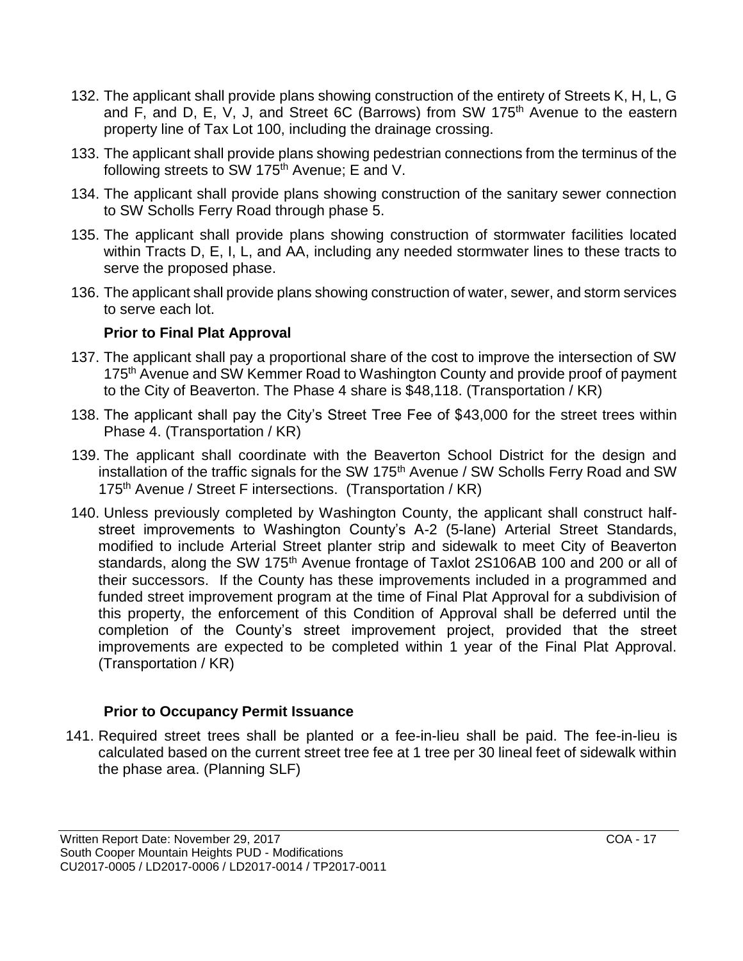- 132. The applicant shall provide plans showing construction of the entirety of Streets K, H, L, G and F, and D, E, V, J, and Street 6C (Barrows) from SW 175<sup>th</sup> Avenue to the eastern property line of Tax Lot 100, including the drainage crossing.
- 133. The applicant shall provide plans showing pedestrian connections from the terminus of the following streets to SW 175<sup>th</sup> Avenue; E and V.
- 134. The applicant shall provide plans showing construction of the sanitary sewer connection to SW Scholls Ferry Road through phase 5.
- 135. The applicant shall provide plans showing construction of stormwater facilities located within Tracts D, E, I, L, and AA, including any needed stormwater lines to these tracts to serve the proposed phase.
- 136. The applicant shall provide plans showing construction of water, sewer, and storm services to serve each lot.

#### **Prior to Final Plat Approval**

- 137. The applicant shall pay a proportional share of the cost to improve the intersection of SW 175<sup>th</sup> Avenue and SW Kemmer Road to Washington County and provide proof of payment to the City of Beaverton. The Phase 4 share is \$48,118. (Transportation / KR)
- 138. The applicant shall pay the City's Street Tree Fee of \$43,000 for the street trees within Phase 4. (Transportation / KR)
- 139. The applicant shall coordinate with the Beaverton School District for the design and installation of the traffic signals for the SW 175<sup>th</sup> Avenue / SW Scholls Ferry Road and SW 175<sup>th</sup> Avenue / Street F intersections. (Transportation / KR)
- 140. Unless previously completed by Washington County, the applicant shall construct halfstreet improvements to Washington County's A-2 (5-lane) Arterial Street Standards, modified to include Arterial Street planter strip and sidewalk to meet City of Beaverton standards, along the SW 175<sup>th</sup> Avenue frontage of Taxlot 2S106AB 100 and 200 or all of their successors. If the County has these improvements included in a programmed and funded street improvement program at the time of Final Plat Approval for a subdivision of this property, the enforcement of this Condition of Approval shall be deferred until the completion of the County's street improvement project, provided that the street improvements are expected to be completed within 1 year of the Final Plat Approval. (Transportation / KR)

#### **Prior to Occupancy Permit Issuance**

141. Required street trees shall be planted or a fee-in-lieu shall be paid. The fee-in-lieu is calculated based on the current street tree fee at 1 tree per 30 lineal feet of sidewalk within the phase area. (Planning SLF)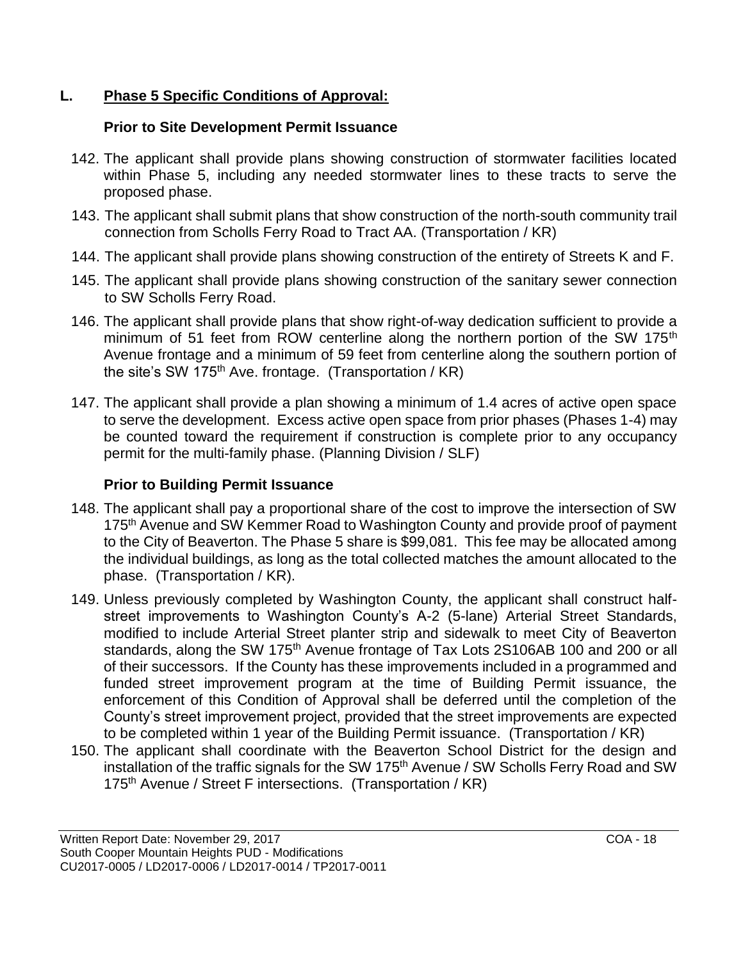# **L. Phase 5 Specific Conditions of Approval:**

### **Prior to Site Development Permit Issuance**

- 142. The applicant shall provide plans showing construction of stormwater facilities located within Phase 5, including any needed stormwater lines to these tracts to serve the proposed phase.
- 143. The applicant shall submit plans that show construction of the north-south community trail connection from Scholls Ferry Road to Tract AA. (Transportation / KR)
- 144. The applicant shall provide plans showing construction of the entirety of Streets K and F.
- 145. The applicant shall provide plans showing construction of the sanitary sewer connection to SW Scholls Ferry Road.
- 146. The applicant shall provide plans that show right-of-way dedication sufficient to provide a minimum of 51 feet from ROW centerline along the northern portion of the SW 175<sup>th</sup> Avenue frontage and a minimum of 59 feet from centerline along the southern portion of the site's SW 175<sup>th</sup> Ave. frontage. (Transportation / KR)
- 147. The applicant shall provide a plan showing a minimum of 1.4 acres of active open space to serve the development. Excess active open space from prior phases (Phases 1-4) may be counted toward the requirement if construction is complete prior to any occupancy permit for the multi-family phase. (Planning Division / SLF)

# **Prior to Building Permit Issuance**

- 148. The applicant shall pay a proportional share of the cost to improve the intersection of SW 175<sup>th</sup> Avenue and SW Kemmer Road to Washington County and provide proof of payment to the City of Beaverton. The Phase 5 share is \$99,081. This fee may be allocated among the individual buildings, as long as the total collected matches the amount allocated to the phase. (Transportation / KR).
- 149. Unless previously completed by Washington County, the applicant shall construct halfstreet improvements to Washington County's A-2 (5-lane) Arterial Street Standards, modified to include Arterial Street planter strip and sidewalk to meet City of Beaverton standards, along the SW 175<sup>th</sup> Avenue frontage of Tax Lots 2S106AB 100 and 200 or all of their successors. If the County has these improvements included in a programmed and funded street improvement program at the time of Building Permit issuance, the enforcement of this Condition of Approval shall be deferred until the completion of the County's street improvement project, provided that the street improvements are expected to be completed within 1 year of the Building Permit issuance. (Transportation / KR)
- 150. The applicant shall coordinate with the Beaverton School District for the design and installation of the traffic signals for the SW 175<sup>th</sup> Avenue / SW Scholls Ferry Road and SW 175<sup>th</sup> Avenue / Street F intersections. (Transportation / KR)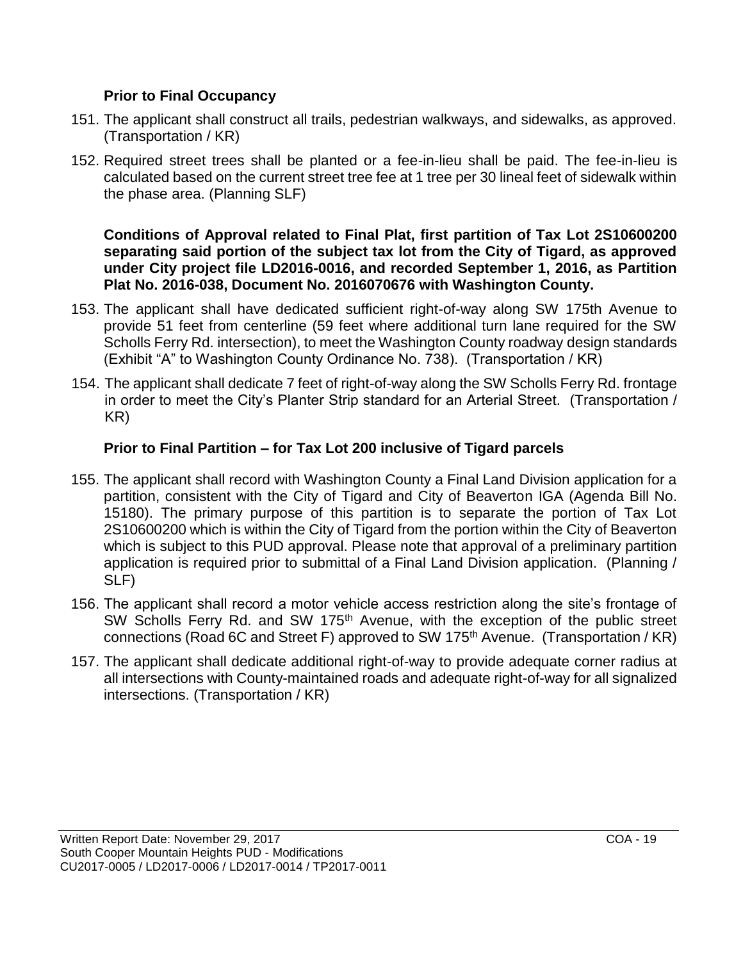### **Prior to Final Occupancy**

- 151. The applicant shall construct all trails, pedestrian walkways, and sidewalks, as approved. (Transportation / KR)
- 152. Required street trees shall be planted or a fee-in-lieu shall be paid. The fee-in-lieu is calculated based on the current street tree fee at 1 tree per 30 lineal feet of sidewalk within the phase area. (Planning SLF)

**Conditions of Approval related to Final Plat, first partition of Tax Lot 2S10600200 separating said portion of the subject tax lot from the City of Tigard, as approved under City project file LD2016-0016, and recorded September 1, 2016, as Partition Plat No. 2016-038, Document No. 2016070676 with Washington County.**

- 153. The applicant shall have dedicated sufficient right-of-way along SW 175th Avenue to provide 51 feet from centerline (59 feet where additional turn lane required for the SW Scholls Ferry Rd. intersection), to meet the Washington County roadway design standards (Exhibit "A" to Washington County Ordinance No. 738). (Transportation / KR)
- 154. The applicant shall dedicate 7 feet of right-of-way along the SW Scholls Ferry Rd. frontage in order to meet the City's Planter Strip standard for an Arterial Street. (Transportation / KR)

# **Prior to Final Partition – for Tax Lot 200 inclusive of Tigard parcels**

- 155. The applicant shall record with Washington County a Final Land Division application for a partition, consistent with the City of Tigard and City of Beaverton IGA (Agenda Bill No. 15180). The primary purpose of this partition is to separate the portion of Tax Lot 2S10600200 which is within the City of Tigard from the portion within the City of Beaverton which is subject to this PUD approval. Please note that approval of a preliminary partition application is required prior to submittal of a Final Land Division application. (Planning / SLF)
- 156. The applicant shall record a motor vehicle access restriction along the site's frontage of SW Scholls Ferry Rd. and SW 175<sup>th</sup> Avenue, with the exception of the public street connections (Road 6C and Street F) approved to SW 175<sup>th</sup> Avenue. (Transportation / KR)
- 157. The applicant shall dedicate additional right-of-way to provide adequate corner radius at all intersections with County-maintained roads and adequate right-of-way for all signalized intersections. (Transportation / KR)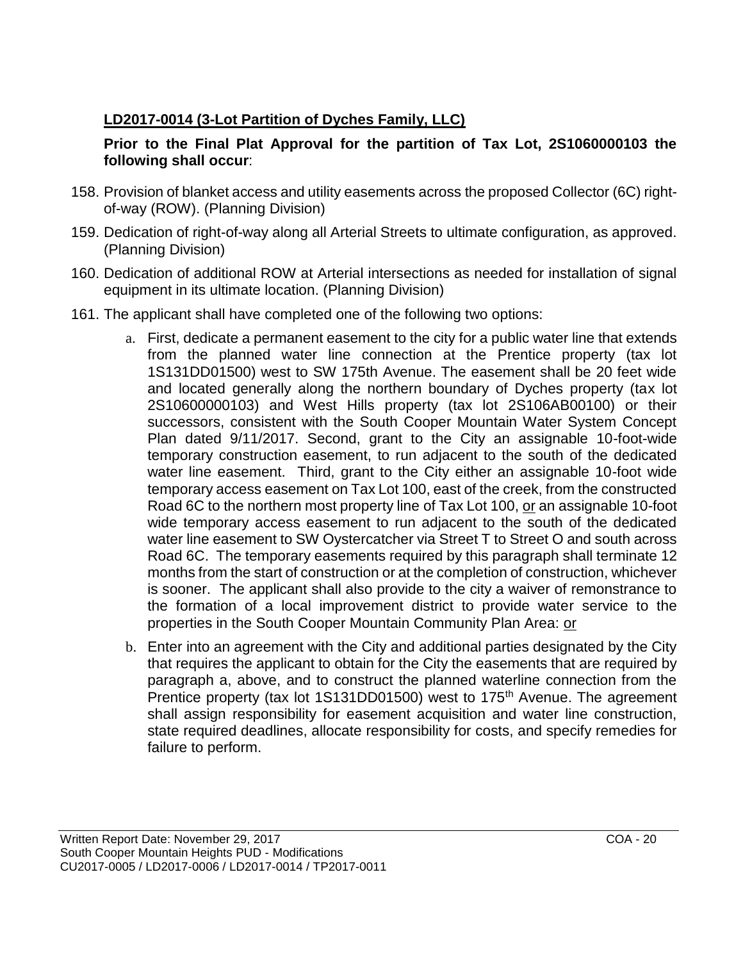# **LD2017-0014 (3-Lot Partition of Dyches Family, LLC)**

### **Prior to the Final Plat Approval for the partition of Tax Lot, 2S1060000103 the following shall occur**:

- 158. Provision of blanket access and utility easements across the proposed Collector (6C) rightof-way (ROW). (Planning Division)
- 159. Dedication of right-of-way along all Arterial Streets to ultimate configuration, as approved. (Planning Division)
- 160. Dedication of additional ROW at Arterial intersections as needed for installation of signal equipment in its ultimate location. (Planning Division)
- 161. The applicant shall have completed one of the following two options:
	- a. First, dedicate a permanent easement to the city for a public water line that extends from the planned water line connection at the Prentice property (tax lot 1S131DD01500) west to SW 175th Avenue. The easement shall be 20 feet wide and located generally along the northern boundary of Dyches property (tax lot 2S10600000103) and West Hills property (tax lot 2S106AB00100) or their successors, consistent with the South Cooper Mountain Water System Concept Plan dated 9/11/2017. Second, grant to the City an assignable 10-foot-wide temporary construction easement, to run adjacent to the south of the dedicated water line easement. Third, grant to the City either an assignable 10-foot wide temporary access easement on Tax Lot 100, east of the creek, from the constructed Road 6C to the northern most property line of Tax Lot 100, or an assignable 10-foot wide temporary access easement to run adjacent to the south of the dedicated water line easement to SW Oystercatcher via Street T to Street O and south across Road 6C. The temporary easements required by this paragraph shall terminate 12 months from the start of construction or at the completion of construction, whichever is sooner. The applicant shall also provide to the city a waiver of remonstrance to the formation of a local improvement district to provide water service to the properties in the South Cooper Mountain Community Plan Area: or
	- b. Enter into an agreement with the City and additional parties designated by the City that requires the applicant to obtain for the City the easements that are required by paragraph a, above, and to construct the planned waterline connection from the Prentice property (tax lot 1S131DD01500) west to 175<sup>th</sup> Avenue. The agreement shall assign responsibility for easement acquisition and water line construction, state required deadlines, allocate responsibility for costs, and specify remedies for failure to perform.